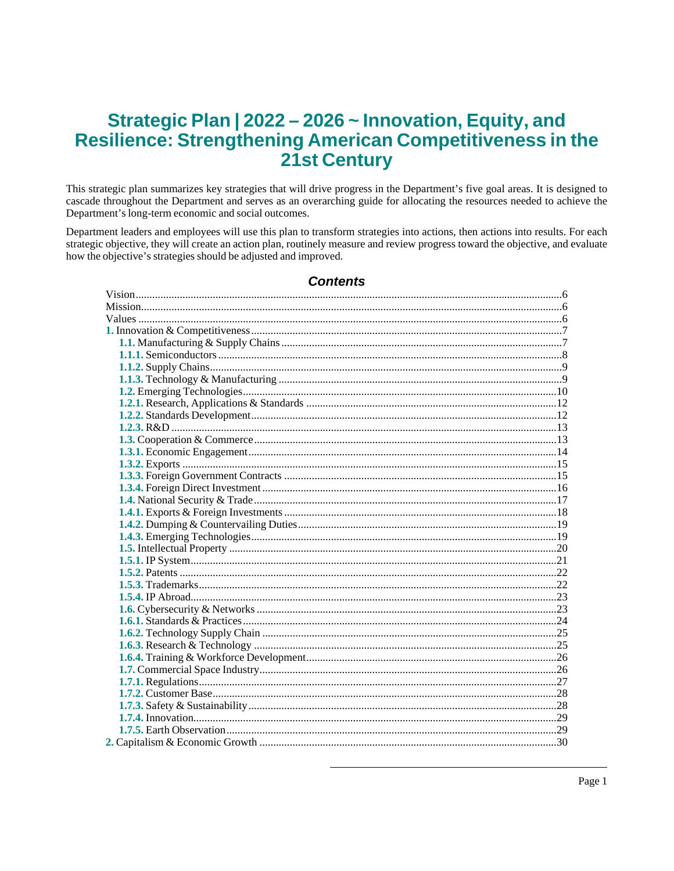# Strategic Plan | 2022 - 2026 ~ Innovation, Equity, and **Resilience: Strengthening American Competitiveness in the** 21st Century

This strategic plan summarizes key strategies that will drive progress in the Department's five goal areas. It is designed to cascade throughout the Department and serves as an overarching guide for allocating the resources needed to achieve the Department's long-term economic and social outcomes.

Department leaders and employees will use this plan to transform strategies into actions, then actions into results. For each strategic objective, they will create an action plan, routinely measure and review progress toward the objective, and evaluate how the objective's strategies should be adjusted and improved.

## **Contents**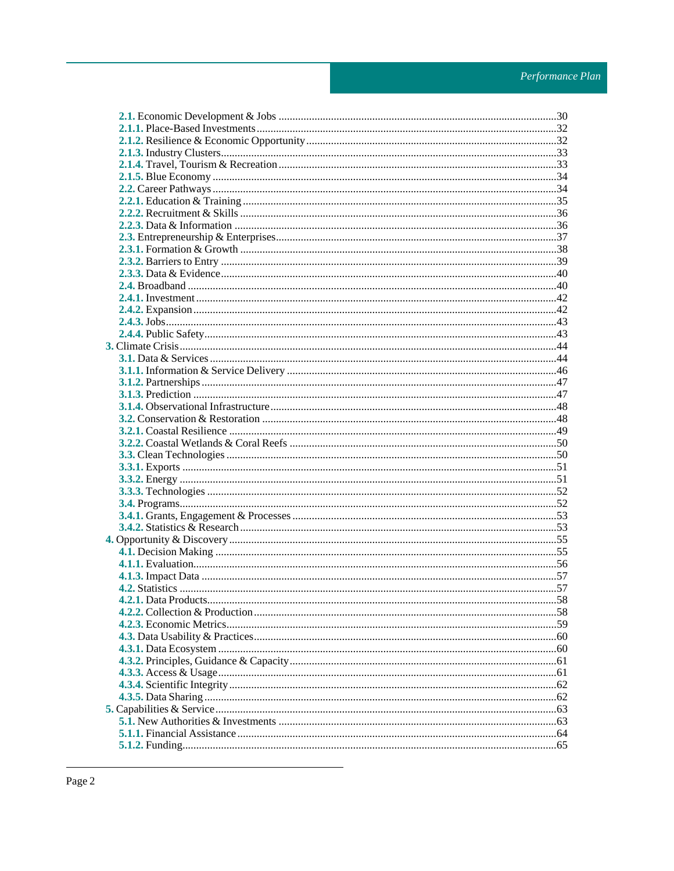| 4.2.1. Data Products |  |
|----------------------|--|
|                      |  |
|                      |  |
|                      |  |
|                      |  |
|                      |  |
|                      |  |
|                      |  |
|                      |  |
|                      |  |
|                      |  |
|                      |  |
|                      |  |
|                      |  |
|                      |  |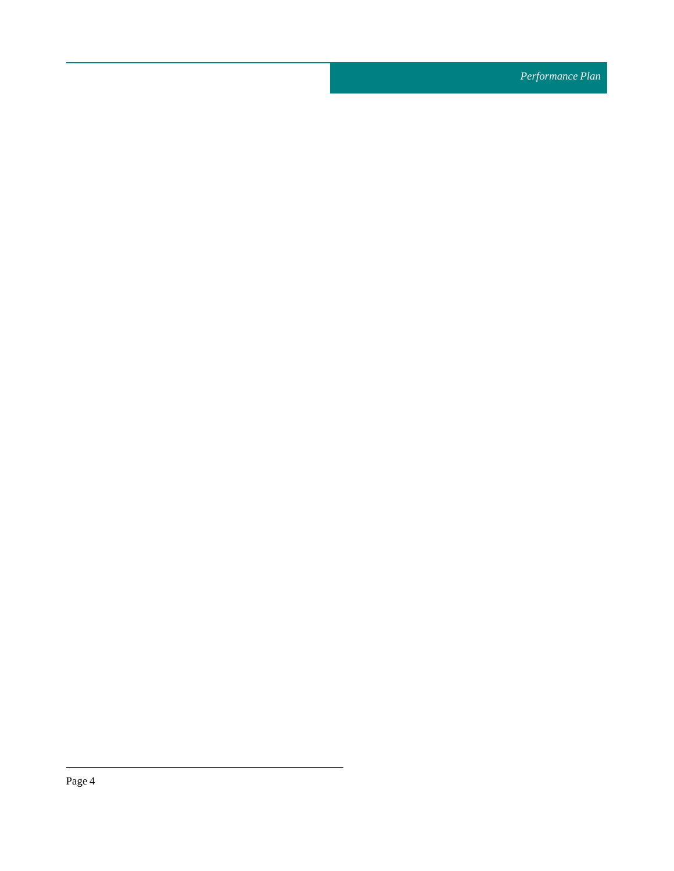*Performance Plan*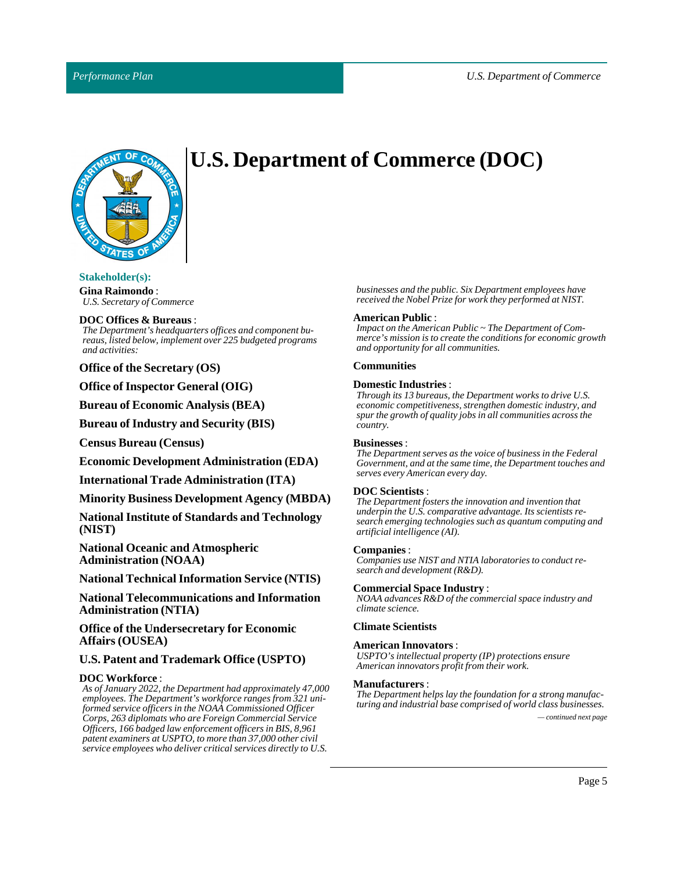

# **U.S. Department of Commerce (DOC)**

**Stakeholder(s): Gina Raimondo** :

*U.S. Secretary of Commerce*

#### **DOC Offices & Bureaus**:

*The Department's headquarters offices and component bureaus, listed below, implement over 225 budgeted programs and activities:*

**Office of the Secretary (OS)**

**Office** of Inspector General (OIG)

**Bureau of Economic Analysis (BEA)**

**Bureau ofIndustry and Security (BIS)**

**Census Bureau (Census)**

**Economic Development Administration (EDA)**

**International Trade Administration (ITA)**

**Minority Business Development Agency (MBDA)**

**National Institute of Standards and Technology (NIST)**

**National Oceanic and Atmospheric Administration (NOAA)**

**National TechnicalInformation Service (NTIS)**

**National Telecommunications and Information Administration (NTIA)**

**Office of the Undersecretary for Economic Affairs(OUSEA)**

### **U.S. Patent and Trademark Office (USPTO)**

#### **DOC Workforce** :

*As of January 2022, the Department had approximately 47,000 employees. The Department's workforce ranges from 321 uniformed service officers in the NOAA Commissioned Officer Corps, 263 diplomats who are Foreign Commercial Service Officers, 166 badged law enforcement officers in BIS, 8,961 patent examiners at USPTO, to more than 37,000 other civil service employees who deliver critical services directly to U.S.*

*businesses and the public. Six Department employees have received the Nobel Prize for work they performed at NIST.*

#### **American Public** :

*Impact on the American Public ~ The Department of Commerce's mission is to create the conditions for economic growth and opportunity for all communities.*

#### **Communities**

#### **Domestic Industries**:

*Through its 13 bureaus, the Department works to drive U.S. economic competitiveness, strengthen domestic industry, and spur the growth of quality jobs in all communities across the country.*

#### **Businesses** :

*The Department serves as the voice of business in the Federal Government, and at the same time, the Department touches and serves every American every day.*

#### **DOC Scientists** :

*The Department fosters the innovation and invention that underpin the U.S. comparative advantage. Its scientists research emerging technologies such as quantum computing and artificial intelligence (AI).*

#### **Companies**:

*Companies use NIST and NTIA laboratories to conduct research and development (R&D).*

#### **CommercialSpace Industry** :

*NOAA advances R&D of the commercial space industry and climate science.*

#### **ClimateScientists**

#### American Innovators :

*USPTO's intellectual property (IP) protections ensure American innovators profit from their work.*

#### **Manufacturers** :

*The Department helps lay the foundation for a strong manufacturing and industrial base comprised of world class businesses.*

*— continued next page*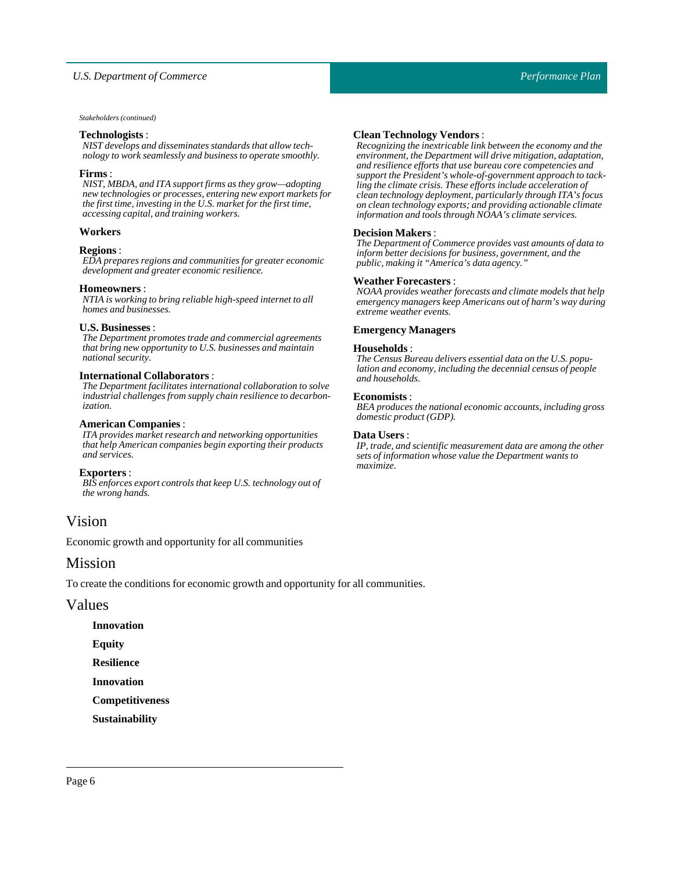#### *U.S. Department of Commerce*

*Stakeholders (continued)*

#### **Technologists** :

*NIST develops and disseminates standards that allow technology to work seamlessly and business to operate smoothly.*

#### **Firms** :

*NIST, MBDA, and ITA support firms as they grow—adopting new technologies or processes, entering new export markets for the first time, investing in the U.S. market for the first time, accessing capital, and training workers.*

#### **Workers**

#### **Regions**:

*EDA prepares regions and communities for greater economic development and greater economic resilience.*

#### **Homeowners** :

*NTIA is working to bring reliable high-speed internet to all homes and businesses.*

#### **U.S. Businesses**:

*The Department promotes trade and commercial agreements that bring new opportunity to U.S. businesses and maintain national security.*

#### **International Collaborators** :

*The Department facilitates international collaboration to solve industrial challenges from supply chain resilience to decarbonization.*

#### **American Companies**:

*ITA provides market research and networking opportunities that help American companies begin exporting their products and services.*

#### **Exporters**:

*BIS enforces export controls that keep U.S. technology out of the wrong hands.*

## <span id="page-5-0"></span>Vision

Economic growth and opportunity for all communities

## <span id="page-5-1"></span>Mission

To create the conditions for economic growth and opportunity for all communities.

## <span id="page-5-2"></span>Values

**Innovation**

**Equity**

**Resilience**

**Innovation**

**Competitiveness**

**Sustainability**

## **Clean Technology Vendors**:

*Recognizing the inextricable link between the economy and the environment, the Department will drive mitigation, adaptation, and resilience efforts that use bureau core competencies and support the President's whole-of-government approach to tackling the climate crisis. These efforts include acceleration of clean technology deployment, particularly through ITA's focus on clean technology exports; and providing actionable climate information and tools through NOAA's climate services.*

#### **Decision Makers**:

*The Department of Commerce provides vast amounts of data to inform better decisions for business, government, and the public, making it "America's data agency."*

#### **Weather Forecasters** :

*NOAA provides weather forecasts and climate models that help emergency managers keep Americans out of harm's way during extreme weather events.*

#### **Emergency Managers**

#### **Households**:

*The Census Bureau delivers essential data on the U.S. population and economy, including the decennial census of people and households.*

#### **Economists**:

*BEA produces the national economic accounts, including gross domestic product (GDP).*

#### **Data Users** :

*IP, trade, and scientific measurement data are among the other sets of information whose value the Department wants to maximize.*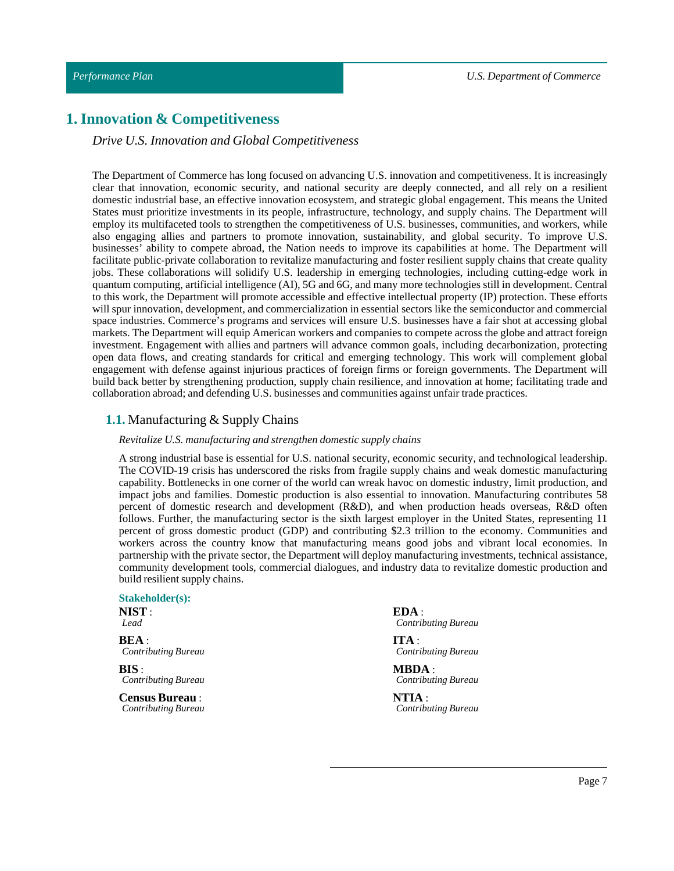## <span id="page-6-0"></span>**1. Innovation & Competitiveness**

*Drive U.S. Innovation and Global Competitiveness*

The Department of Commerce has long focused on advancing U.S. innovation and competitiveness. It is increasingly clear that innovation, economic security, and national security are deeply connected, and all rely on a resilient domestic industrial base, an effective innovation ecosystem, and strategic global engagement. This means the United States must prioritize investments in its people, infrastructure, technology, and supply chains. The Department will employ its multifaceted tools to strengthen the competitiveness of U.S. businesses, communities, and workers, while also engaging allies and partners to promote innovation, sustainability, and global security. To improve U.S. businesses' ability to compete abroad, the Nation needs to improve its capabilities at home. The Department will facilitate public-private collaboration to revitalize manufacturing and foster resilient supply chains that create quality jobs. These collaborations will solidify U.S. leadership in emerging technologies, including cutting-edge work in quantum computing, artificial intelligence (AI), 5G and 6G, and many more technologies still in development. Central to this work, the Department will promote accessible and effective intellectual property (IP) protection. These efforts will spur innovation, development, and commercialization in essential sectors like the semiconductor and commercial space industries. Commerce's programs and services will ensure U.S. businesses have a fair shot at accessing global markets. The Department will equip American workers and companies to compete across the globe and attract foreign investment. Engagement with allies and partners will advance common goals, including decarbonization, protecting open data flows, and creating standards for critical and emerging technology. This work will complement global engagement with defense against injurious practices of foreign firms or foreign governments. The Department will build back better by strengthening production, supply chain resilience, and innovation at home; facilitating trade and collaboration abroad; and defending U.S. businesses and communities against unfair trade practices.

## <span id="page-6-1"></span>**1.1.** Manufacturing & Supply Chains

*Revitalize U.S. manufacturing and strengthen domestic supply chains*

A strong industrial base is essential for U.S. national security, economic security, and technological leadership. The COVID-19 crisis has underscored the risks from fragile supply chains and weak domestic manufacturing capability. Bottlenecks in one corner of the world can wreak havoc on domestic industry, limit production, and impact jobs and families. Domestic production is also essential to innovation. Manufacturing contributes 58 percent of domestic research and development (R&D), and when production heads overseas, R&D often follows. Further, the manufacturing sector is the sixth largest employer in the United States, representing 11 percent of gross domestic product (GDP) and contributing \$2.3 trillion to the economy. Communities and workers across the country know that manufacturing means good jobs and vibrant local economies. In partnership with the private sector, the Department will deploy manufacturing investments, technical assistance, community development tools, commercial dialogues, and industry data to revitalize domestic production and build resilient supply chains.

#### **Stakeholder(s):**

**NIST** : *Lead*

**BEA** : *Contributing Bureau*

**BIS** : *Contributing Bureau*

**Census Bureau** : *Contributing Bureau* **EDA** : *Contributing Bureau*

**ITA** : *Contributing Bureau*

**MBDA** : *Contributing Bureau*

**NTIA** : *Contributing Bureau*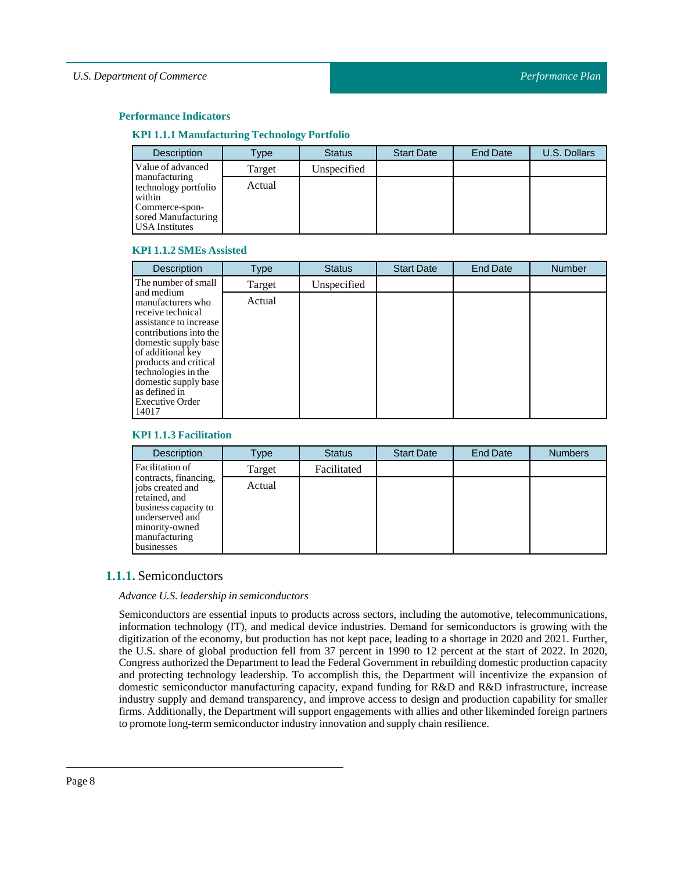### *U.S. Department of Commerce*

### **Performance Indicators**

## **KPI 1.1.1 Manufacturing Technology Portfolio**

| <b>Description</b>                                                                                                | Type   | <b>Status</b> | <b>Start Date</b> | <b>End Date</b> | U.S. Dollars |
|-------------------------------------------------------------------------------------------------------------------|--------|---------------|-------------------|-----------------|--------------|
| Value of advanced                                                                                                 | Target | Unspecified   |                   |                 |              |
| manufacturing<br>technology portfolio<br>within<br>Commerce-spon-<br>sored Manufacturing<br><b>USA</b> Institutes | Actual |               |                   |                 |              |

### **KPI 1.1.2SMEs Assisted**

| Description                                                                                                                                                                                                                                                                       | Type   | <b>Status</b> | <b>Start Date</b> | <b>End Date</b> | <b>Number</b> |
|-----------------------------------------------------------------------------------------------------------------------------------------------------------------------------------------------------------------------------------------------------------------------------------|--------|---------------|-------------------|-----------------|---------------|
| The number of small                                                                                                                                                                                                                                                               | Target | Unspecified   |                   |                 |               |
| and medium<br>manufacturers who<br>receive technical<br>assistance to increase<br>contributions into the<br>domestic supply base<br>of additional key<br>products and critical<br>technologies in the<br>domestic supply base<br>as defined in<br><b>Executive Order</b><br>14017 | Actual |               |                   |                 |               |

### **KPI 1.1.3 Facilitation**

| <b>Description</b>                                                                                                                                     | Type   | <b>Status</b> | <b>Start Date</b> | <b>End Date</b> | <b>Numbers</b> |
|--------------------------------------------------------------------------------------------------------------------------------------------------------|--------|---------------|-------------------|-----------------|----------------|
| Facilitation of                                                                                                                                        | Target | Facilitated   |                   |                 |                |
| contracts, financing,<br>jobs created and<br>retained, and<br>business capacity to<br>underserved and<br>minority-owned<br>manufacturing<br>businesses | Actual |               |                   |                 |                |

### <span id="page-7-0"></span>**1.1.1.** Semiconductors

#### *Advance U.S.leadership in semiconductors*

Semiconductors are essential inputs to products across sectors, including the automotive, telecommunications, information technology (IT), and medical device industries. Demand for semiconductors is growing with the digitization of the economy, but production has not kept pace, leading to a shortage in 2020 and 2021. Further, the U.S. share of global production fell from 37 percent in 1990 to 12 percent at the start of 2022. In 2020, Congress authorized the Department to lead the Federal Government in rebuilding domestic production capacity and protecting technology leadership. To accomplish this, the Department will incentivize the expansion of domestic semiconductor manufacturing capacity, expand funding for R&D and R&D infrastructure, increase industry supply and demand transparency, and improve access to design and production capability for smaller firms. Additionally, the Department will support engagements with allies and other likeminded foreign partners to promote long-term semiconductor industry innovation and supply chain resilience.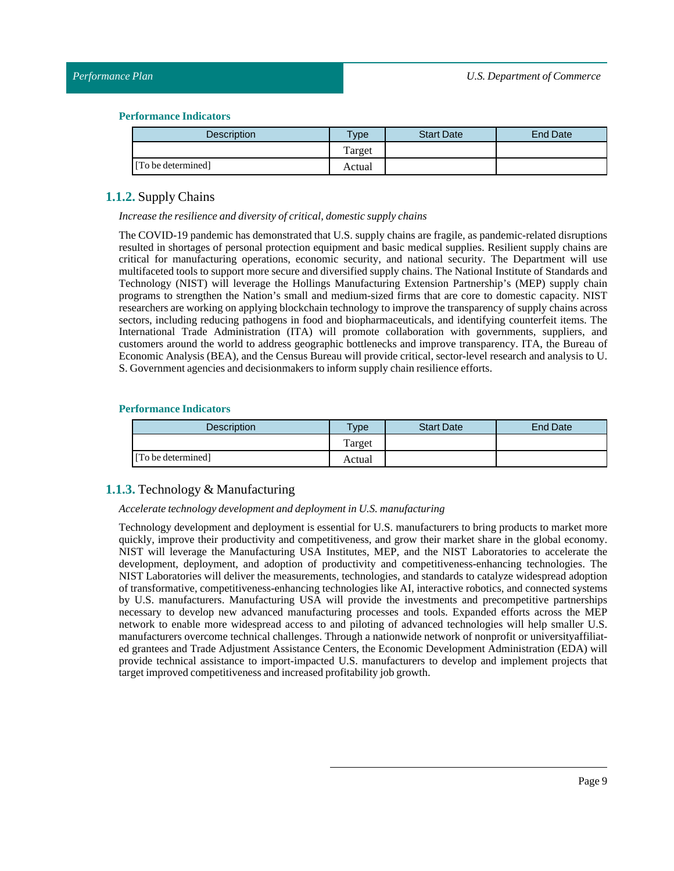| Description        | <b>Vpe</b> | <b>Start Date</b> | <b>End Date</b> |
|--------------------|------------|-------------------|-----------------|
|                    | Target     |                   |                 |
| [To be determined] | Actual     |                   |                 |

### <span id="page-8-0"></span>**1.1.2.** Supply Chains

#### *Increase the resilience and diversity of critical, domestic supply chains*

The COVID-19 pandemic has demonstrated that U.S. supply chains are fragile, as pandemic-related disruptions resulted in shortages of personal protection equipment and basic medical supplies. Resilient supply chains are critical for manufacturing operations, economic security, and national security. The Department will use multifaceted tools to support more secure and diversified supply chains. The National Institute of Standards and Technology (NIST) will leverage the Hollings Manufacturing Extension Partnership's (MEP) supply chain programs to strengthen the Nation's small and medium-sized firms that are core to domestic capacity. NIST researchers are working on applying blockchain technology to improve the transparency of supply chains across sectors, including reducing pathogens in food and biopharmaceuticals, and identifying counterfeit items. The International Trade Administration (ITA) will promote collaboration with governments, suppliers, and customers around the world to address geographic bottlenecks and improve transparency. ITA, the Bureau of Economic Analysis (BEA), and the Census Bureau will provide critical, sector-level research and analysis to U. S. Government agencies and decisionmakers to inform supply chain resilience efforts.

#### **Performance Indicators**

| <b>Description</b> | $T$ <sub>V</sub> pe | <b>Start Date</b> | <b>End Date</b> |
|--------------------|---------------------|-------------------|-----------------|
|                    | Target              |                   |                 |
| [To be determined] | Actual              |                   |                 |

## <span id="page-8-1"></span>**1.1.3.** Technology & Manufacturing

### *Accelerate technology development and deploymentin U.S. manufacturing*

Technology development and deployment is essential for U.S. manufacturers to bring products to market more quickly, improve their productivity and competitiveness, and grow their market share in the global economy. NIST will leverage the Manufacturing USA Institutes, MEP, and the NIST Laboratories to accelerate the development, deployment, and adoption of productivity and competitiveness-enhancing technologies. The NIST Laboratories will deliver the measurements, technologies, and standards to catalyze widespread adoption of transformative, competitiveness-enhancing technologies like AI, interactive robotics, and connected systems by U.S. manufacturers. Manufacturing USA will provide the investments and precompetitive partnerships necessary to develop new advanced manufacturing processes and tools. Expanded efforts across the MEP network to enable more widespread access to and piloting of advanced technologies will help smaller U.S. manufacturers overcome technical challenges. Through a nationwide network of nonprofit or universityaffiliated grantees and Trade Adjustment Assistance Centers, the Economic Development Administration (EDA) will provide technical assistance to import-impacted U.S. manufacturers to develop and implement projects that target improved competitiveness and increased profitability job growth.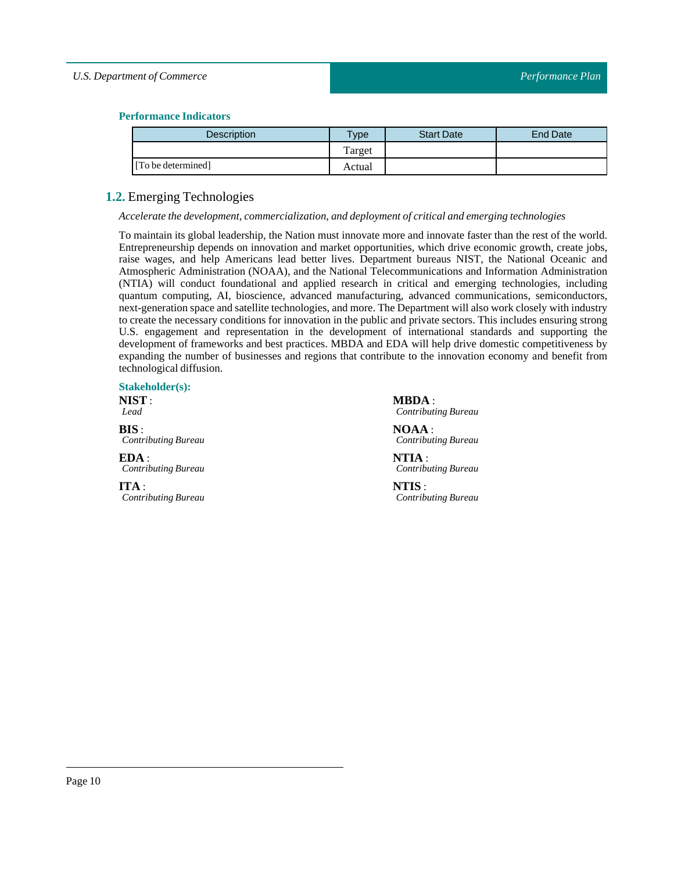## *U.S. Department of Commerce*

### **Performance Indicators**

| <b>Description</b> | <b>Type</b> | <b>Start Date</b> | <b>End Date</b> |
|--------------------|-------------|-------------------|-----------------|
|                    | Target      |                   |                 |
| [To be determined] | Actual      |                   |                 |

## <span id="page-9-0"></span>**1.2.** Emerging Technologies

#### *Accelerate the development, commercialization, and deployment of critical and emerging technologies*

To maintain its global leadership, the Nation must innovate more and innovate faster than the rest of the world. Entrepreneurship depends on innovation and market opportunities, which drive economic growth, create jobs, raise wages, and help Americans lead better lives. Department bureaus NIST, the National Oceanic and Atmospheric Administration (NOAA), and the National Telecommunications and Information Administration (NTIA) will conduct foundational and applied research in critical and emerging technologies, including quantum computing, AI, bioscience, advanced manufacturing, advanced communications, semiconductors, next-generation space and satellite technologies, and more. The Department will also work closely with industry to create the necessary conditions for innovation in the public and private sectors. This includes ensuring strong U.S. engagement and representation in the development of international standards and supporting the development of frameworks and best practices. MBDA and EDA will help drive domestic competitiveness by expanding the number of businesses and regions that contribute to the innovation economy and benefit from technological diffusion.

**Stakeholder(s):**

**NIST** : *Lead*

**BIS** : *Contributing Bureau*

**EDA** : *Contributing Bureau*

**ITA** : *Contributing Bureau* **MBDA** : *Contributing Bureau*

**NOAA** : *Contributing Bureau*

**NTIA** : *Contributing Bureau*

**NTIS** : *Contributing Bureau*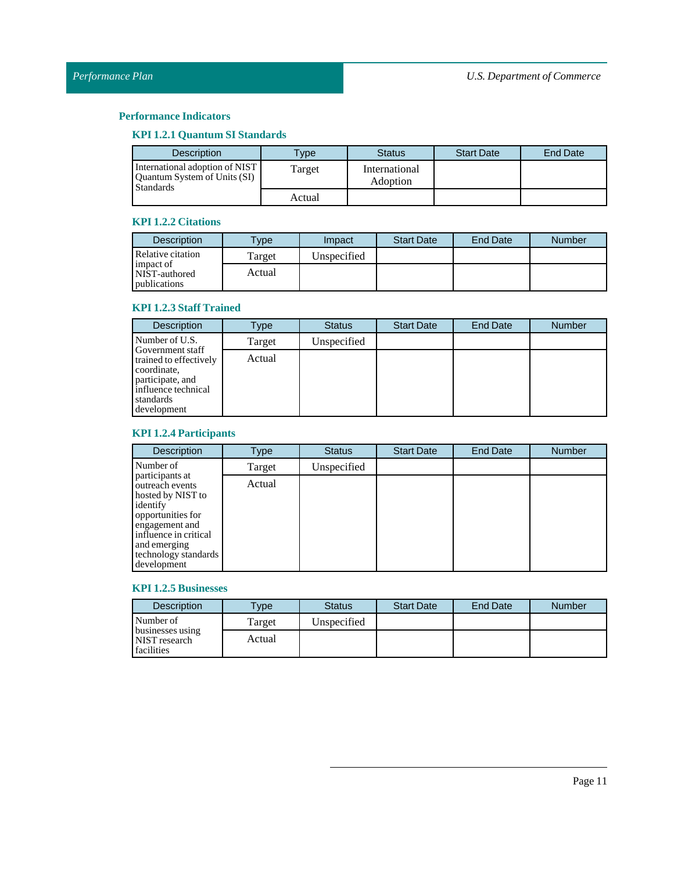### **KPI 1.2.1 Quantum SI Standards**

| <b>Description</b>                                                                 | <b>Type</b> | <b>Status</b>             | <b>Start Date</b> | End Date |
|------------------------------------------------------------------------------------|-------------|---------------------------|-------------------|----------|
| International adoption of NIST<br>Quantum System of Units (SI)<br><b>Standards</b> | Target      | International<br>Adoption |                   |          |
|                                                                                    | Actual      |                           |                   |          |

## **KPI 1.2.2 Citations**

| <b>Description</b>                         | <b>Type</b> | Impact      | <b>Start Date</b> | <b>End Date</b> | Number |
|--------------------------------------------|-------------|-------------|-------------------|-----------------|--------|
| Relative citation                          | Target      | Unspecified |                   |                 |        |
| impact of<br>NIST-authored<br>publications | Actual      |             |                   |                 |        |

### **KPI 1.2.3Staff Trained**

| <b>Description</b>                                                                                                               | Type   | <b>Status</b> | <b>Start Date</b> | <b>End Date</b> | Number |
|----------------------------------------------------------------------------------------------------------------------------------|--------|---------------|-------------------|-----------------|--------|
| Number of U.S.                                                                                                                   | Target | Unspecified   |                   |                 |        |
| Government staff<br>trained to effectively<br>coordinate,<br>participate, and<br>influence technical<br>standards<br>development | Actual |               |                   |                 |        |

## **KPI 1.2.4 Participants**

| <b>Description</b>                                                                                                                                                                         | Type   | <b>Status</b> | <b>Start Date</b> | <b>End Date</b> | <b>Number</b> |
|--------------------------------------------------------------------------------------------------------------------------------------------------------------------------------------------|--------|---------------|-------------------|-----------------|---------------|
| Number of                                                                                                                                                                                  | Target | Unspecified   |                   |                 |               |
| participants at<br>outreach events<br>hosted by NIST to<br>identify<br>opportunities for<br>engagement and<br>influence in critical<br>and emerging<br>technology standards<br>development | Actual |               |                   |                 |               |

## **KPI 1.2.5 Businesses**

| <b>Description</b>                              | <b>Type</b> | <b>Status</b> | <b>Start Date</b> | <b>End Date</b> | Number |
|-------------------------------------------------|-------------|---------------|-------------------|-----------------|--------|
| Number of                                       | Target      | Unspecified   |                   |                 |        |
| businesses using<br>NIST research<br>facilities | Actual      |               |                   |                 |        |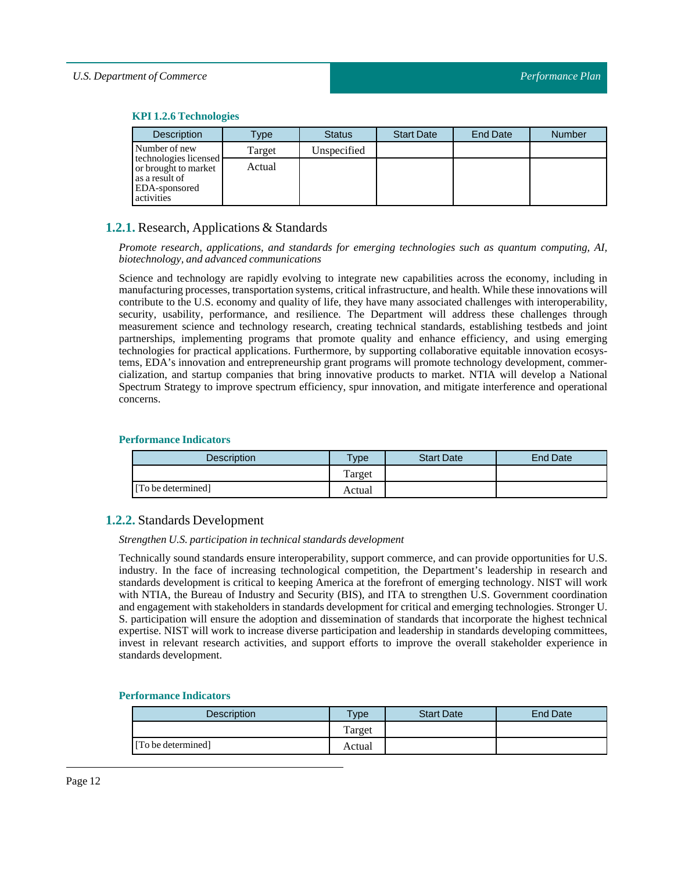### **KPI 1.2.6 Technologies**

| <b>Description</b>                                                                             | Type   | <b>Status</b> | <b>Start Date</b> | <b>End Date</b> | <b>Number</b> |
|------------------------------------------------------------------------------------------------|--------|---------------|-------------------|-----------------|---------------|
| Number of new                                                                                  | Target | Unspecified   |                   |                 |               |
| technologies licensed<br>or brought to market<br>as a result of<br>EDA-sponsored<br>activities | Actual |               |                   |                 |               |

## <span id="page-11-0"></span>**1.2.1.** Research, Applications & Standards

*Promote research, applications, and standards for emerging technologies such as quantum computing, AI, biotechnology, and advanced communications*

Science and technology are rapidly evolving to integrate new capabilities across the economy, including in manufacturing processes,transportation systems, criticalinfrastructure, and health. While these innovations will contribute to the U.S. economy and quality of life, they have many associated challenges with interoperability, security, usability, performance, and resilience. The Department will address these challenges through measurement science and technology research, creating technical standards, establishing testbeds and joint partnerships, implementing programs that promote quality and enhance efficiency, and using emerging technologies for practical applications. Furthermore, by supporting collaborative equitable innovation ecosystems, EDA's innovation and entrepreneurship grant programs will promote technology development, commercialization, and startup companies that bring innovative products to market. NTIA will develop a National Spectrum Strategy to improve spectrum efficiency, spur innovation, and mitigate interference and operational concerns.

### **Performance Indicators**

| <b>Description</b> | <b>Vpe</b> | <b>Start Date</b> | End Date |
|--------------------|------------|-------------------|----------|
|                    | Target     |                   |          |
| [To be determined] | Actual     |                   |          |

## <span id="page-11-1"></span>**1.2.2.** Standards Development

#### *Strengthen U.S. participation in technical standards development*

Technically sound standards ensure interoperability, support commerce, and can provide opportunities for U.S. industry. In the face of increasing technological competition, the Department's leadership in research and standards development is critical to keeping America at the forefront of emerging technology. NIST will work with NTIA, the Bureau of Industry and Security (BIS), and ITA to strengthen U.S. Government coordination and engagement with stakeholders in standards development for critical and emerging technologies. Stronger U. S. participation will ensure the adoption and dissemination of standards that incorporate the highest technical expertise. NIST will work to increase diverse participation and leadership in standards developing committees, invest in relevant research activities, and support efforts to improve the overall stakeholder experience in standards development.

| <b>Description</b> | vpe    | <b>Start Date</b> | End Date |
|--------------------|--------|-------------------|----------|
|                    | Target |                   |          |
| [To be determined] | Actual |                   |          |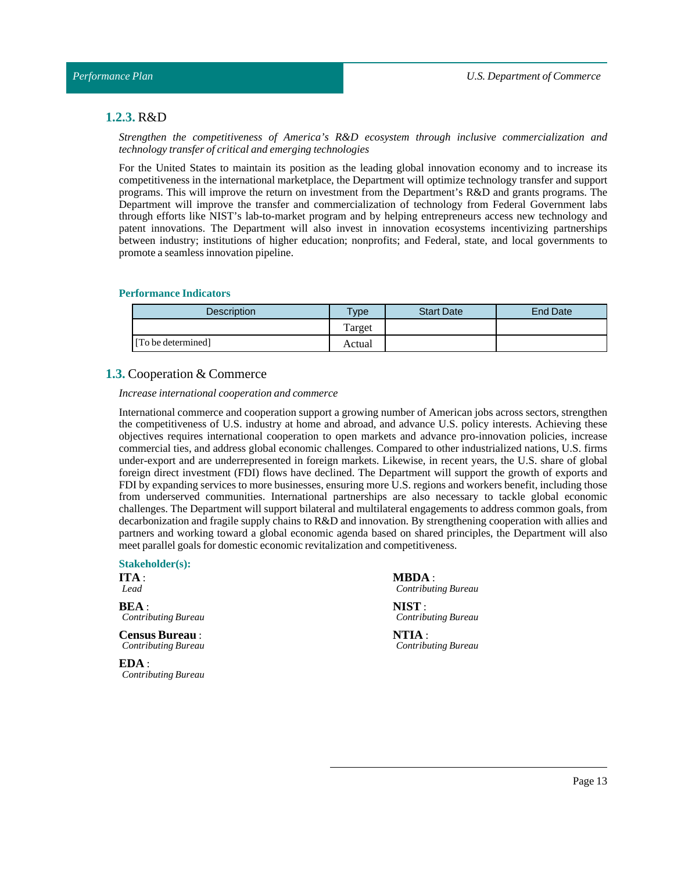## <span id="page-12-0"></span>**1.2.3.** R&D

*Strengthen the competitiveness of America's R&D ecosystem through inclusive commercialization and technology transfer of critical and emerging technologies*

For the United States to maintain its position as the leading global innovation economy and to increase its competitiveness in the international marketplace, the Department will optimize technology transfer and support programs. This will improve the return on investment from the Department's R&D and grants programs. The Department will improve the transfer and commercialization of technology from Federal Government labs through efforts like NIST's lab-to-market program and by helping entrepreneurs access new technology and patent innovations. The Department will also invest in innovation ecosystems incentivizing partnerships between industry; institutions of higher education; nonprofits; and Federal, state, and local governments to promote a seamless innovation pipeline.

#### **Performance Indicators**

| <b>Description</b> | <b>Type</b> | <b>Start Date</b> | End Date |
|--------------------|-------------|-------------------|----------|
|                    | l'arget     |                   |          |
| [To be determined] | Actual      |                   |          |

### <span id="page-12-1"></span>**1.3.** Cooperation & Commerce

*Increase international cooperation and commerce*

International commerce and cooperation support a growing number of American jobs across sectors, strengthen the competitiveness of U.S. industry at home and abroad, and advance U.S. policy interests. Achieving these objectives requires international cooperation to open markets and advance pro-innovation policies, increase commercial ties, and address global economic challenges. Compared to other industrialized nations, U.S. firms under-export and are underrepresented in foreign markets. Likewise, in recent years, the U.S. share of global foreign direct investment (FDI) flows have declined. The Department will support the growth of exports and FDI by expanding services to more businesses, ensuring more U.S. regions and workers benefit, including those from underserved communities. International partnerships are also necessary to tackle global economic challenges. The Department will support bilateral and multilateral engagements to address common goals, from decarbonization and fragile supply chains to R&D and innovation. By strengthening cooperation with allies and partners and working toward a global economic agenda based on shared principles, the Department will also meet parallel goals for domestic economic revitalization and competitiveness.

**Stakeholder(s):**

**ITA** : *Lead*

**BEA** : *Contributing Bureau*

**Census Bureau** : *Contributing Bureau*

**EDA** : *Contributing Bureau* **MBDA** : *Contributing Bureau*

**NIST** : *Contributing Bureau*

**NTIA** : *Contributing Bureau*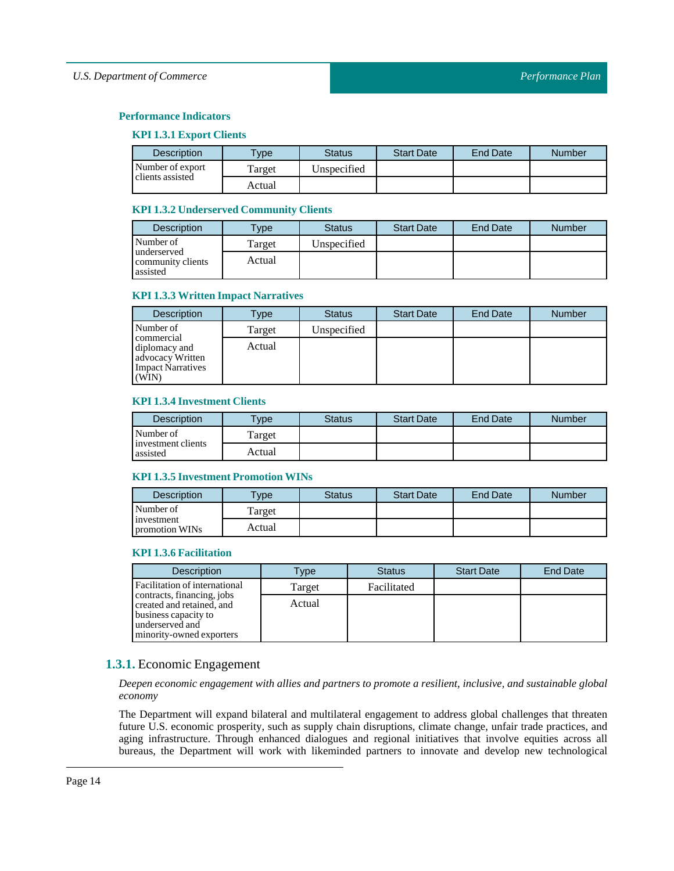#### **KPI 1.3.1 Export Clients**

| <b>Description</b>                   | $T$ <sub>V</sub> $pe$ | Status      | <b>Start Date</b> | <b>End Date</b> | Number |
|--------------------------------------|-----------------------|-------------|-------------------|-----------------|--------|
| Number of export<br>clients assisted | Target                | Jnspecified |                   |                 |        |
|                                      | Actual                |             |                   |                 |        |

### **KPI 1.3.2 Underserved Community Clients**

| <b>Description</b>                           | <b>Type</b> | <b>Status</b> | <b>Start Date</b> | <b>End Date</b> | <b>Number</b> |
|----------------------------------------------|-------------|---------------|-------------------|-----------------|---------------|
| Number of                                    | Target      | Unspecified   |                   |                 |               |
| underserved<br>community clients<br>assisted | Actual      |               |                   |                 |               |

### **KPI 1.3.3 WrittenImpact Narratives**

| <b>Description</b>                                                                   | Type   | <b>Status</b> | <b>Start Date</b> | <b>End Date</b> | <b>Number</b> |
|--------------------------------------------------------------------------------------|--------|---------------|-------------------|-----------------|---------------|
| Number of                                                                            | Target | Unspecified   |                   |                 |               |
| commercial<br>diplomacy and<br>advocacy Written<br><b>Impact Narratives</b><br>(WIN) | Actual |               |                   |                 |               |

### **KPI 1.3.4 Investment Clients**

| <b>Description</b>                          | <b>Type</b> | <b>Status</b> | <b>Start Date</b> | <b>End Date</b> | Number |
|---------------------------------------------|-------------|---------------|-------------------|-----------------|--------|
| Number of<br>investment clients<br>assisted | `arget      |               |                   |                 |        |
|                                             | Actual      |               |                   |                 |        |

#### **KPI 1.3.5 Investment Promotion WINs**

| <b>Description</b>                    | <b>Type</b> | Status | <b>Start Date</b> | End Date | Number |
|---------------------------------------|-------------|--------|-------------------|----------|--------|
| Number of                             | Target      |        |                   |          |        |
| <i>s</i> investment<br>promotion WINs | Actual      |        |                   |          |        |

#### **KPI 1.3.6 Facilitation**

| <b>Description</b>                                                                                                             | Type   | <b>Status</b> | <b>Start Date</b> | <b>End Date</b> |
|--------------------------------------------------------------------------------------------------------------------------------|--------|---------------|-------------------|-----------------|
| Facilitation of international                                                                                                  | Target | Facilitated   |                   |                 |
| contracts, financing, jobs<br>created and retained, and<br>business capacity to<br>underserved and<br>minority-owned exporters | Actual |               |                   |                 |

### <span id="page-13-0"></span>**1.3.1.** Economic Engagement

*Deepen economic engagement with allies and partners to promote a resilient, inclusive, and sustainable global economy*

The Department will expand bilateral and multilateral engagement to address global challenges that threaten future U.S. economic prosperity, such as supply chain disruptions, climate change, unfair trade practices, and aging infrastructure. Through enhanced dialogues and regional initiatives that involve equities across all bureaus, the Department will work with likeminded partners to innovate and develop new technological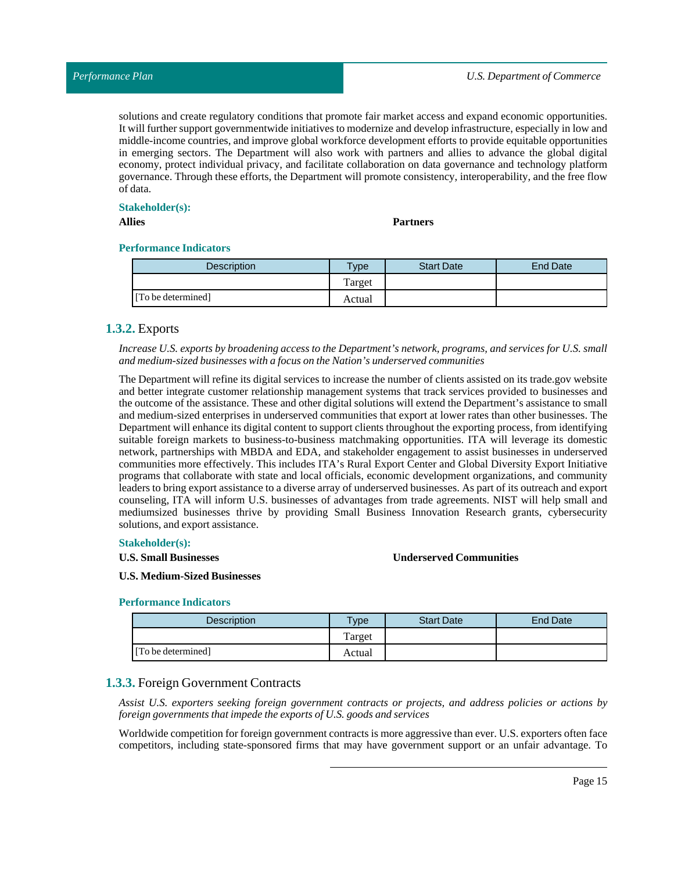solutions and create regulatory conditions that promote fair market access and expand economic opportunities. It will further support governmentwide initiatives to modernize and develop infrastructure, especially in low and middle-income countries, and improve global workforce development efforts to provide equitable opportunities in emerging sectors. The Department will also work with partners and allies to advance the global digital economy, protect individual privacy, and facilitate collaboration on data governance and technology platform governance. Through these efforts, the Department will promote consistency, interoperability, and the free flow of data.

#### **Stakeholder(s):**

#### **Allies Partners**

### **Performance Indicators**

| Description        | Type   | <b>Start Date</b> | End Date |
|--------------------|--------|-------------------|----------|
|                    | Target |                   |          |
| [To be determined] | Actual |                   |          |

### <span id="page-14-0"></span>**1.3.2.** Exports

*Increase U.S. exports by broadening access to the Department's network, programs, and services for U.S. small and medium-sized businesses with a focus on the Nation's underserved communities*

The Department will refine its digital services to increase the number of clients assisted on its trade.gov website and better integrate customer relationship management systems that track services provided to businesses and the outcome of the assistance. These and other digital solutions will extend the Department's assistance to small and medium-sized enterprises in underserved communities that export at lower rates than other businesses. The Department will enhance its digital content to support clients throughout the exporting process, from identifying suitable foreign markets to business-to-business matchmaking opportunities. ITA will leverage its domestic network, partnerships with MBDA and EDA, and stakeholder engagement to assist businesses in underserved communities more effectively. This includes ITA's Rural Export Center and Global Diversity Export Initiative programs that collaborate with state and local officials, economic development organizations, and community leaders to bring export assistance to a diverse array of underserved businesses. As part of its outreach and export counseling, ITA will inform U.S. businesses of advantages from trade agreements. NIST will help small and mediumsized businesses thrive by providing Small Business Innovation Research grants, cybersecurity solutions, and export assistance.

#### **Stakeholder(s):**

**U.S.Small Businesses**

#### **Underserved Communities**

#### **U.S. Medium-Sized Businesses**

#### **Performance Indicators**

| <b>Description</b> | vpe    | <b>Start Date</b> | End Date |
|--------------------|--------|-------------------|----------|
|                    | Target |                   |          |
| [To be determined] | Actual |                   |          |

## <span id="page-14-1"></span>**1.3.3.** Foreign Government Contracts

*Assist U.S. exporters seeking foreign government contracts or projects, and address policies or actions by foreign governments thatimpede the exports of U.S. goods and services*

Worldwide competition for foreign government contracts is more aggressive than ever. U.S. exporters often face competitors, including state-sponsored firms that may have government support or an unfair advantage. To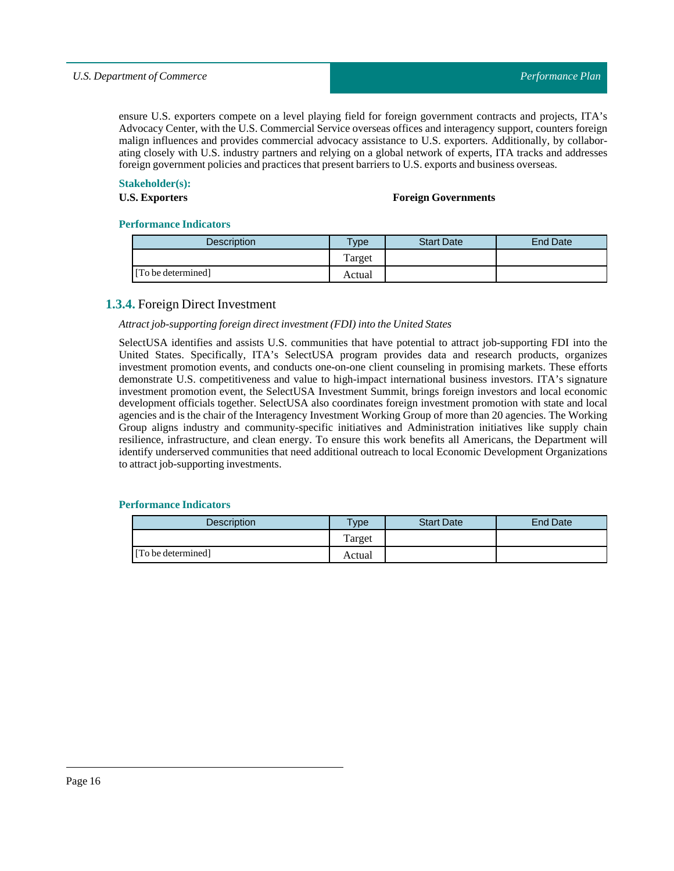ensure U.S. exporters compete on a level playing field for foreign government contracts and projects, ITA's Advocacy Center, with the U.S. Commercial Service overseas offices and interagency support, counters foreign malign influences and provides commercial advocacy assistance to U.S. exporters. Additionally, by collaborating closely with U.S. industry partners and relying on a global network of experts, ITA tracks and addresses foreign government policies and practices that present barriers to U.S. exports and business overseas.

### **Stakeholder(s):**

#### **U.S. Exporters Foreign Governments**

### **Performance Indicators**

| <b>Description</b> | $T$ <sub>ype</sub> | <b>Start Date</b> | <b>End Date</b> |
|--------------------|--------------------|-------------------|-----------------|
|                    | Target             |                   |                 |
| [To be determined] | Actual             |                   |                 |

## <span id="page-15-0"></span>**1.3.4.** Foreign Direct Investment

### *Attractjob-supporting foreign directinvestment (FDI) into the United States*

SelectUSA identifies and assists U.S. communities that have potential to attract job-supporting FDI into the United States. Specifically, ITA's SelectUSA program provides data and research products, organizes investment promotion events, and conducts one-on-one client counseling in promising markets. These efforts demonstrate U.S. competitiveness and value to high-impact international business investors. ITA's signature investment promotion event, the SelectUSA Investment Summit, brings foreign investors and local economic development officials together. SelectUSA also coordinates foreign investment promotion with state and local agencies and is the chair of the Interagency Investment Working Group of more than 20 agencies. The Working Group aligns industry and community-specific initiatives and Administration initiatives like supply chain resilience, infrastructure, and clean energy. To ensure this work benefits all Americans, the Department will identify underserved communities that need additional outreach to local Economic Development Organizations to attract job-supporting investments.

| <b>Description</b> | $T$ ype | <b>Start Date</b> | End Date |
|--------------------|---------|-------------------|----------|
|                    | Target  |                   |          |
| [To be determined] | Actual  |                   |          |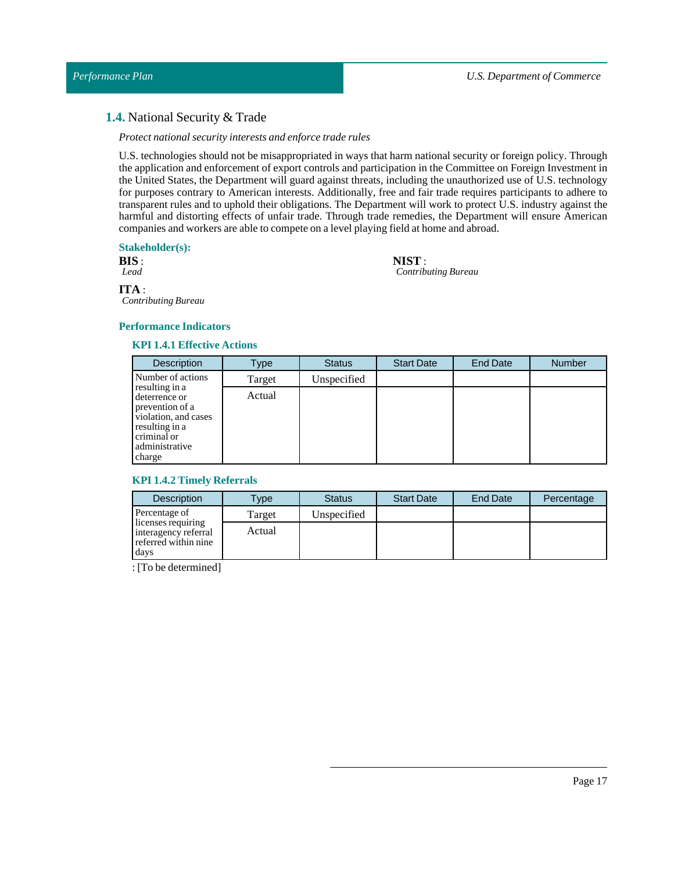## <span id="page-16-0"></span>**1.4.** National Security & Trade

*Protect national security interests and enforce trade rules*

U.S. technologies should not be misappropriated in ways that harm national security or foreign policy. Through the application and enforcement of export controls and participation in the Committee on Foreign Investment in the United States, the Department will guard against threats, including the unauthorized use of U.S. technology for purposes contrary to American interests. Additionally, free and fair trade requires participants to adhere to transparent rules and to uphold their obligations. The Department will work to protect U.S. industry against the harmful and distorting effects of unfair trade. Through trade remedies, the Department will ensure American companies and workers are able to compete on a level playing field at home and abroad.

#### **Stakeholder(s):**

**BIS** : *Lead*

**NIST** : *Contributing Bureau*

### **ITA** :

*Contributing Bureau*

### **Performance Indicators**

### **KPI 1.4.1 Effective Actions**

| <b>Description</b>                                                                                                                      | Type   | <b>Status</b> | <b>Start Date</b> | <b>End Date</b> | Number |
|-----------------------------------------------------------------------------------------------------------------------------------------|--------|---------------|-------------------|-----------------|--------|
| Number of actions                                                                                                                       | Target | Unspecified   |                   |                 |        |
| resulting in a<br>deterrence or<br>prevention of a<br>violation, and cases<br>resulting in a<br>criminal or<br>administrative<br>charge | Actual |               |                   |                 |        |

#### **KPI 1.4.2 Timely Referrals**

| <b>Description</b>                                                         | Type   | <b>Status</b> | <b>Start Date</b> | <b>End Date</b> | Percentage |
|----------------------------------------------------------------------------|--------|---------------|-------------------|-----------------|------------|
| Percentage of                                                              | Target | Unspecified   |                   |                 |            |
| licenses requiring<br>interagency referral<br>referred within nine<br>days | Actual |               |                   |                 |            |

: [To be determined]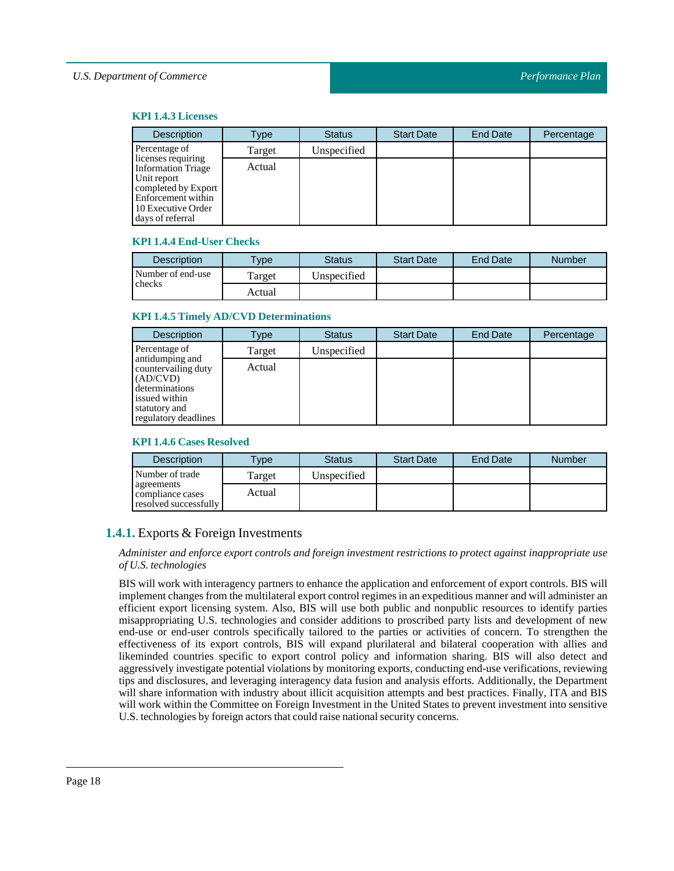## *U.S. Department of Commerce*

### **KPI 1.4.3 Licenses**

| <b>Description</b>                                                                                                                                    | Type   | <b>Status</b> | <b>Start Date</b> | <b>End Date</b> | Percentage |
|-------------------------------------------------------------------------------------------------------------------------------------------------------|--------|---------------|-------------------|-----------------|------------|
| Percentage of                                                                                                                                         | Target | Unspecified   |                   |                 |            |
| licenses requiring<br><b>Information Triage</b><br>Unit report<br>completed by Export<br>Enforcement within<br>10 Executive Order<br>days of referral | Actual |               |                   |                 |            |

### **KPI 1.4.4 End-User Checks**

| <b>Description</b> | <b>Type</b> | <b>Status</b> | <b>Start Date</b> | <b>End Date</b> | Number |
|--------------------|-------------|---------------|-------------------|-----------------|--------|
| Number of end-use  | Target      | Unspecified   |                   |                 |        |
| checks             | Actual      |               |                   |                 |        |

### **KPI 1.4.5 Timely AD/CVD Determinations**

| <b>Description</b>                                                                                                             | Type   | <b>Status</b> | <b>Start Date</b> | <b>End Date</b> | Percentage |
|--------------------------------------------------------------------------------------------------------------------------------|--------|---------------|-------------------|-----------------|------------|
| Percentage of                                                                                                                  | Target | Unspecified   |                   |                 |            |
| antidumping and<br>countervailing duty<br>(AD/CVD)<br>determinations<br>issued within<br>statutory and<br>regulatory deadlines | Actual |               |                   |                 |            |

### **KPI 1.4.6 Cases Resolved**

| <b>Description</b>                                      | $T$ vpe | <b>Status</b> | <b>Start Date</b> | <b>End Date</b> | <b>Number</b> |
|---------------------------------------------------------|---------|---------------|-------------------|-----------------|---------------|
| Number of trade                                         | Target  | Unspecified   |                   |                 |               |
| agreements<br>compliance cases<br>resolved successfully | Actual  |               |                   |                 |               |

## <span id="page-17-0"></span>**1.4.1.** Exports & Foreign Investments

*Administer and enforce export controls and foreign investment restrictions to protect against inappropriate use of U.S.technologies*

BIS will work with interagency partners to enhance the application and enforcement of export controls. BIS will implement changes from the multilateral export control regimes in an expeditious manner and will administer an efficient export licensing system. Also, BIS will use both public and nonpublic resources to identify parties misappropriating U.S. technologies and consider additions to proscribed party lists and development of new end-use or end-user controls specifically tailored to the parties or activities of concern. To strengthen the effectiveness of its export controls, BIS will expand plurilateral and bilateral cooperation with allies and likeminded countries specific to export control policy and information sharing. BIS will also detect and aggressively investigate potential violations by monitoring exports, conducting end-use verifications, reviewing tips and disclosures, and leveraging interagency data fusion and analysis efforts. Additionally, the Department will share information with industry about illicit acquisition attempts and best practices. Finally, ITA and BIS will work within the Committee on Foreign Investment in the United States to prevent investment into sensitive U.S. technologies by foreign actors that could raise national security concerns.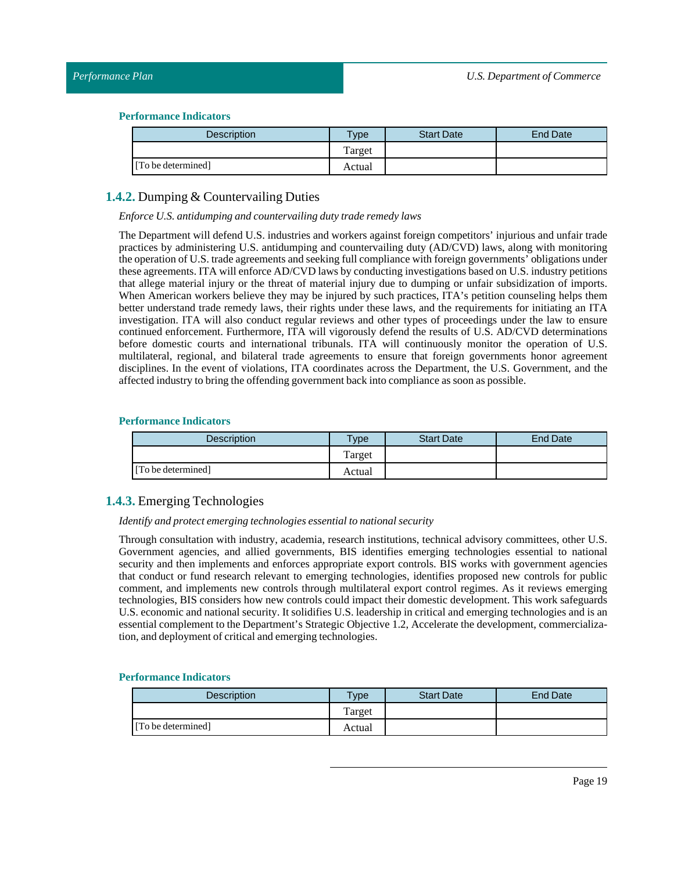| Description        | Type   | <b>Start Date</b> | End Date |
|--------------------|--------|-------------------|----------|
|                    | Target |                   |          |
| [To be determined] | Actual |                   |          |

## <span id="page-18-0"></span>**1.4.2.** Dumping & Countervailing Duties

#### *Enforce U.S. antidumping and countervailing duty trade remedy laws*

The Department will defend U.S. industries and workers against foreign competitors' injurious and unfair trade practices by administering U.S. antidumping and countervailing duty (AD/CVD) laws, along with monitoring the operation of U.S.trade agreements and seeking full compliance with foreign governments' obligations under these agreements. ITA will enforce AD/CVD laws by conducting investigations based on U.S. industry petitions that allege material injury or the threat of material injury due to dumping or unfair subsidization of imports. When American workers believe they may be injured by such practices, ITA's petition counseling helps them better understand trade remedy laws, their rights under these laws, and the requirements for initiating an ITA investigation. ITA will also conduct regular reviews and other types of proceedings under the law to ensure continued enforcement. Furthermore, ITA will vigorously defend the results of U.S. AD/CVD determinations before domestic courts and international tribunals. ITA will continuously monitor the operation of U.S. multilateral, regional, and bilateral trade agreements to ensure that foreign governments honor agreement disciplines. In the event of violations, ITA coordinates across the Department, the U.S. Government, and the affected industry to bring the offending government back into compliance as soon as possible.

#### **Performance Indicators**

| <b>Description</b> | <b>Vpe</b> | <b>Start Date</b> | End Date |
|--------------------|------------|-------------------|----------|
|                    | Target     |                   |          |
| [To be determined] | Actual     |                   |          |

## <span id="page-18-1"></span>**1.4.3.** Emerging Technologies

#### *Identify* and *protect emerging technologies essential to national security*

Through consultation with industry, academia, research institutions, technical advisory committees, other U.S. Government agencies, and allied governments, BIS identifies emerging technologies essential to national security and then implements and enforces appropriate export controls. BIS works with government agencies that conduct or fund research relevant to emerging technologies, identifies proposed new controls for public comment, and implements new controls through multilateral export control regimes. As it reviews emerging technologies, BIS considers how new controls could impact their domestic development. This work safeguards U.S. economic and national security. It solidifies U.S. leadership in critical and emerging technologies and is an essential complement to the Department's Strategic Objective 1.2, Accelerate the development, commercialization, and deployment of critical and emerging technologies.

| Description        | Type   | <b>Start Date</b> | End Date |
|--------------------|--------|-------------------|----------|
|                    | Target |                   |          |
| [To be determined] | Actual |                   |          |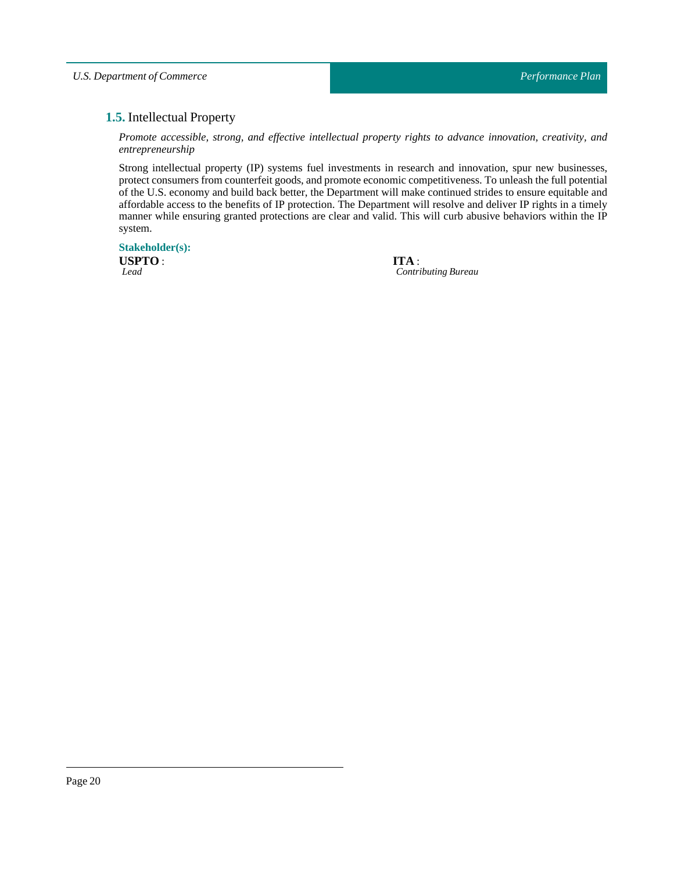## <span id="page-19-0"></span>**1.5.** Intellectual Property

*Promote accessible, strong, and effective intellectual property rights to advance innovation, creativity, and entrepreneurship*

Strong intellectual property (IP) systems fuel investments in research and innovation, spur new businesses, protect consumers from counterfeit goods, and promote economic competitiveness. To unleash the full potential of the U.S. economy and build back better, the Department will make continued strides to ensure equitable and affordable access to the benefits of IP protection. The Department will resolve and deliver IP rights in a timely manner while ensuring granted protections are clear and valid. This will curb abusive behaviors within the IP system.

### **Stakeholder(s):**

**USPTO** : *Lead*

**ITA** : *Contributing Bureau*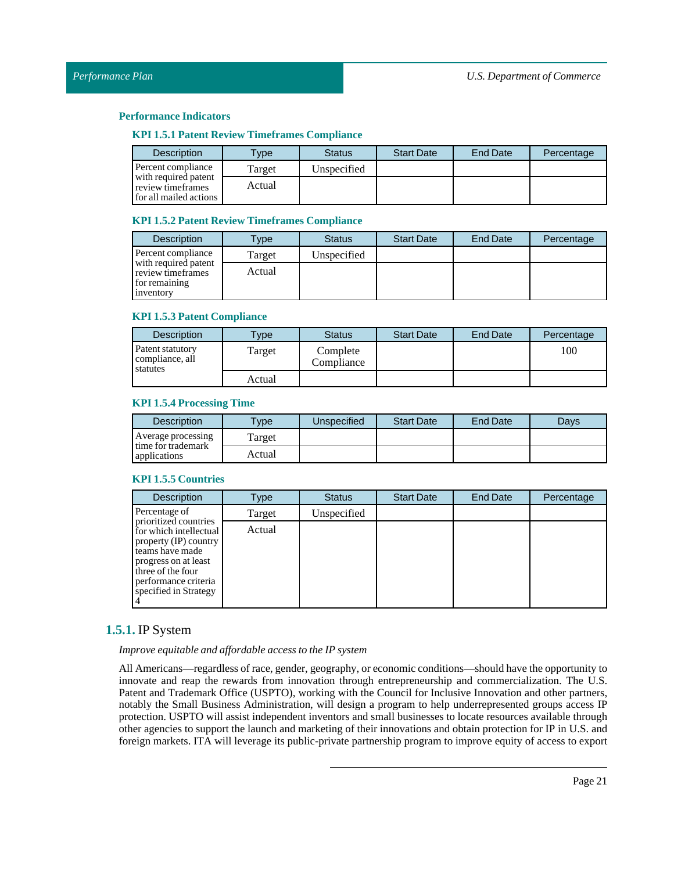### **KPI 1.5.1 Patent Review Timeframes Compliance**

| <b>Description</b>                                                   | <b>Type</b> | <b>Status</b> | <b>Start Date</b> | End Date | Percentage |
|----------------------------------------------------------------------|-------------|---------------|-------------------|----------|------------|
| Percent compliance                                                   | Target      | Unspecified   |                   |          |            |
| with required patent<br>review time frames<br>for all mailed actions | Actual      |               |                   |          |            |

#### **KPI 1.5.2 Patent Review Timeframes Compliance**

| Description                                                             | $T$ ype | <b>Status</b> | <b>Start Date</b> | <b>End Date</b> | Percentage |
|-------------------------------------------------------------------------|---------|---------------|-------------------|-----------------|------------|
| Percent compliance                                                      | Target  | Unspecified   |                   |                 |            |
| with required patent<br>review timeframes<br>for remaining<br>inventory | Actual  |               |                   |                 |            |

### **KPI 1.5.3 Patent Compliance**

| <b>Description</b>                              | <b>Type</b> | <b>Status</b>          | <b>Start Date</b> | <b>End Date</b> | Percentage |
|-------------------------------------------------|-------------|------------------------|-------------------|-----------------|------------|
| Patent statutory<br>compliance, all<br>statutes | Target      | Complete<br>Compliance |                   |                 | 100        |
|                                                 | Actual      |                        |                   |                 |            |

### **KPI 1.5.4 Processing Time**

| <b>Description</b>                 | vpe    | Unspecified | <b>Start Date</b> | <b>End Date</b> | Davs |
|------------------------------------|--------|-------------|-------------------|-----------------|------|
| Average processing                 | Target |             |                   |                 |      |
| time for trademark<br>applications | Actual |             |                   |                 |      |

### **KPI 1.5.5 Countries**

| <b>Description</b>                                                                                                                                                                          | Type   | <b>Status</b> | <b>Start Date</b> | <b>End Date</b> | Percentage |
|---------------------------------------------------------------------------------------------------------------------------------------------------------------------------------------------|--------|---------------|-------------------|-----------------|------------|
| Percentage of                                                                                                                                                                               | Target | Unspecified   |                   |                 |            |
| prioritized countries<br>for which intellectual<br>property $(IP)$ country<br>teams have made<br>progress on at least<br>three of the four<br>performance criteria<br>specified in Strategy | Actual |               |                   |                 |            |

## <span id="page-20-0"></span>**1.5.1.** IP System

#### *Improve equitable and affordable access to the IP system*

All Americans—regardless of race, gender, geography, or economic conditions—should have the opportunity to innovate and reap the rewards from innovation through entrepreneurship and commercialization. The U.S. Patent and Trademark Office (USPTO), working with the Council for Inclusive Innovation and other partners, notably the Small Business Administration, will design a program to help underrepresented groups access IP protection. USPTO will assist independent inventors and small businesses to locate resources available through other agencies to support the launch and marketing of their innovations and obtain protection for IP in U.S. and foreign markets. ITA will leverage its public-private partnership program to improve equity of access to export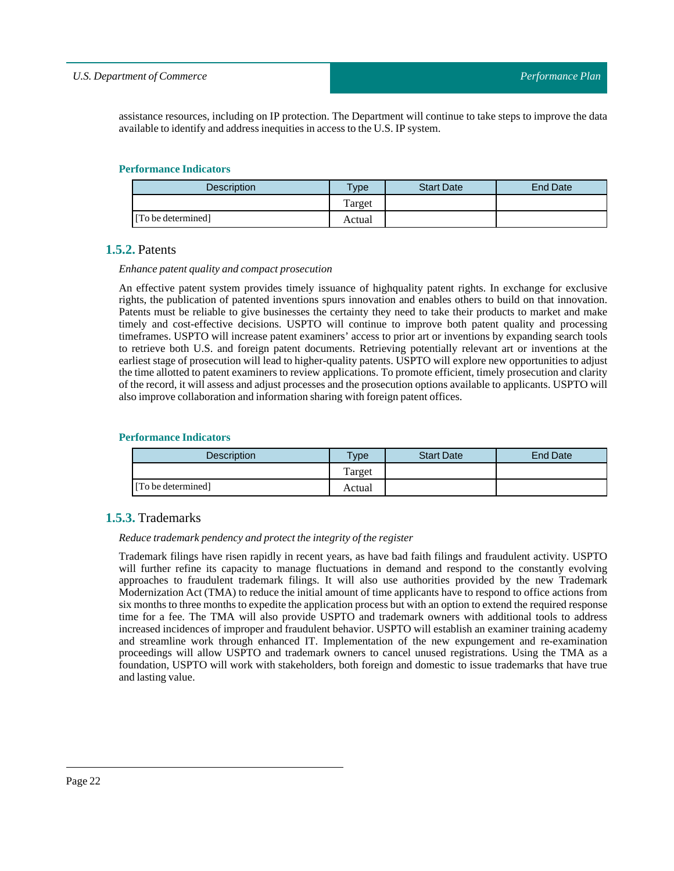assistance resources, including on IP protection. The Department will continue to take steps to improve the data available to identify and address inequities in access to the U.S. IP system.

#### **Performance Indicators**

| <b>Description</b> | Type   | <b>Start Date</b> | End Date |
|--------------------|--------|-------------------|----------|
|                    | Target |                   |          |
| [To be determined] | Actual |                   |          |

## <span id="page-21-0"></span>**1.5.2.** Patents

### *Enhance patent quality and compact prosecution*

An effective patent system provides timely issuance of highquality patent rights. In exchange for exclusive rights, the publication of patented inventions spurs innovation and enables others to build on that innovation. Patents must be reliable to give businesses the certainty they need to take their products to market and make timely and cost-effective decisions. USPTO will continue to improve both patent quality and processing timeframes. USPTO will increase patent examiners' access to prior art or inventions by expanding search tools to retrieve both U.S. and foreign patent documents. Retrieving potentially relevant art or inventions at the earliest stage of prosecution will lead to higher-quality patents. USPTO will explore new opportunities to adjust the time allotted to patent examiners to review applications. To promote efficient, timely prosecution and clarity of the record, it will assess and adjust processes and the prosecution options available to applicants. USPTO will also improve collaboration and information sharing with foreign patent offices.

#### **Performance Indicators**

| <b>Description</b> | $T$ <sub>ype</sub> | <b>Start Date</b> | End Date |
|--------------------|--------------------|-------------------|----------|
|                    | Target             |                   |          |
| [To be determined] | Actual             |                   |          |

## <span id="page-21-1"></span>**1.5.3.** Trademarks

#### *Reduce trademark pendency and protectthe integrity ofthe register*

Trademark filings have risen rapidly in recent years, as have bad faith filings and fraudulent activity. USPTO will further refine its capacity to manage fluctuations in demand and respond to the constantly evolving approaches to fraudulent trademark filings. It will also use authorities provided by the new Trademark Modernization Act (TMA) to reduce the initial amount of time applicants have to respond to office actions from six months to three months to expedite the application process but with an option to extend the required response time for a fee. The TMA will also provide USPTO and trademark owners with additional tools to address increased incidences of improper and fraudulent behavior. USPTO will establish an examiner training academy and streamline work through enhanced IT. Implementation of the new expungement and re-examination proceedings will allow USPTO and trademark owners to cancel unused registrations. Using the TMA as a foundation, USPTO will work with stakeholders, both foreign and domestic to issue trademarks that have true and lasting value.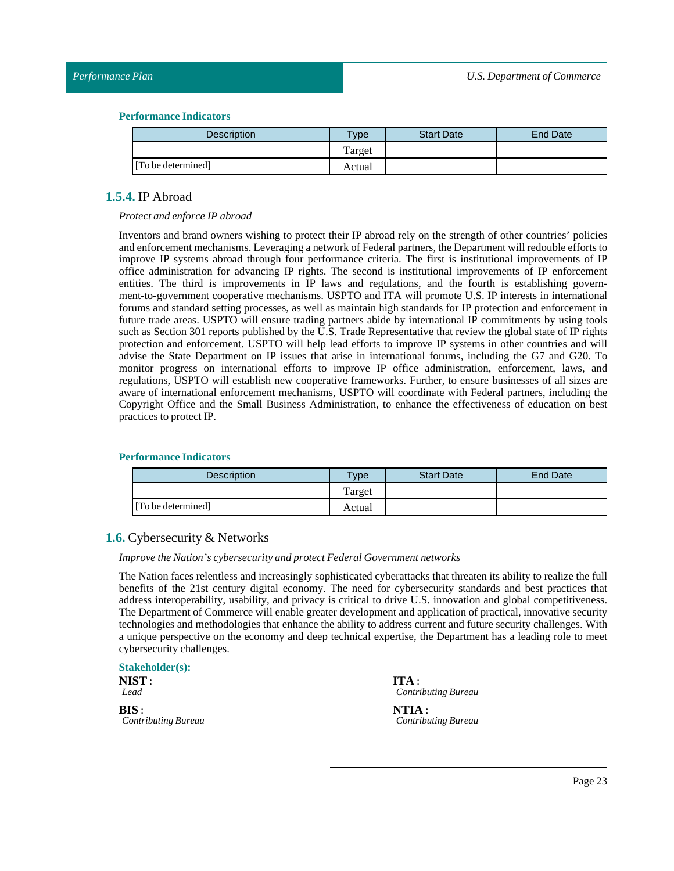| <b>Description</b> | vpe    | <b>Start Date</b> | <b>End Date</b> |
|--------------------|--------|-------------------|-----------------|
|                    | Target |                   |                 |
| [To be determined] | Actual |                   |                 |

## <span id="page-22-0"></span>**1.5.4.** IP Abroad

#### *Protect and enforce IP abroad*

Inventors and brand owners wishing to protect their IP abroad rely on the strength of other countries' policies and enforcement mechanisms. Leveraging a network of Federal partners, the Department will redouble efforts to improve IP systems abroad through four performance criteria. The first is institutional improvements of IP office administration for advancing IP rights. The second is institutional improvements of IP enforcement entities. The third is improvements in IP laws and regulations, and the fourth is establishing government-to-government cooperative mechanisms. USPTO and ITA will promote U.S. IP interests in international forums and standard setting processes, as well as maintain high standards for IP protection and enforcement in future trade areas. USPTO will ensure trading partners abide by international IP commitments by using tools such as Section 301 reports published by the U.S. Trade Representative that review the global state of IP rights protection and enforcement. USPTO will help lead efforts to improve IP systems in other countries and will advise the State Department on IP issues that arise in international forums, including the G7 and G20. To monitor progress on international efforts to improve IP office administration, enforcement, laws, and regulations, USPTO will establish new cooperative frameworks. Further, to ensure businesses of all sizes are aware of international enforcement mechanisms, USPTO will coordinate with Federal partners, including the Copyright Office and the Small Business Administration, to enhance the effectiveness of education on best practices to protect IP.

#### **Performance Indicators**

| <b>Description</b> | <b>Type</b> | <b>Start Date</b> | End Date |
|--------------------|-------------|-------------------|----------|
|                    | Target      |                   |          |
| [To be determined] | Actual      |                   |          |

## <span id="page-22-1"></span>**1.6.** Cybersecurity & Networks

**Stakeholder(s):**

#### *Improve the Nation's cybersecurity and protect Federal Government networks*

The Nation faces relentless and increasingly sophisticated cyberattacks that threaten its ability to realize the full benefits of the 21st century digital economy. The need for cybersecurity standards and best practices that address interoperability, usability, and privacy is critical to drive U.S. innovation and global competitiveness. The Department of Commerce will enable greater development and application of practical, innovative security technologies and methodologies that enhance the ability to address current and future security challenges. With a unique perspective on the economy and deep technical expertise, the Department has a leading role to meet cybersecurity challenges.

| Stakenoider(s):            |                            |
|----------------------------|----------------------------|
| <b>NIST:</b>               | ITA:                       |
| Lead                       | <b>Contributing Bureau</b> |
| BIS:                       | NTIA:                      |
| <b>Contributing Bureau</b> | <b>Contributing Bureau</b> |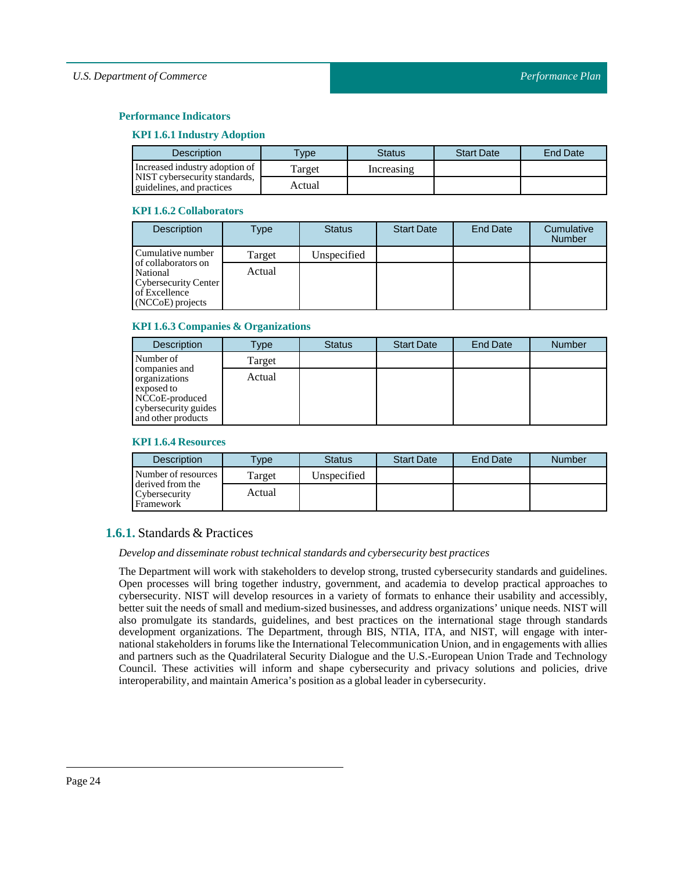### *U.S. Department of Commerce*

#### **Performance Indicators**

#### **KPI 1.6.1 Industry Adoption**

| <b>Description</b>                                         | <b>Type</b> | <b>Status</b> | <b>Start Date</b> | End Date |
|------------------------------------------------------------|-------------|---------------|-------------------|----------|
| Increased industry adoption of                             | Target      | Increasing    |                   |          |
| NIST cybersecurity standards,<br>guidelines, and practices | Actual      |               |                   |          |

#### **KPI 1.6.2 Collaborators**

| <b>Description</b>                                                                                  | Type   | <b>Status</b> | <b>Start Date</b> | <b>End Date</b> | Cumulative<br><b>Number</b> |
|-----------------------------------------------------------------------------------------------------|--------|---------------|-------------------|-----------------|-----------------------------|
| Cumulative number                                                                                   | Target | Unspecified   |                   |                 |                             |
| of collaborators on<br>National<br><b>Cybersecurity Center</b><br>of Excellence<br>(NCCoE) projects | Actual |               |                   |                 |                             |

### **KPI 1.6.3 Companies & Organizations**

| <b>Description</b>                                                                                           | Type   | <b>Status</b> | <b>Start Date</b> | <b>End Date</b> | <b>Number</b> |
|--------------------------------------------------------------------------------------------------------------|--------|---------------|-------------------|-----------------|---------------|
| Number of                                                                                                    | Target |               |                   |                 |               |
| companies and<br>organizations<br>exposed to<br>NCCoE-produced<br>cybersecurity guides<br>and other products | Actual |               |                   |                 |               |

#### **KPI 1.6.4 Resources**

| <b>Description</b>                             | <b>Type</b> | <b>Status</b> | <b>Start Date</b> | End Date | <b>Number</b> |
|------------------------------------------------|-------------|---------------|-------------------|----------|---------------|
| Number of resources                            | Target      | Unspecified   |                   |          |               |
| derived from the<br>Cybersecurity<br>Framework | Actual      |               |                   |          |               |

## <span id="page-23-0"></span>**1.6.1.** Standards & Practices

#### *Develop and disseminate robusttechnical standards and cybersecurity best practices*

The Department will work with stakeholders to develop strong, trusted cybersecurity standards and guidelines. Open processes will bring together industry, government, and academia to develop practical approaches to cybersecurity. NIST will develop resources in a variety of formats to enhance their usability and accessibly, better suit the needs of small and medium-sized businesses, and address organizations' unique needs. NIST will also promulgate its standards, guidelines, and best practices on the international stage through standards development organizations. The Department, through BIS, NTIA, ITA, and NIST, will engage with international stakeholders in forums like the International Telecommunication Union, and in engagements with allies and partners such as the Quadrilateral Security Dialogue and the U.S.-European Union Trade and Technology Council. These activities will inform and shape cybersecurity and privacy solutions and policies, drive interoperability, and maintain America's position as a global leader in cybersecurity.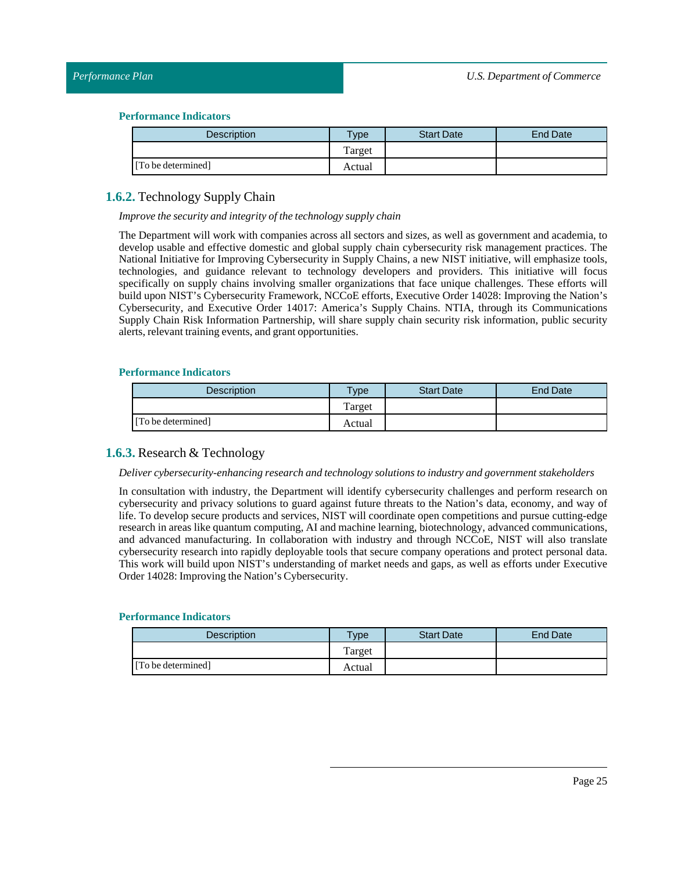| Description        | vpe    | <b>Start Date</b> | <b>End Date</b> |
|--------------------|--------|-------------------|-----------------|
|                    | Target |                   |                 |
| [To be determined] | Actual |                   |                 |

## <span id="page-24-0"></span>**1.6.2.** Technology Supply Chain

#### *Improve the security and integrity of the technology supply chain*

The Department will work with companies across all sectors and sizes, as well as government and academia, to develop usable and effective domestic and global supply chain cybersecurity risk management practices. The National Initiative for Improving Cybersecurity in Supply Chains, a new NIST initiative, will emphasize tools, technologies, and guidance relevant to technology developers and providers. This initiative will focus specifically on supply chains involving smaller organizations that face unique challenges. These efforts will build upon NIST's Cybersecurity Framework, NCCoE efforts, Executive Order 14028: Improving the Nation's Cybersecurity, and Executive Order 14017: America's Supply Chains. NTIA, through its Communications Supply Chain Risk Information Partnership, will share supply chain security risk information, public security alerts, relevant training events, and grant opportunities.

### **Performance Indicators**

| <b>Description</b> | $T$ ype | <b>Start Date</b> | End Date |
|--------------------|---------|-------------------|----------|
|                    | Target  |                   |          |
| [To be determined] | Actual  |                   |          |

## <span id="page-24-1"></span>**1.6.3.** Research & Technology

#### *Deliver cybersecurity-enhancing research and technology solutions to industry and government stakeholders*

In consultation with industry, the Department will identify cybersecurity challenges and perform research on cybersecurity and privacy solutions to guard against future threats to the Nation's data, economy, and way of life. To develop secure products and services, NIST will coordinate open competitions and pursue cutting-edge research in areas like quantum computing, AI and machine learning, biotechnology, advanced communications, and advanced manufacturing. In collaboration with industry and through NCCoE, NIST will also translate cybersecurity research into rapidly deployable tools that secure company operations and protect personal data. This work will build upon NIST's understanding of market needs and gaps, as well as efforts under Executive Order 14028: Improving the Nation's Cybersecurity.

| <b>Description</b> | $v_{\rm p}$ | <b>Start Date</b> | End Date |
|--------------------|-------------|-------------------|----------|
|                    | Target      |                   |          |
| [To be determined] | Actual      |                   |          |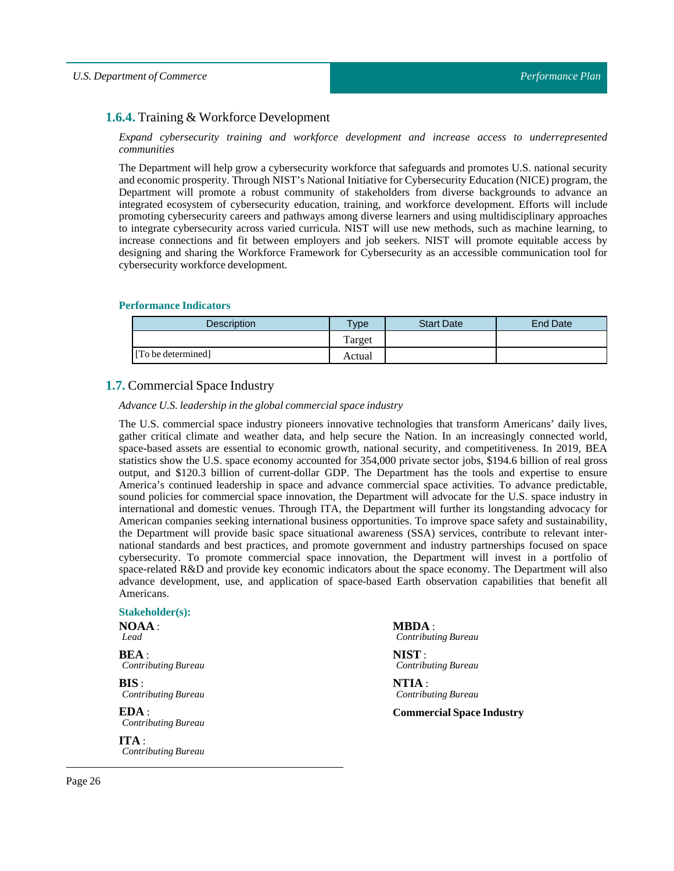## <span id="page-25-0"></span>**1.6.4.** Training & Workforce Development

*Expand cybersecurity training and workforce development and increase access to underrepresented communities*

The Department will help grow a cybersecurity workforce that safeguards and promotes U.S. national security and economic prosperity. Through NIST's National Initiative for Cybersecurity Education (NICE) program, the Department will promote a robust community of stakeholders from diverse backgrounds to advance an integrated ecosystem of cybersecurity education, training, and workforce development. Efforts will include promoting cybersecurity careers and pathways among diverse learners and using multidisciplinary approaches to integrate cybersecurity across varied curricula. NIST will use new methods, such as machine learning, to increase connections and fit between employers and job seekers. NIST will promote equitable access by designing and sharing the Workforce Framework for Cybersecurity as an accessible communication tool for cybersecurity workforce development.

#### **Performance Indicators**

| <b>Description</b> | vpe    | <b>Start Date</b> | End Date |
|--------------------|--------|-------------------|----------|
|                    | Target |                   |          |
| [To be determined] | Actual |                   |          |

### <span id="page-25-1"></span>**1.7.** Commercial Space Industry

#### *Advance U.S.leadership in the global commercial space industry*

The U.S. commercial space industry pioneers innovative technologies that transform Americans' daily lives, gather critical climate and weather data, and help secure the Nation. In an increasingly connected world, space-based assets are essential to economic growth, national security, and competitiveness. In 2019, BEA statistics show the U.S. space economy accounted for 354,000 private sector jobs, \$194.6 billion of real gross output, and \$120.3 billion of current-dollar GDP. The Department has the tools and expertise to ensure America's continued leadership in space and advance commercial space activities. To advance predictable, sound policies for commercial space innovation, the Department will advocate for the U.S. space industry in international and domestic venues. Through ITA, the Department will further its longstanding advocacy for American companies seeking international business opportunities. To improve space safety and sustainability, the Department will provide basic space situational awareness (SSA) services, contribute to relevant international standards and best practices, and promote government and industry partnerships focused on space cybersecurity. To promote commercial space innovation, the Department will invest in a portfolio of space-related R&D and provide key economic indicators about the space economy. The Department will also advance development, use, and application of space-based Earth observation capabilities that benefit all Americans.

#### **Stakeholder(s):**

**NOAA** : *Lead*

**BEA** : *Contributing Bureau*

**BIS** : *Contributing Bureau*

**EDA** : *Contributing Bureau*

**ITA** : *Contributing Bureau* **MBDA** :

*Contributing Bureau*

**NIST** : *Contributing Bureau*

**NTIA** : *Contributing Bureau*

**CommercialSpace Industry**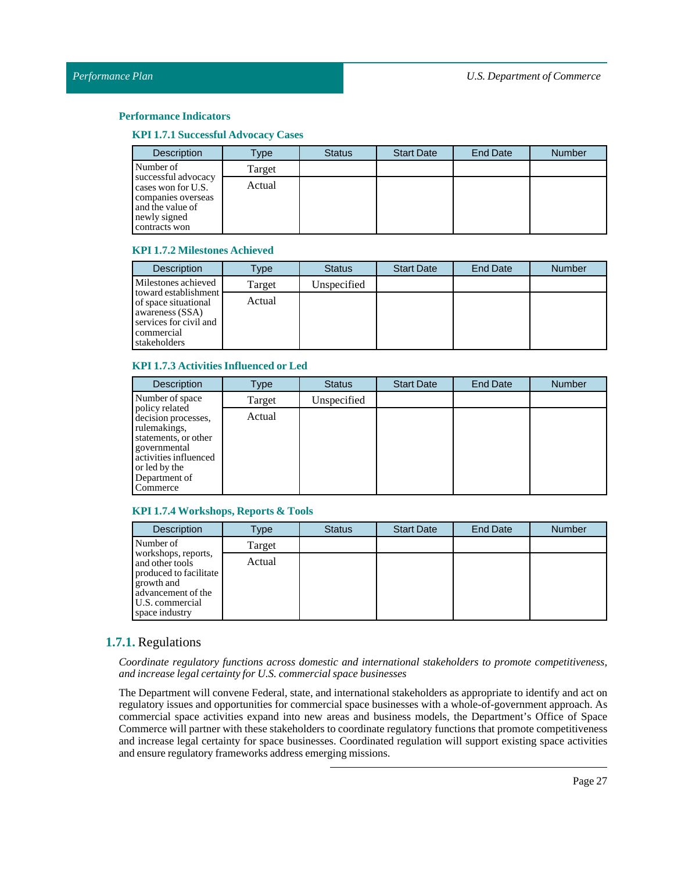## **KPI 1.7.1Successful Advocacy Cases**

| <b>Description</b>                                                                                                   | Type   | <b>Status</b> | <b>Start Date</b> | <b>End Date</b> | <b>Number</b> |
|----------------------------------------------------------------------------------------------------------------------|--------|---------------|-------------------|-----------------|---------------|
| Number of                                                                                                            | Target |               |                   |                 |               |
| successful advocacy<br>cases won for U.S.<br>companies overseas<br>and the value of<br>newly signed<br>contracts won | Actual |               |                   |                 |               |

### **KPI 1.7.2 Milestones Achieved**

| <b>Description</b>                                                                                                      | Type   | <b>Status</b> | <b>Start Date</b> | <b>End Date</b> | <b>Number</b> |
|-------------------------------------------------------------------------------------------------------------------------|--------|---------------|-------------------|-----------------|---------------|
| Milestones achieved                                                                                                     | Target | Unspecified   |                   |                 |               |
| toward establishment<br>of space situational<br>awareness (SSA)<br>services for civil and<br>commercial<br>stakeholders | Actual |               |                   |                 |               |

### **KPI 1.7.3 Activities Influencedor Led**

| <b>Description</b>                                                                                                                                                   | Type   | <b>Status</b> | <b>Start Date</b> | <b>End Date</b> | <b>Number</b> |
|----------------------------------------------------------------------------------------------------------------------------------------------------------------------|--------|---------------|-------------------|-----------------|---------------|
| Number of space                                                                                                                                                      | Target | Unspecified   |                   |                 |               |
| policy related<br>decision processes,<br>rulemakings,<br>statements, or other<br>governmental<br>activities influenced<br>or led by the<br>Department of<br>Commerce | Actual |               |                   |                 |               |

#### **KPI 1.7.4 Workshops, Reports & Tools**

| <b>Description</b>                                                                                                                        | Type   | <b>Status</b> | <b>Start Date</b> | <b>End Date</b> | <b>Number</b> |
|-------------------------------------------------------------------------------------------------------------------------------------------|--------|---------------|-------------------|-----------------|---------------|
| Number of                                                                                                                                 | Target |               |                   |                 |               |
| workshops, reports,<br>and other tools<br>produced to facilitate<br>growth and<br>advancement of the<br>U.S. commercial<br>space industry | Actual |               |                   |                 |               |

## <span id="page-26-0"></span>**1.7.1.** Regulations

*Coordinate regulatory functions across domestic and international stakeholders to promote competitiveness, and increase legal certainty for U.S. commercial space businesses*

The Department will convene Federal, state, and international stakeholders as appropriate to identify and act on regulatory issues and opportunities for commercial space businesses with a whole-of-government approach. As commercial space activities expand into new areas and business models, the Department's Office of Space Commerce will partner with these stakeholders to coordinate regulatory functions that promote competitiveness and increase legal certainty for space businesses. Coordinated regulation will support existing space activities and ensure regulatory frameworks address emerging missions.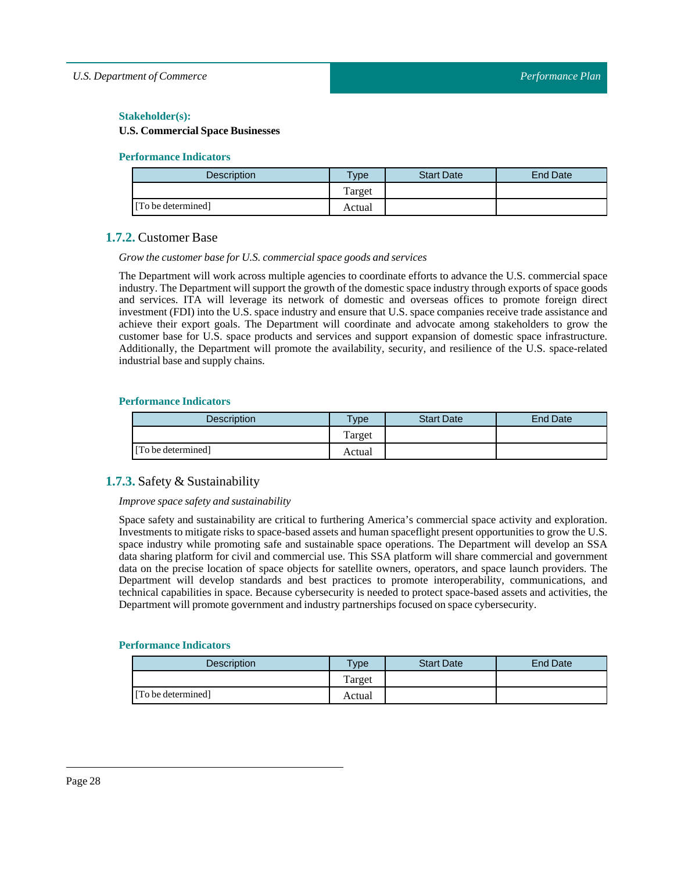#### $Stakeholder(s):$

#### **U.S. CommercialSpace Businesses**

#### **Performance Indicators**

| Description        | <b>Type</b> | <b>Start Date</b> | <b>End Date</b> |
|--------------------|-------------|-------------------|-----------------|
|                    | Target      |                   |                 |
| [To be determined] | Actual      |                   |                 |

## <span id="page-27-0"></span>**1.7.2.** Customer Base

#### *Grow the customer base for U.S. commercial space goods and services*

The Department will work across multiple agencies to coordinate efforts to advance the U.S. commercial space industry. The Department will support the growth of the domestic space industry through exports of space goods and services. ITA will leverage its network of domestic and overseas offices to promote foreign direct investment (FDI) into the U.S. space industry and ensure that U.S. space companies receive trade assistance and achieve their export goals. The Department will coordinate and advocate among stakeholders to grow the customer base for U.S. space products and services and support expansion of domestic space infrastructure. Additionally, the Department will promote the availability, security, and resilience of the U.S. space-related industrial base and supply chains.

### **Performance Indicators**

| <b>Description</b> | $T$ ype | <b>Start Date</b> | End Date |
|--------------------|---------|-------------------|----------|
|                    | Target  |                   |          |
| [To be determined] | Actual  |                   |          |

### <span id="page-27-1"></span>**1.7.3.** Safety & Sustainability

#### *Improve space safety and sustainability*

Space safety and sustainability are critical to furthering America's commercial space activity and exploration. Investments to mitigate risks to space-based assets and human spaceflight present opportunities to grow the U.S. space industry while promoting safe and sustainable space operations. The Department will develop an SSA data sharing platform for civil and commercial use. This SSA platform will share commercial and government data on the precise location of space objects for satellite owners, operators, and space launch providers. The Department will develop standards and best practices to promote interoperability, communications, and technical capabilities in space. Because cybersecurity is needed to protect space-based assets and activities, the Department will promote government and industry partnerships focused on space cybersecurity.

| <b>Description</b> | <b>Vpe</b> | <b>Start Date</b> | <b>End Date</b> |
|--------------------|------------|-------------------|-----------------|
|                    | Target     |                   |                 |
| [To be determined] | Actual     |                   |                 |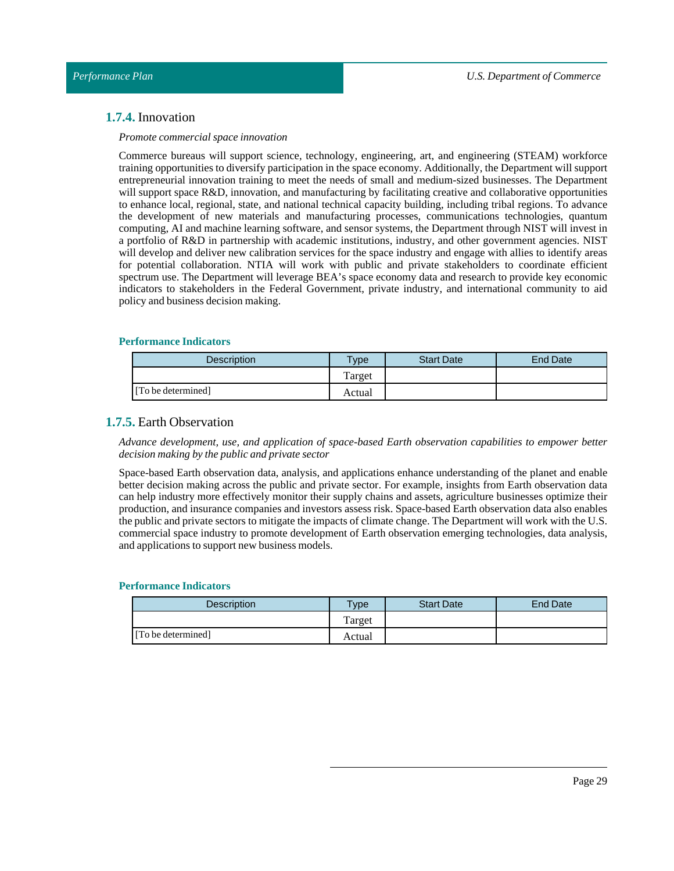## <span id="page-28-0"></span>**1.7.4.** Innovation

#### *Promote commercial space innovation*

Commerce bureaus will support science, technology, engineering, art, and engineering (STEAM) workforce training opportunities to diversify participation in the space economy. Additionally, the Department will support entrepreneurial innovation training to meet the needs of small and medium-sized businesses. The Department will support space R&D, innovation, and manufacturing by facilitating creative and collaborative opportunities to enhance local, regional, state, and national technical capacity building, including tribal regions. To advance the development of new materials and manufacturing processes, communications technologies, quantum computing, AI and machine learning software, and sensor systems, the Department through NIST will invest in a portfolio of R&D in partnership with academic institutions, industry, and other government agencies. NIST will develop and deliver new calibration services for the space industry and engage with allies to identify areas for potential collaboration. NTIA will work with public and private stakeholders to coordinate efficient spectrum use. The Department will leverage BEA's space economy data and research to provide key economic indicators to stakeholders in the Federal Government, private industry, and international community to aid policy and business decision making.

#### **Performance Indicators**

| Description        | $T$ ype | <b>Start Date</b> | <b>End Date</b> |
|--------------------|---------|-------------------|-----------------|
|                    | Target  |                   |                 |
| [To be determined] | Actual  |                   |                 |

### <span id="page-28-1"></span>**1.7.5.** Earth Observation

*Advance development, use, and application of space-based Earth observation capabilities to empower better decision making by the public and private sector*

Space-based Earth observation data, analysis, and applications enhance understanding of the planet and enable better decision making across the public and private sector. For example, insights from Earth observation data can help industry more effectively monitor their supply chains and assets, agriculture businesses optimize their production, and insurance companies and investors assess risk. Space-based Earth observation data also enables the public and private sectors to mitigate the impacts of climate change. The Department will work with the U.S. commercial space industry to promote development of Earth observation emerging technologies, data analysis, and applications to support new business models.

| <b>Description</b> | T <sub>V</sub> | <b>Start Date</b> | End Date |
|--------------------|----------------|-------------------|----------|
|                    | Target         |                   |          |
| [To be determined] | Actual         |                   |          |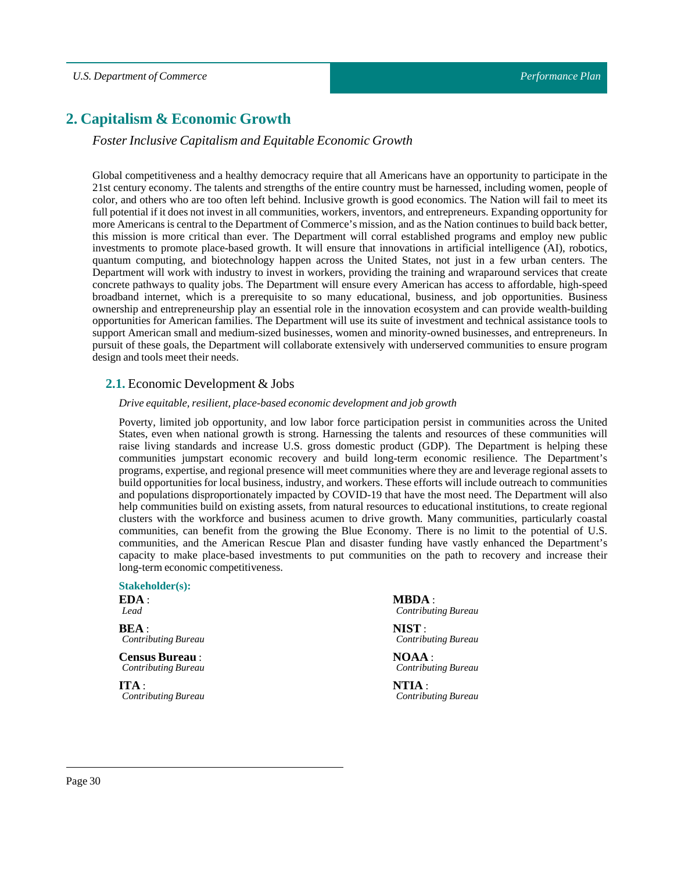## <span id="page-29-0"></span>PLACEHOLDER\_60 **2. Capitalism & Economic Growth**

*Foster Inclusive Capitalism and Equitable Economic Growth*

Global competitiveness and a healthy democracy require that all Americans have an opportunity to participate in the 21st century economy. The talents and strengths of the entire country must be harnessed, including women, people of color, and others who are too often left behind. Inclusive growth is good economics. The Nation will fail to meet its full potential if it does not invest in all communities, workers, inventors, and entrepreneurs. Expanding opportunity for more Americans is central to the Department of Commerce's mission, and as the Nation continues to build back better, this mission is more critical than ever. The Department will corral established programs and employ new public investments to promote place-based growth. It will ensure that innovations in artificial intelligence (AI), robotics, quantum computing, and biotechnology happen across the United States, not just in a few urban centers. The Department will work with industry to invest in workers, providing the training and wraparound services that create concrete pathways to quality jobs. The Department will ensure every American has access to affordable, high-speed broadband internet, which is a prerequisite to so many educational, business, and job opportunities. Business ownership and entrepreneurship play an essential role in the innovation ecosystem and can provide wealth-building opportunities for American families. The Department will use its suite of investment and technical assistance tools to support American small and medium-sized businesses, women and minority-owned businesses, and entrepreneurs. In pursuit of these goals, the Department will collaborate extensively with underserved communities to ensure program design and tools meet their needs.

## <span id="page-29-1"></span>**2.1.** Economic Development & Jobs

#### *Drive equitable, resilient, place-based economic development and job growth*

Poverty, limited job opportunity, and low labor force participation persist in communities across the United States, even when national growth is strong. Harnessing the talents and resources of these communities will raise living standards and increase U.S. gross domestic product (GDP). The Department is helping these communities jumpstart economic recovery and build long-term economic resilience. The Department's programs, expertise, and regional presence will meet communities where they are and leverage regional assets to build opportunities for local business, industry, and workers. These efforts will include outreach to communities and populations disproportionately impacted by COVID-19 that have the most need. The Department will also help communities build on existing assets, from natural resources to educational institutions, to create regional clusters with the workforce and business acumen to drive growth. Many communities, particularly coastal communities, can benefit from the growing the Blue Economy. There is no limit to the potential of U.S. communities, and the American Rescue Plan and disaster funding have vastly enhanced the Department's capacity to make place-based investments to put communities on the path to recovery and increase their long-term economic competitiveness.

#### **Stakeholder(s):**

**EDA** : *Lead*

**BEA** : *Contributing Bureau*

**Census Bureau** : *Contributing Bureau*

**ITA** : *Contributing Bureau* **MBDA** : *Contributing Bureau*

**NIST** : *Contributing Bureau*

**NOAA** : *Contributing Bureau*

**NTIA** : *Contributing Bureau*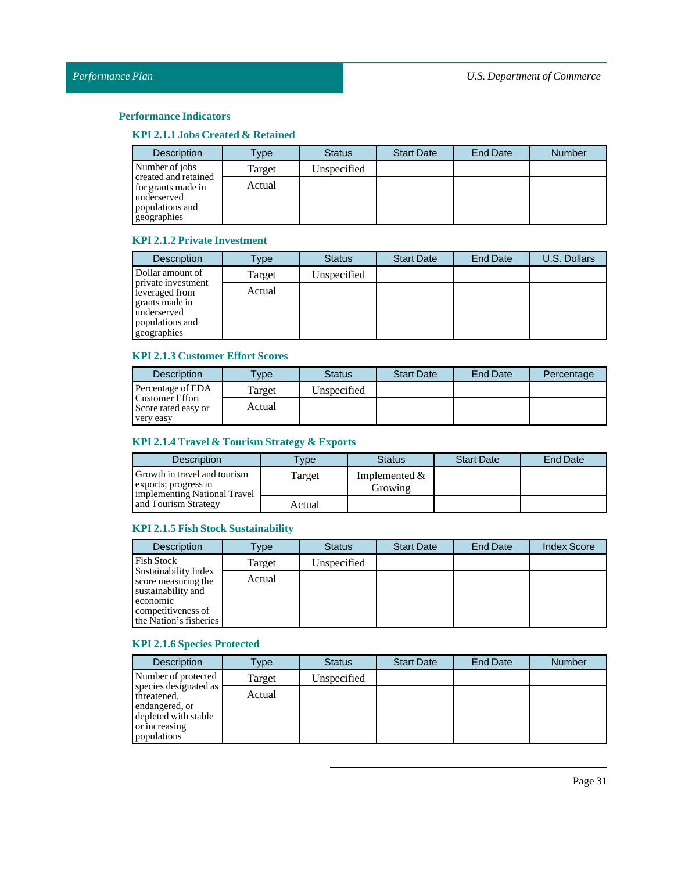## **KPI 2.1.1 Jobs Created & Retained**

| <b>Description</b>                                                                          | Type   | <b>Status</b> | <b>Start Date</b> | <b>End Date</b> | <b>Number</b> |
|---------------------------------------------------------------------------------------------|--------|---------------|-------------------|-----------------|---------------|
| Number of jobs                                                                              | Target | Unspecified   |                   |                 |               |
| created and retained<br>for grants made in<br>underserved<br>populations and<br>geographies | Actual |               |                   |                 |               |

### **KPI 2.1.2 Private Investment**

| <b>Description</b>                                                                                      | Type   | <b>Status</b> | <b>Start Date</b> | End Date | U.S. Dollars |
|---------------------------------------------------------------------------------------------------------|--------|---------------|-------------------|----------|--------------|
| Dollar amount of                                                                                        | Target | Unspecified   |                   |          |              |
| private investment<br>leveraged from<br>grants made in<br>underserved<br>populations and<br>geographies | Actual |               |                   |          |              |

## **KPI** 2.1.3 Customer **Effort Scores**

| <b>Description</b>                            | <b>Type</b> | <b>Status</b> | <b>Start Date</b> | <b>End Date</b> | Percentage |
|-----------------------------------------------|-------------|---------------|-------------------|-----------------|------------|
| <b>Percentage of EDA</b>                      | Target      | Unspecified   |                   |                 |            |
| <b>Customer Effort</b><br>Score rated easy or | Actual      |               |                   |                 |            |
| very easy                                     |             |               |                   |                 |            |

## **KPI 2.1.4 Travel & Tourism Strategy & Exports**

| <b>Description</b>                                                                   | <b>Type</b> | <b>Status</b>              | <b>Start Date</b> | <b>End Date</b> |
|--------------------------------------------------------------------------------------|-------------|----------------------------|-------------------|-----------------|
| Growth in travel and tourism<br>exports; progress in<br>implementing National Travel | Target      | Implemented $&$<br>Growing |                   |                 |
| and Tourism Strategy                                                                 | Actual      |                            |                   |                 |

## **KPI 2.1.5 Fish Stock Sustainability**

| <b>Description</b>                                                                                                            | Type   | <b>Status</b> | <b>Start Date</b> | <b>End Date</b> | <b>Index Score</b> |
|-------------------------------------------------------------------------------------------------------------------------------|--------|---------------|-------------------|-----------------|--------------------|
| <b>Fish Stock</b>                                                                                                             | Target | Unspecified   |                   |                 |                    |
| Sustainability Index<br>score measuring the<br>sustainability and<br>economic<br>competitiveness of<br>the Nation's fisheries | Actual |               |                   |                 |                    |

## **KPI 2.1.6Species Protected**

| <b>Description</b>                                                                                             | <b>Type</b> | <b>Status</b> | <b>Start Date</b> | <b>End Date</b> | <b>Number</b> |
|----------------------------------------------------------------------------------------------------------------|-------------|---------------|-------------------|-----------------|---------------|
| Number of protected                                                                                            | Target      | Unspecified   |                   |                 |               |
| species designated as<br>threatened,<br>endangered, or<br>depleted with stable<br>or increasing<br>populations | Actual      |               |                   |                 |               |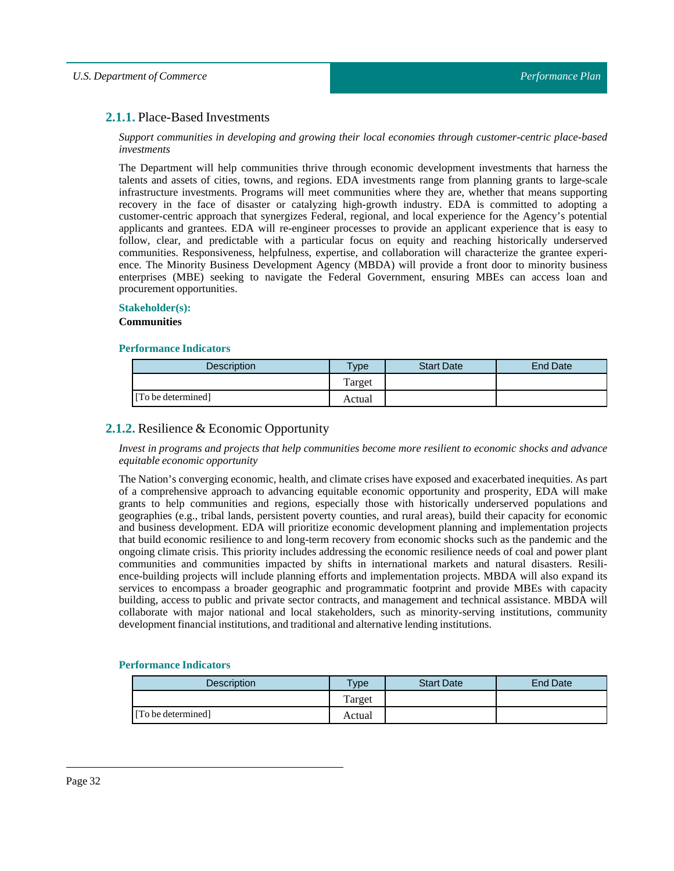## <span id="page-31-0"></span>**2.1.1.** Place-Based Investments

*Support communities in developing and growing their local economies through customer-centric place-based investments*

The Department will help communities thrive through economic development investments that harness the talents and assets of cities, towns, and regions. EDA investments range from planning grants to large-scale infrastructure investments. Programs will meet communities where they are, whether that means supporting recovery in the face of disaster or catalyzing high-growth industry. EDA is committed to adopting a customer-centric approach that synergizes Federal, regional, and local experience for the Agency's potential applicants and grantees. EDA will re-engineer processes to provide an applicant experience that is easy to follow, clear, and predictable with a particular focus on equity and reaching historically underserved communities. Responsiveness, helpfulness, expertise, and collaboration will characterize the grantee experience. The Minority Business Development Agency (MBDA) will provide a front door to minority business enterprises (MBE) seeking to navigate the Federal Government, ensuring MBEs can access loan and procurement opportunities.

### **Stakeholder(s):**

**Communities**

#### **Performance Indicators**

| <b>Description</b> | $v_{\rm p}$ | <b>Start Date</b> | <b>End Date</b> |
|--------------------|-------------|-------------------|-----------------|
|                    | Target      |                   |                 |
| [To be determined] | Actual      |                   |                 |

## <span id="page-31-1"></span>**2.1.2.** Resilience & Economic Opportunity

*Invest in programs and projects that help communities become more resilient to economic shocks and advance equitable economic opportunity*

The Nation's converging economic, health, and climate crises have exposed and exacerbated inequities. As part of a comprehensive approach to advancing equitable economic opportunity and prosperity, EDA will make grants to help communities and regions, especially those with historically underserved populations and geographies (e.g., tribal lands, persistent poverty counties, and rural areas), build their capacity for economic and business development. EDA will prioritize economic development planning and implementation projects that build economic resilience to and long-term recovery from economic shocks such as the pandemic and the ongoing climate crisis. This priority includes addressing the economic resilience needs of coal and power plant communities and communities impacted by shifts in international markets and natural disasters. Resilience-building projects will include planning efforts and implementation projects. MBDA will also expand its services to encompass a broader geographic and programmatic footprint and provide MBEs with capacity building, access to public and private sector contracts, and management and technical assistance. MBDA will collaborate with major national and local stakeholders, such as minority-serving institutions, community development financial institutions, and traditional and alternative lending institutions.

| Description        | $T$ ype | <b>Start Date</b> | End Date |
|--------------------|---------|-------------------|----------|
|                    | Target  |                   |          |
| [To be determined] | Actual  |                   |          |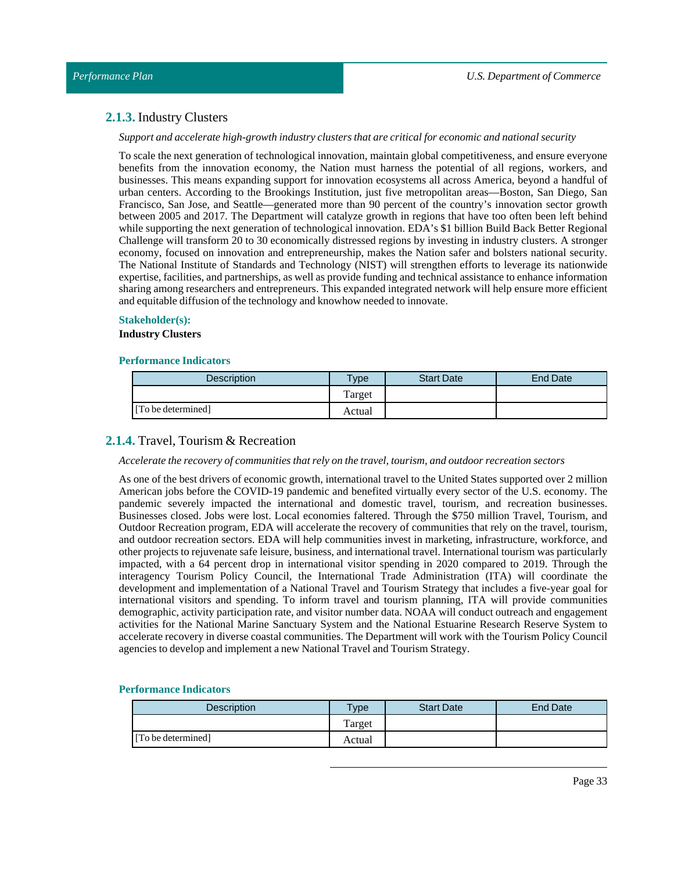## <span id="page-32-0"></span>**2.1.3.** Industry Clusters

#### *Support and accelerate high-growth industry clusters that are criticalfor economic and national security*

To scale the next generation of technological innovation, maintain global competitiveness, and ensure everyone benefits from the innovation economy, the Nation must harness the potential of all regions, workers, and businesses. This means expanding support for innovation ecosystems all across America, beyond a handful of urban centers. According to the Brookings Institution, just five metropolitan areas—Boston, San Diego, San Francisco, San Jose, and Seattle—generated more than 90 percent of the country's innovation sector growth between 2005 and 2017. The Department will catalyze growth in regions that have too often been left behind while supporting the next generation of technological innovation. EDA's \$1 billion Build Back Better Regional Challenge will transform 20 to 30 economically distressed regions by investing in industry clusters. A stronger economy, focused on innovation and entrepreneurship, makes the Nation safer and bolsters national security. The National Institute of Standards and Technology (NIST) will strengthen efforts to leverage its nationwide expertise, facilities, and partnerships, as well as provide funding and technical assistance to enhance information sharing among researchers and entrepreneurs. This expanded integrated network will help ensure more efficient and equitable diffusion of the technology and knowhow needed to innovate.

#### **Stakeholder(s):**

#### **Industry Clusters**

#### **Performance Indicators**

| Description        | $v_{\rm p}$ | <b>Start Date</b> | End Date |
|--------------------|-------------|-------------------|----------|
|                    | Target      |                   |          |
| [To be determined] | Actual      |                   |          |

## <span id="page-32-1"></span>**2.1.4.** Travel, Tourism & Recreation

#### Accelerate the recovery of communities that rely on the travel, tourism, and outdoor recreation sectors

As one of the best drivers of economic growth, international travel to the United States supported over 2 million American jobs before the COVID-19 pandemic and benefited virtually every sector of the U.S. economy. The pandemic severely impacted the international and domestic travel, tourism, and recreation businesses. Businesses closed. Jobs were lost. Local economies faltered. Through the \$750 million Travel, Tourism, and Outdoor Recreation program, EDA will accelerate the recovery of communities that rely on the travel, tourism, and outdoor recreation sectors. EDA will help communities invest in marketing, infrastructure, workforce, and other projects to rejuvenate safe leisure, business, and international travel. International tourism was particularly impacted, with a 64 percent drop in international visitor spending in 2020 compared to 2019. Through the interagency Tourism Policy Council, the International Trade Administration (ITA) will coordinate the development and implementation of a National Travel and Tourism Strategy that includes a five-year goal for international visitors and spending. To inform travel and tourism planning, ITA will provide communities demographic, activity participation rate, and visitor number data. NOAA will conduct outreach and engagement activities for the National Marine Sanctuary System and the National Estuarine Research Reserve System to accelerate recovery in diverse coastal communities. The Department will work with the Tourism Policy Council agencies to develop and implement a new National Travel and Tourism Strategy.

| <b>Description</b> | <b>Type</b> | <b>Start Date</b> | End Date |
|--------------------|-------------|-------------------|----------|
|                    | Target      |                   |          |
| [To be determined] | Actual      |                   |          |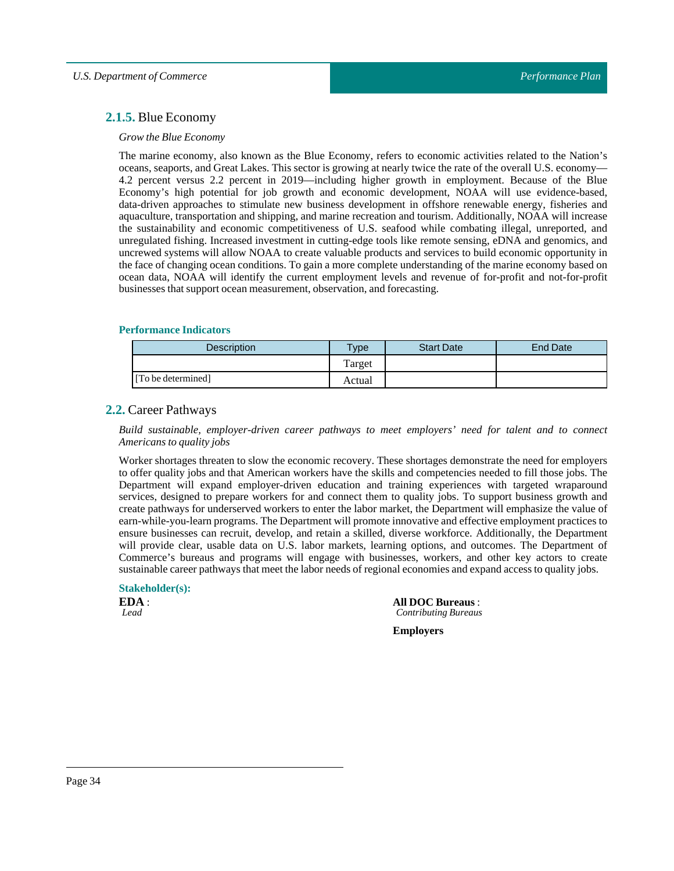## <span id="page-33-0"></span>**2.1.5.** Blue Economy

#### *Grow the Blue Economy*

The marine economy, also known as the Blue Economy, refers to economic activities related to the Nation's oceans, seaports, and Great Lakes. This sector is growing at nearly twice the rate of the overall U.S. economy— 4.2 percent versus 2.2 percent in 2019—including higher growth in employment. Because of the Blue Economy's high potential for job growth and economic development, NOAA will use evidence-based, data-driven approaches to stimulate new business development in offshore renewable energy, fisheries and aquaculture, transportation and shipping, and marine recreation and tourism. Additionally, NOAA will increase the sustainability and economic competitiveness of U.S. seafood while combating illegal, unreported, and unregulated fishing. Increased investment in cutting-edge tools like remote sensing, eDNA and genomics, and uncrewed systems will allow NOAA to create valuable products and services to build economic opportunity in the face of changing ocean conditions. To gain a more complete understanding of the marine economy based on ocean data, NOAA will identify the current employment levels and revenue of for-profit and not-for-profit businesses that support ocean measurement, observation, and forecasting.

#### **Performance Indicators**

| <b>Description</b> | $v_{\rm p}$ | <b>Start Date</b> | End Date |
|--------------------|-------------|-------------------|----------|
|                    | Target      |                   |          |
| [To be determined] | Actual      |                   |          |

## <span id="page-33-1"></span>**2.2.** Career Pathways

*Build sustainable, employer-driven career pathways to meet employers' need for talent and to connect Americans to quality jobs*

Worker shortages threaten to slow the economic recovery. These shortages demonstrate the need for employers to offer quality jobs and that American workers have the skills and competencies needed to fill those jobs. The Department will expand employer-driven education and training experiences with targeted wraparound services, designed to prepare workers for and connect them to quality jobs. To support business growth and create pathways for underserved workers to enter the labor market, the Department will emphasize the value of earn-while-you-learn programs. The Department will promote innovative and effective employment practices to ensure businesses can recruit, develop, and retain a skilled, diverse workforce. Additionally, the Department will provide clear, usable data on U.S. labor markets, learning options, and outcomes. The Department of Commerce's bureaus and programs will engage with businesses, workers, and other key actors to create sustainable career pathways that meet the labor needs of regional economies and expand access to quality jobs.

#### **Stakeholder(s):**

**EDA** : *Lead*

**All DOC Bureaus**: *Contributing Bureaus*

**Employers**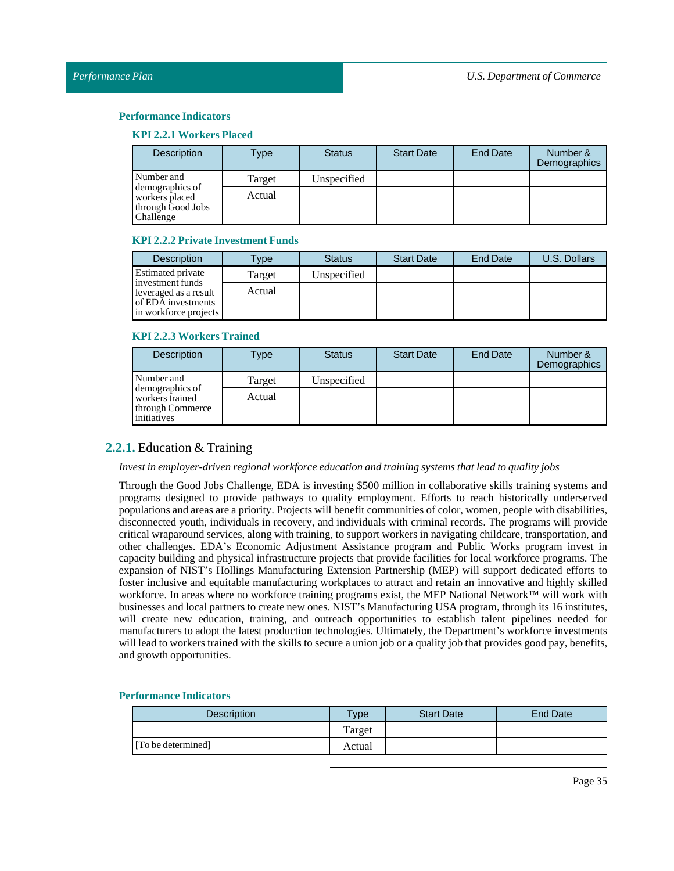#### **KPI 2.2.1 Workers Placed**

| <b>Description</b>                                                  | Type   | <b>Status</b> | <b>Start Date</b> | <b>End Date</b> | Number &<br>Demographics |
|---------------------------------------------------------------------|--------|---------------|-------------------|-----------------|--------------------------|
| Number and                                                          | Target | Unspecified   |                   |                 |                          |
| demographics of<br>workers placed<br>through Good Jobs<br>Challenge | Actual |               |                   |                 |                          |

#### **KPI 2.2.2 Private Investment Funds**

| <b>Description</b>                                                                       | Type   | <b>Status</b> | <b>Start Date</b> | <b>End Date</b> | U.S. Dollars |
|------------------------------------------------------------------------------------------|--------|---------------|-------------------|-----------------|--------------|
| <b>Estimated private</b>                                                                 | Target | Unspecified   |                   |                 |              |
| investment funds<br>leveraged as a result<br>of EDA investments<br>in workforce projects | Actual |               |                   |                 |              |

#### **KPI 2.2.3 Workers Trained**

| <b>Description</b>                                                    | Type   | <b>Status</b> | <b>Start Date</b> | <b>End Date</b> | Number &<br>Demographics |
|-----------------------------------------------------------------------|--------|---------------|-------------------|-----------------|--------------------------|
| Number and                                                            | Target | Unspecified   |                   |                 |                          |
| demographics of<br>workers trained<br>through Commerce<br>initiatives | Actual |               |                   |                 |                          |

## <span id="page-34-0"></span>**2.2.1.** Education & Training

#### *Investin employer-driven regional workforce education and training systems thatlead to quality jobs*

Through the Good Jobs Challenge, EDA is investing \$500 million in collaborative skills training systems and programs designed to provide pathways to quality employment. Efforts to reach historically underserved populations and areas are a priority. Projects will benefit communities of color, women, people with disabilities, disconnected youth, individuals in recovery, and individuals with criminal records. The programs will provide critical wraparound services, along with training, to support workers in navigating childcare, transportation, and other challenges. EDA's Economic Adjustment Assistance program and Public Works program invest in capacity building and physical infrastructure projects that provide facilities for local workforce programs. The expansion of NIST's Hollings Manufacturing Extension Partnership (MEP) will support dedicated efforts to foster inclusive and equitable manufacturing workplaces to attract and retain an innovative and highly skilled workforce. In areas where no workforce training programs exist, the MEP National Network™ will work with businesses and local partners to create new ones. NIST's Manufacturing USA program, through its 16 institutes, will create new education, training, and outreach opportunities to establish talent pipelines needed for manufacturers to adopt the latest production technologies. Ultimately, the Department's workforce investments will lead to workers trained with the skills to secure a union job or a quality job that provides good pay, benefits, and growth opportunities.

| <b>Description</b> | <b>Vpe</b> | <b>Start Date</b> | End Date |
|--------------------|------------|-------------------|----------|
|                    | Target     |                   |          |
| [To be determined] | Actual     |                   |          |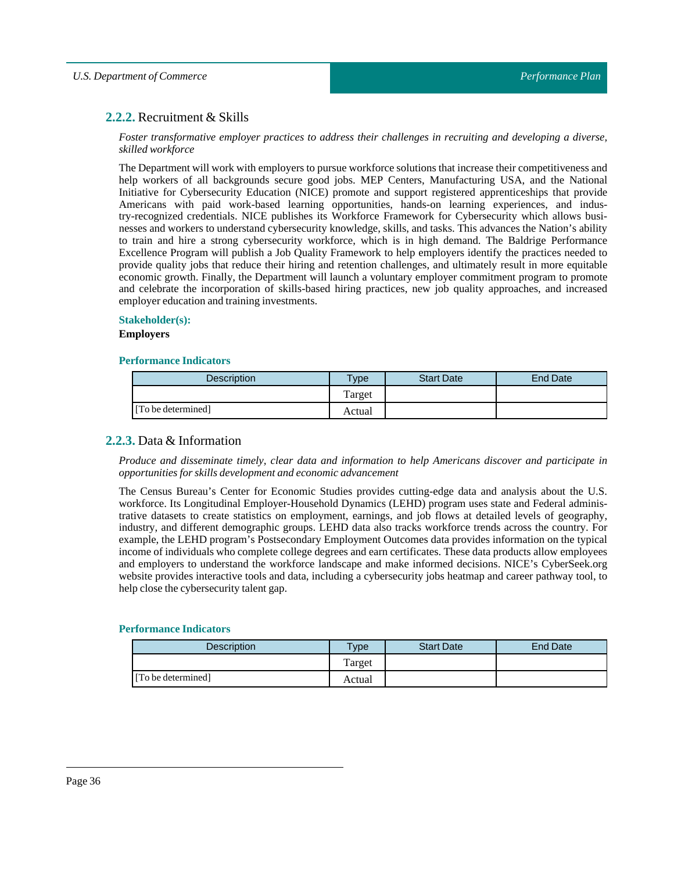### <span id="page-35-0"></span>*U.S. Department of Commerce*

## **2.2.2.** Recruitment & Skills

*Foster transformative employer practices to address their challenges in recruiting and developing a diverse, skilled workforce*

The Department will work with employers to pursue workforce solutions that increase their competitiveness and help workers of all backgrounds secure good jobs. MEP Centers, Manufacturing USA, and the National Initiative for Cybersecurity Education (NICE) promote and support registered apprenticeships that provide Americans with paid work-based learning opportunities, hands-on learning experiences, and industry-recognized credentials. NICE publishes its Workforce Framework for Cybersecurity which allows businesses and workers to understand cybersecurity knowledge, skills, and tasks. This advances the Nation's ability to train and hire a strong cybersecurity workforce, which is in high demand. The Baldrige Performance Excellence Program will publish a Job Quality Framework to help employers identify the practices needed to provide quality jobs that reduce their hiring and retention challenges, and ultimately result in more equitable economic growth. Finally, the Department will launch a voluntary employer commitment program to promote and celebrate the incorporation of skills-based hiring practices, new job quality approaches, and increased employer education and training investments.

### **Stakeholder(s):**

### **Employers**

#### **Performance Indicators**

| Description        | $v_{\rm Vpe}$ | <b>Start Date</b> | <b>End Date</b> |
|--------------------|---------------|-------------------|-----------------|
|                    | Target        |                   |                 |
| [To be determined] | Actual        |                   |                 |

### <span id="page-35-1"></span>**2.2.3.** Data & Information

*Produce and disseminate timely, clear data and information to help Americans discover and participate in opportunities for skills development and economic advancement*

The Census Bureau's Center for Economic Studies provides cutting-edge data and analysis about the U.S. workforce. Its Longitudinal Employer-Household Dynamics (LEHD) program uses state and Federal administrative datasets to create statistics on employment, earnings, and job flows at detailed levels of geography, industry, and different demographic groups. LEHD data also tracks workforce trends across the country. For example, the LEHD program's Postsecondary Employment Outcomes data provides information on the typical income of individuals who complete college degrees and earn certificates. These data products allow employees and employers to understand the workforce landscape and make informed decisions. NICE's CyberSeek.org website provides interactive tools and data, including a cybersecurity jobs heatmap and career pathway tool, to help close the cybersecurity talent gap.

| Description        | <b>Vpe</b> | <b>Start Date</b> | End Date |
|--------------------|------------|-------------------|----------|
|                    | Target     |                   |          |
| [To be determined] | Actual     |                   |          |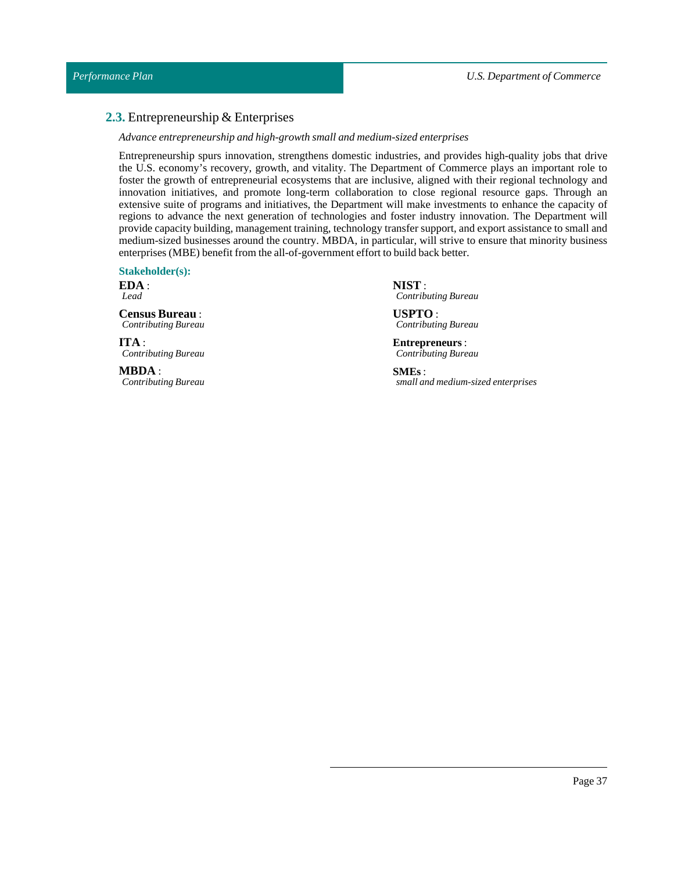# **2.3.** Entrepreneurship & Enterprises

*Advance entrepreneurship and high-growth small and medium-sized enterprises*

Entrepreneurship spurs innovation, strengthens domestic industries, and provides high-quality jobs that drive the U.S. economy's recovery, growth, and vitality. The Department of Commerce plays an important role to foster the growth of entrepreneurial ecosystems that are inclusive, aligned with their regional technology and innovation initiatives, and promote long-term collaboration to close regional resource gaps. Through an extensive suite of programs and initiatives, the Department will make investments to enhance the capacity of regions to advance the next generation of technologies and foster industry innovation. The Department will provide capacity building, management training, technology transfer support, and export assistance to small and medium-sized businesses around the country. MBDA, in particular, will strive to ensure that minority business enterprises (MBE) benefit from the all-of-government effort to build back better.

**Stakeholder(s):**

**EDA** : *Lead*

**Census Bureau** : *Contributing Bureau*

**ITA** : *Contributing Bureau*

**MBDA** : *Contributing Bureau* **NIST** : *Contributing Bureau*

**USPTO** : *Contributing Bureau*

**Entrepreneurs**: *Contributing Bureau*

**SMEs**: *small and medium-sized enterprises*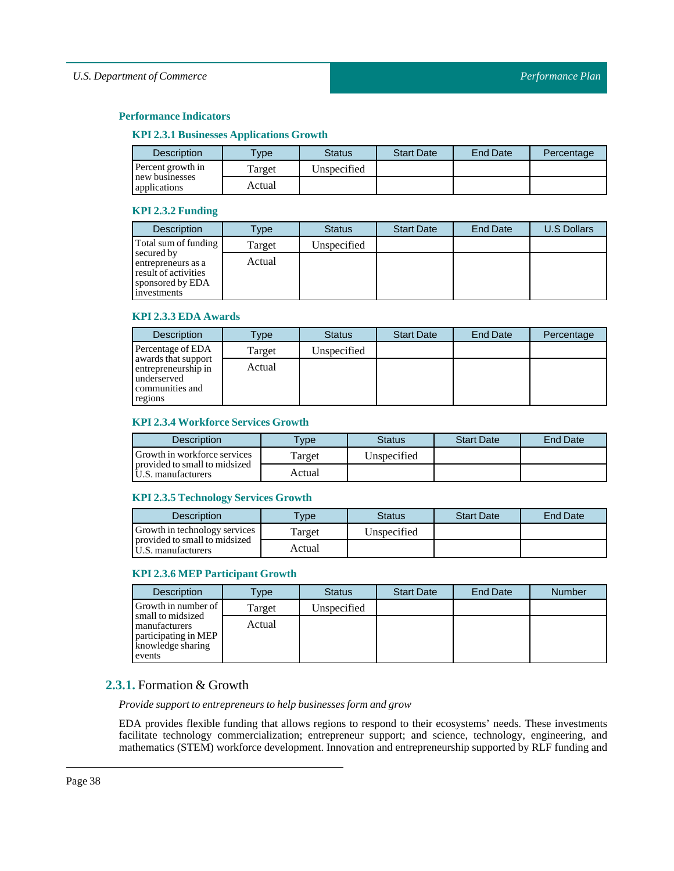#### **KPI 2.3.1 Businesses Applications Growth**

| <b>Description</b>             | $T$ <sub>V</sub> $pe$ | <b>Status</b> | <b>Start Date</b> | End Date | Percentage |
|--------------------------------|-----------------------|---------------|-------------------|----------|------------|
| Percent growth in              | Target                | Unspecified   |                   |          |            |
| new businesses<br>applications | Actual                |               |                   |          |            |

### **KPI 2.3.2 Funding**

| Description                                                                                 | Type   | <b>Status</b> | <b>Start Date</b> | <b>End Date</b> | <b>U.S Dollars</b> |
|---------------------------------------------------------------------------------------------|--------|---------------|-------------------|-----------------|--------------------|
| Total sum of funding                                                                        | Target | Unspecified   |                   |                 |                    |
| secured by<br>entrepreneurs as a<br>result of activities<br>sponsored by EDA<br>investments | Actual |               |                   |                 |                    |

### **KPI 2.3.3 EDA Awards**

| <b>Description</b>                                                                      | Type   | <b>Status</b> | <b>Start Date</b> | <b>End Date</b> | Percentage |
|-----------------------------------------------------------------------------------------|--------|---------------|-------------------|-----------------|------------|
| Percentage of EDA                                                                       | Target | Unspecified   |                   |                 |            |
| awards that support<br>entrepreneurship in<br>underserved<br>communities and<br>regions | Actual |               |                   |                 |            |

### **KPI 2.3.4 Workforce Services Growth**

| <b>Description</b>                                                                         | <b>Type</b> | <b>Status</b> | <b>Start Date</b> | End Date |
|--------------------------------------------------------------------------------------------|-------------|---------------|-------------------|----------|
| <b>Growth in workforce services</b><br>provided to small to midsized<br>U.S. manufacturers | Target      | Unspecified   |                   |          |
|                                                                                            | Actual      |               |                   |          |

#### **KPI 2.3.5 TechnologyServices Growth**

| <b>Description</b>                                                                   | <b>Type</b> | <b>Status</b> | <b>Start Date</b> | <b>End Date</b> |
|--------------------------------------------------------------------------------------|-------------|---------------|-------------------|-----------------|
| Growth in technology services<br>provided to small to midsized<br>U.S. manufacturers | Target      | Unspecified   |                   |                 |
|                                                                                      | Actual      |               |                   |                 |

### **KPI 2.3.6 MEP Participant Growth**

| <b>Description</b>                                                                        | Type   | <b>Status</b> | <b>Start Date</b> | End Date | <b>Number</b> |
|-------------------------------------------------------------------------------------------|--------|---------------|-------------------|----------|---------------|
| Growth in number of                                                                       | Target | Unspecified   |                   |          |               |
| small to midsized<br>manufacturers<br>participating in MEP<br>knowledge sharing<br>events | Actual |               |                   |          |               |

## **2.3.1.** Formation & Growth

*Provide support to entrepreneurs to help businesses form and grow* 

EDA provides flexible funding that allows regions to respond to their ecosystems' needs. These investments facilitate technology commercialization; entrepreneur support; and science, technology, engineering, and mathematics (STEM) workforce development. Innovation and entrepreneurship supported by RLF funding and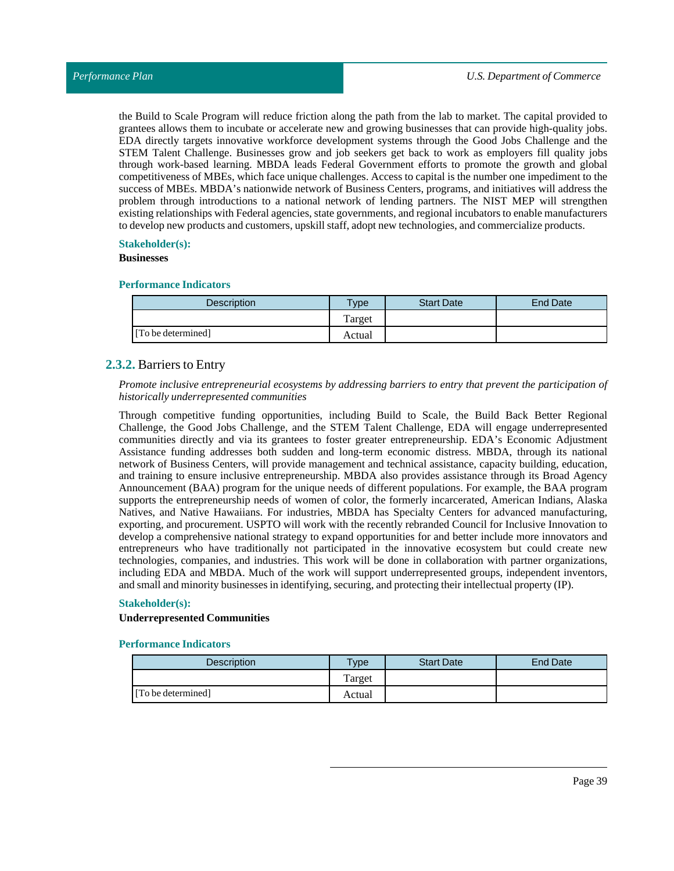the Build to Scale Program will reduce friction along the path from the lab to market. The capital provided to grantees allows them to incubate or accelerate new and growing businesses that can provide high-quality jobs. EDA directly targets innovative workforce development systems through the Good Jobs Challenge and the STEM Talent Challenge. Businesses grow and job seekers get back to work as employers fill quality jobs through work-based learning. MBDA leads Federal Government efforts to promote the growth and global competitiveness of MBEs, which face unique challenges. Access to capital is the number one impediment to the success of MBEs. MBDA's nationwide network of Business Centers, programs, and initiatives will address the problem through introductions to a national network of lending partners. The NIST MEP will strengthen existing relationships withFederal agencies, state governments, and regionalincubators to enable manufacturers to develop new products and customers, upskill staff, adopt new technologies, and commercialize products.

#### **Stakeholder(s):**

#### **Businesses**

#### **Performance Indicators**

| <b>Description</b> | Type   | <b>Start Date</b> | End Date |
|--------------------|--------|-------------------|----------|
|                    | Target |                   |          |
| [To be determined] | Actual |                   |          |

## **2.3.2.** Barriers to Entry

*Promote inclusive entrepreneurial ecosystems by addressing barriers to entry that prevent the participation of historically underrepresented communities*

Through competitive funding opportunities, including Build to Scale, the Build Back Better Regional Challenge, the Good Jobs Challenge, and the STEM Talent Challenge, EDA will engage underrepresented communities directly and via its grantees to foster greater entrepreneurship. EDA's Economic Adjustment Assistance funding addresses both sudden and long-term economic distress. MBDA, through its national network of Business Centers, will provide management and technical assistance, capacity building, education, and training to ensure inclusive entrepreneurship. MBDA also provides assistance through its Broad Agency Announcement (BAA) program for the unique needs of different populations. For example, the BAA program supports the entrepreneurship needs of women of color, the formerly incarcerated, American Indians, Alaska Natives, and Native Hawaiians. For industries, MBDA has Specialty Centers for advanced manufacturing, exporting, and procurement. USPTO will work with the recently rebranded Council for Inclusive Innovation to develop a comprehensive national strategy to expand opportunities for and better include more innovators and entrepreneurs who have traditionally not participated in the innovative ecosystem but could create new technologies, companies, and industries. This work will be done in collaboration with partner organizations, including EDA and MBDA. Much of the work will support underrepresented groups, independent inventors, and small and minority businesses in identifying, securing, and protecting their intellectual property (IP).

#### **Stakeholder(s):**

#### **Underrepresented Communities**

| <b>Description</b> | Type    | <b>Start Date</b> | End Date |
|--------------------|---------|-------------------|----------|
|                    | l'arget |                   |          |
| [To be determined] | Actual  |                   |          |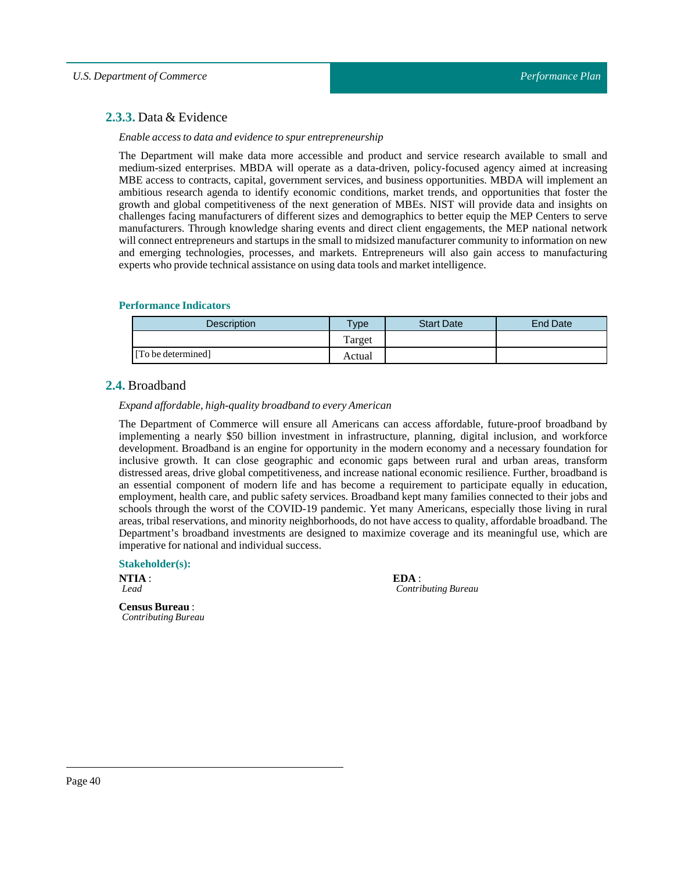## **2.3.3.** Data & Evidence

*Enable access to data and evidence to spur entrepreneurship*

The Department will make data more accessible and product and service research available to small and medium-sized enterprises. MBDA will operate as a data-driven, policy-focused agency aimed at increasing MBE access to contracts, capital, government services, and business opportunities. MBDA will implement an ambitious research agenda to identify economic conditions, market trends, and opportunities that foster the growth and global competitiveness of the next generation of MBEs. NIST will provide data and insights on challenges facing manufacturers of different sizes and demographics to better equip the MEP Centers to serve manufacturers. Through knowledge sharing events and direct client engagements, the MEP national network will connect entrepreneurs and startups in the small to midsized manufacturer community to information on new and emerging technologies, processes, and markets. Entrepreneurs will also gain access to manufacturing experts who provide technical assistance on using data tools and market intelligence.

#### **Performance Indicators**

| <b>Description</b> | $T$ <sub>V</sub> pe | <b>Start Date</b> | End Date |
|--------------------|---------------------|-------------------|----------|
|                    | Target              |                   |          |
| [To be determined] | Actual              |                   |          |

## **2.4.** Broadband

#### *Expand affordable, high-quality broadband to every American*

The Department of Commerce will ensure all Americans can access affordable, future-proof broadband by implementing a nearly \$50 billion investment in infrastructure, planning, digital inclusion, and workforce development. Broadband is an engine for opportunity in the modern economy and a necessary foundation for inclusive growth. It can close geographic and economic gaps between rural and urban areas, transform distressed areas, drive global competitiveness, and increase national economic resilience. Further, broadband is an essential component of modern life and has become a requirement to participate equally in education, employment, health care, and public safety services. Broadband kept many families connected to their jobs and schools through the worst of the COVID-19 pandemic. Yet many Americans, especially those living in rural areas, tribal reservations, and minority neighborhoods, do not have access to quality, affordable broadband. The Department's broadband investments are designed to maximize coverage and its meaningful use, which are imperative for national and individual success.

**Stakeholder(s):**

**NTIA** : *Lead*

**EDA** : *Contributing Bureau*

**Census Bureau**: *Contributing Bureau*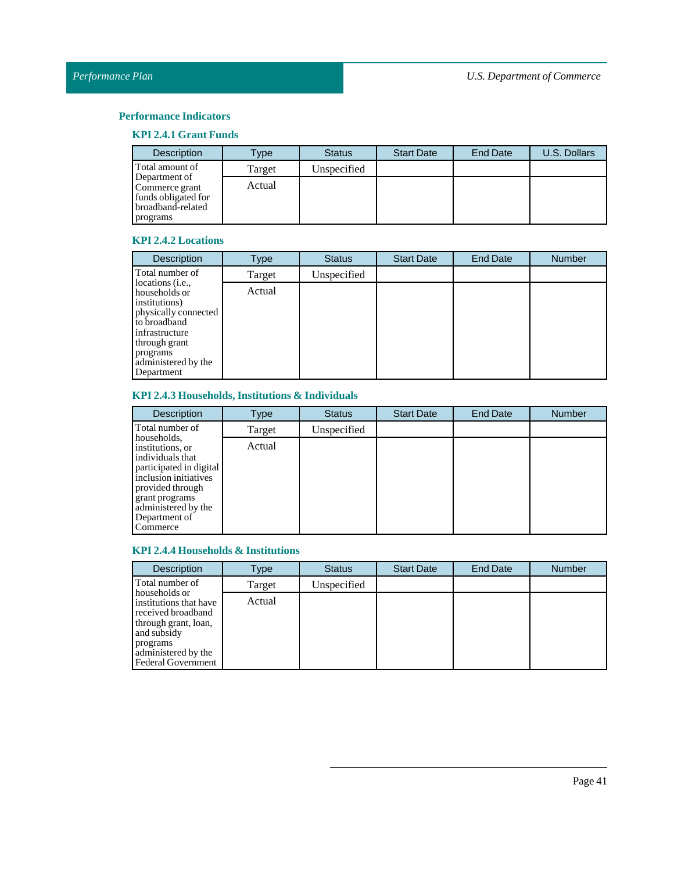## **KPI 2.4.1 Grant Funds**

| <b>Description</b>                                                                      | Type   | <b>Status</b> | <b>Start Date</b> | <b>End Date</b> | U.S. Dollars |
|-----------------------------------------------------------------------------------------|--------|---------------|-------------------|-----------------|--------------|
| Total amount of                                                                         | Target | Unspecified   |                   |                 |              |
| Department of<br>Commerce grant<br>funds obligated for<br>broadband-related<br>programs | Actual |               |                   |                 |              |

## **KPI 2.4.2 Locations**

| <b>Description</b>                                                                                                                                                                      | Type   | <b>Status</b> | <b>Start Date</b> | <b>End Date</b> | <b>Number</b> |
|-----------------------------------------------------------------------------------------------------------------------------------------------------------------------------------------|--------|---------------|-------------------|-----------------|---------------|
| Total number of                                                                                                                                                                         | Target | Unspecified   |                   |                 |               |
| locations ( <i>i.e.</i> ,<br>households or<br>institutions)<br>physically connected<br>to broadband<br>infrastructure<br>through grant<br>programs<br>administered by the<br>Department | Actual |               |                   |                 |               |

## **KPI 2.4.3 Households, Institutions & Individuals**

| <b>Description</b>                                                                                                                                                                                | Type   | <b>Status</b> | <b>Start Date</b> | <b>End Date</b> | <b>Number</b> |
|---------------------------------------------------------------------------------------------------------------------------------------------------------------------------------------------------|--------|---------------|-------------------|-----------------|---------------|
| Total number of                                                                                                                                                                                   | Target | Unspecified   |                   |                 |               |
| households,<br>institutions, or<br>individuals that<br>participated in digital<br>inclusion initiatives<br>provided through<br>grant programs<br>administered by the<br>Department of<br>Commerce | Actual |               |                   |                 |               |

### **KPI 2.4.4 Households & Institutions**

| <b>Description</b>                                                                                                                                            | Type   | <b>Status</b> | <b>Start Date</b> | <b>End Date</b> | <b>Number</b> |
|---------------------------------------------------------------------------------------------------------------------------------------------------------------|--------|---------------|-------------------|-----------------|---------------|
| Total number of                                                                                                                                               | Target | Unspecified   |                   |                 |               |
| households or<br>institutions that have<br>received broadband<br>through grant, loan,<br>and subsidy<br>programs<br>administered by the<br>Federal Government | Actual |               |                   |                 |               |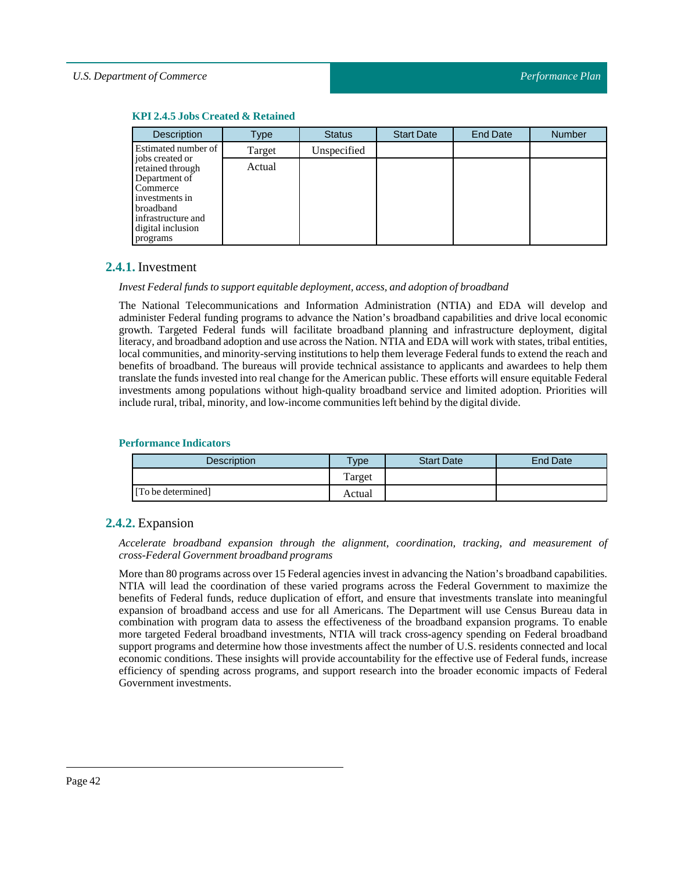| <b>Description</b>                                                                                                                                     | Type   | <b>Status</b> | <b>Start Date</b> | <b>End Date</b> | <b>Number</b> |
|--------------------------------------------------------------------------------------------------------------------------------------------------------|--------|---------------|-------------------|-----------------|---------------|
| Estimated number of                                                                                                                                    | Target | Unspecified   |                   |                 |               |
| jobs created or<br>retained through<br>Department of<br>Commerce<br>investments in<br>broadband<br>infrastructure and<br>digital inclusion<br>programs | Actual |               |                   |                 |               |

## **2.4.1.** Investment

### *Invest Federalfunds to support equitable deployment, access, and adoption of broadband*

The National Telecommunications and Information Administration (NTIA) and EDA will develop and administer Federal funding programs to advance the Nation's broadband capabilities and drive local economic growth. Targeted Federal funds will facilitate broadband planning and infrastructure deployment, digital literacy, and broadband adoption and use across the Nation. NTIA and EDA will work with states, tribal entities, local communities, and minority-serving institutions to help them leverage Federal funds to extend the reach and benefits of broadband. The bureaus will provide technical assistance to applicants and awardees to help them translate the funds invested into real change for the American public. These efforts will ensure equitable Federal investments among populations without high-quality broadband service and limited adoption. Priorities will include rural, tribal, minority, and low-income communities left behind by the digital divide.

#### **Performance Indicators**

| <b>Description</b> | <b>Type</b> | <b>Start Date</b> | End Date |
|--------------------|-------------|-------------------|----------|
|                    | Target      |                   |          |
| [To be determined] | Actual      |                   |          |

## **2.4.2.** Expansion

*Accelerate broadband expansion through the alignment, coordination, tracking, and measurement of cross-Federal Government broadband programs*

More than 80 programs across over 15 Federal agencies invest in advancing the Nation's broadband capabilities. NTIA will lead the coordination of these varied programs across the Federal Government to maximize the benefits of Federal funds, reduce duplication of effort, and ensure that investments translate into meaningful expansion of broadband access and use for all Americans. The Department will use Census Bureau data in combination with program data to assess the effectiveness of the broadband expansion programs. To enable more targeted Federal broadband investments, NTIA will track cross-agency spending on Federal broadband support programs and determine how those investments affect the number of U.S. residents connected and local economic conditions. These insights will provide accountability for the effective use of Federal funds, increase efficiency of spending across programs, and support research into the broader economic impacts of Federal Government investments.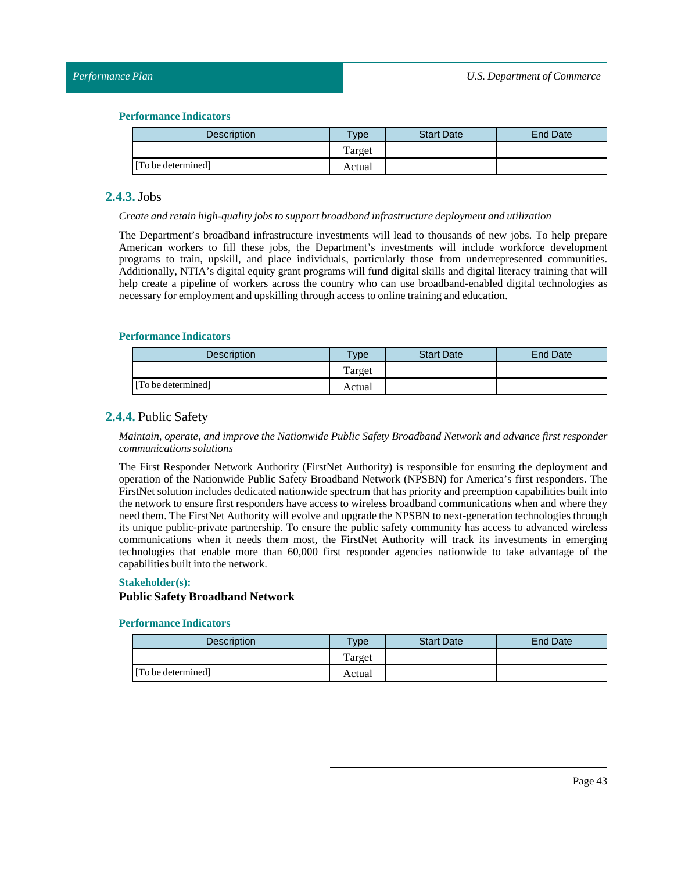| Description        | $v$ pe | <b>Start Date</b> | End Date |
|--------------------|--------|-------------------|----------|
|                    | Target |                   |          |
| [To be determined] | Actual |                   |          |

## **2.4.3.** Jobs

### *Create and retain high-quality jobs to support broadband infrastructure deployment and utilization*

The Department's broadband infrastructure investments will lead to thousands of new jobs. To help prepare American workers to fill these jobs, the Department's investments will include workforce development programs to train, upskill, and place individuals, particularly those from underrepresented communities. Additionally, NTIA's digital equity grant programs will fund digital skills and digital literacy training that will help create a pipeline of workers across the country who can use broadband-enabled digital technologies as necessary for employment and upskilling through access to online training and education.

#### **Performance Indicators**

| <b>Description</b> | Type   | <b>Start Date</b> | End Date |
|--------------------|--------|-------------------|----------|
|                    | Target |                   |          |
| [To be determined] | Actual |                   |          |

### **2.4.4.** Public Safety

*Maintain, operate, and improve the Nationwide Public Safety Broadband Network and advance first responder communications solutions*

The First Responder Network Authority (FirstNet Authority) is responsible for ensuring the deployment and operation of the Nationwide Public Safety Broadband Network (NPSBN) for America's first responders. The FirstNet solution includes dedicated nationwide spectrum that has priority and preemption capabilities built into the network to ensure first responders have access to wireless broadband communications when and where they need them. The FirstNet Authority will evolve and upgrade the NPSBN to next-generation technologies through its unique public-private partnership. To ensure the public safety community has access to advanced wireless communications when it needs them most, the FirstNet Authority will track its investments in emerging technologies that enable more than 60,000 first responder agencies nationwide to take advantage of the capabilities built into the network.

#### **Stakeholder(s):**

### **Public Safety Broadband Network**

| Description        | <b>Type</b> | <b>Start Date</b> | End Date |
|--------------------|-------------|-------------------|----------|
|                    | l'arget     |                   |          |
| [To be determined] | Actual      |                   |          |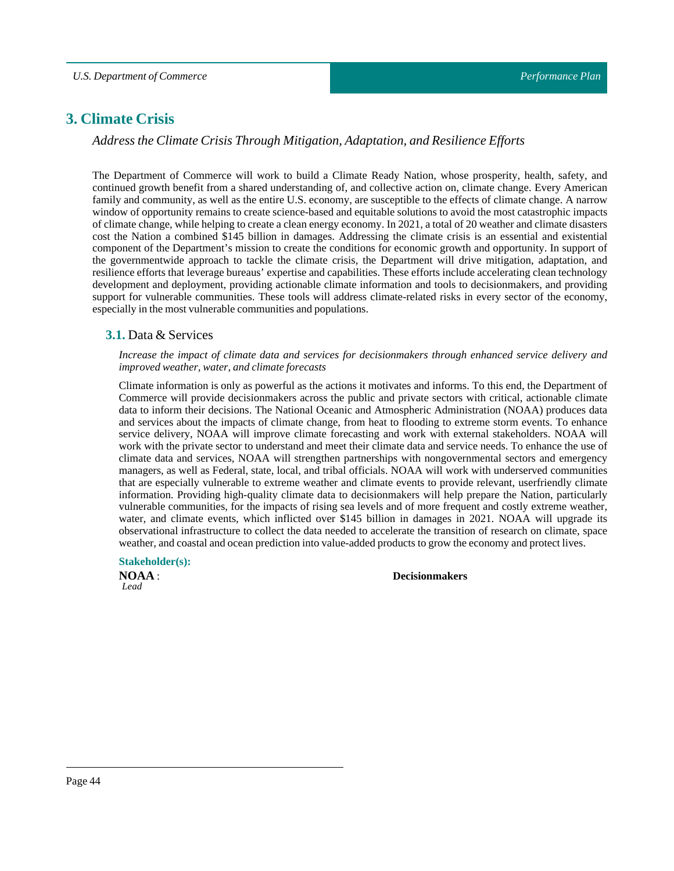# **3. Climate Crisis**

## *Address the Climate Crisis Through Mitigation, Adaptation, and Resilience Efforts*

The Department of Commerce will work to build a Climate Ready Nation, whose prosperity, health, safety, and continued growth benefit from a shared understanding of, and collective action on, climate change. Every American family and community, as well as the entire U.S. economy, are susceptible to the effects of climate change. A narrow window of opportunity remains to create science-based and equitable solutions to avoid the most catastrophic impacts of climate change, while helping to create a clean energy economy. In 2021, a total of 20 weather and climate disasters cost the Nation a combined \$145 billion in damages. Addressing the climate crisis is an essential and existential component of the Department's mission to create the conditions for economic growth and opportunity. In support of the governmentwide approach to tackle the climate crisis, the Department will drive mitigation, adaptation, and resilience efforts that leverage bureaus' expertise and capabilities. These efforts include accelerating clean technology development and deployment, providing actionable climate information and tools to decisionmakers, and providing support for vulnerable communities. These tools will address climate-related risks in every sector of the economy, especially in the most vulnerable communities and populations.

### **3.1.** Data & Services

*Increase the impact of climate data and services for decisionmakers through enhanced service delivery and improved weather, water, and climate forecasts*

Climate information is only as powerful as the actions it motivates and informs. To this end, the Department of Commerce will provide decisionmakers across the public and private sectors with critical, actionable climate data to inform their decisions. The National Oceanic and Atmospheric Administration (NOAA) produces data and services about the impacts of climate change, from heat to flooding to extreme storm events. To enhance service delivery, NOAA will improve climate forecasting and work with external stakeholders. NOAA will work with the private sector to understand and meet their climate data and service needs. To enhance the use of climate data and services, NOAA will strengthen partnerships with nongovernmental sectors and emergency managers, as well as Federal, state, local, and tribal officials. NOAA will work with underserved communities that are especially vulnerable to extreme weather and climate events to provide relevant, userfriendly climate information. Providing high-quality climate data to decisionmakers will help prepare the Nation, particularly vulnerable communities, for the impacts of rising sea levels and of more frequent and costly extreme weather, water, and climate events, which inflicted over \$145 billion in damages in 2021. NOAA will upgrade its observational infrastructure to collect the data needed to accelerate the transition of research on climate, space weather, and coastal and ocean prediction into value-added products to grow the economy and protect lives.

#### **Stakeholder(s):**

**NOAA** : *Lead*

#### **Decisionmakers**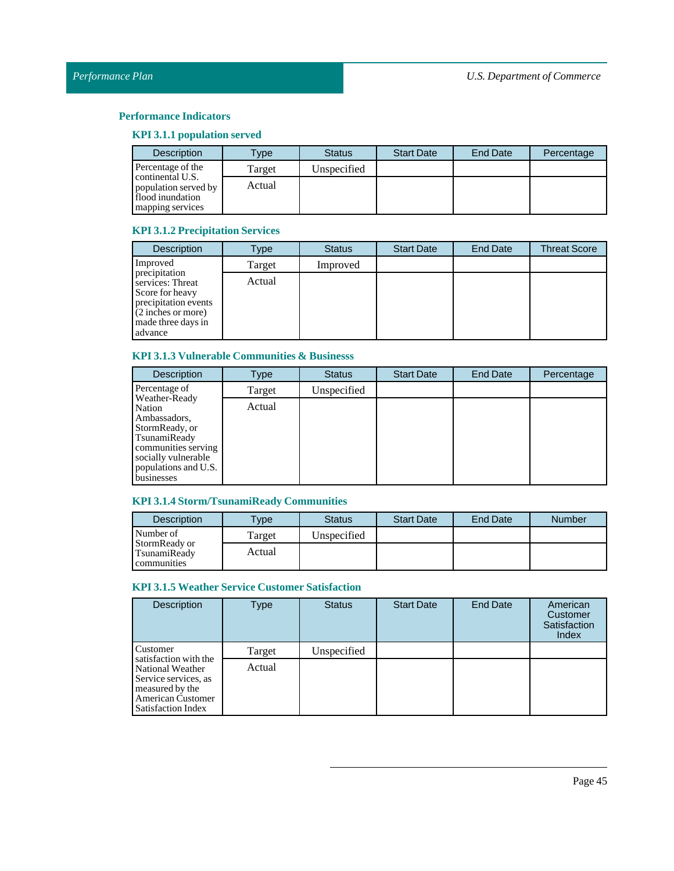## **KPI 3.1.1** population served

| <b>Description</b>                       | Type   | <b>Status</b> | <b>Start Date</b> | End Date | Percentage |
|------------------------------------------|--------|---------------|-------------------|----------|------------|
| Percentage of the                        | Target | Unspecified   |                   |          |            |
| continental U.S.<br>population served by | Actual |               |                   |          |            |
| flood inundation<br>mapping services     |        |               |                   |          |            |

## **KPI 3.1.2 Precipitation Services**

| <b>Description</b>                                                                                                                  | <b>Type</b> | <b>Status</b> | <b>Start Date</b> | <b>End Date</b> | <b>Threat Score</b> |
|-------------------------------------------------------------------------------------------------------------------------------------|-------------|---------------|-------------------|-----------------|---------------------|
| Improved                                                                                                                            | Target      | Improved      |                   |                 |                     |
| precipitation<br>services: Threat<br>Score for heavy<br>precipitation events<br>(2 inches or more)<br>made three days in<br>advance | Actual      |               |                   |                 |                     |

## **KPI 3.1.3 Vulnerable Communities & Businesss**

| <b>Description</b>                                                                                                                                            | Type   | <b>Status</b> | <b>Start Date</b> | <b>End Date</b> | Percentage |
|---------------------------------------------------------------------------------------------------------------------------------------------------------------|--------|---------------|-------------------|-----------------|------------|
| Percentage of                                                                                                                                                 | Target | Unspecified   |                   |                 |            |
| Weather-Ready<br>Nation<br>Ambassadors,<br>StormReady, or<br>TsunamiReady<br>communities serving<br>socially vulnerable<br>populations and U.S.<br>businesses | Actual |               |                   |                 |            |

## **KPI 3.1.4Storm/TsunamiReady Communities**

| <b>Description</b>                                  | <b>Type</b> | <b>Status</b> | <b>Start Date</b> | <b>End Date</b> | <b>Number</b> |
|-----------------------------------------------------|-------------|---------------|-------------------|-----------------|---------------|
| Number of                                           | Target      | Unspecified   |                   |                 |               |
| StormReady or<br><b>TsunamiReady</b><br>communities | Actual      |               |                   |                 |               |

### **KPI 3.1.5** Weather Service Customer Satisfaction

| Description                                                                                                                                   | Type   | <b>Status</b> | <b>Start Date</b> | <b>End Date</b> | American<br>Customer<br>Satisfaction<br>Index |
|-----------------------------------------------------------------------------------------------------------------------------------------------|--------|---------------|-------------------|-----------------|-----------------------------------------------|
| Customer                                                                                                                                      | Target | Unspecified   |                   |                 |                                               |
| satisfaction with the<br>National Weather<br>Service services, as<br>measured by the<br><b>American Customer</b><br><b>Satisfaction Index</b> | Actual |               |                   |                 |                                               |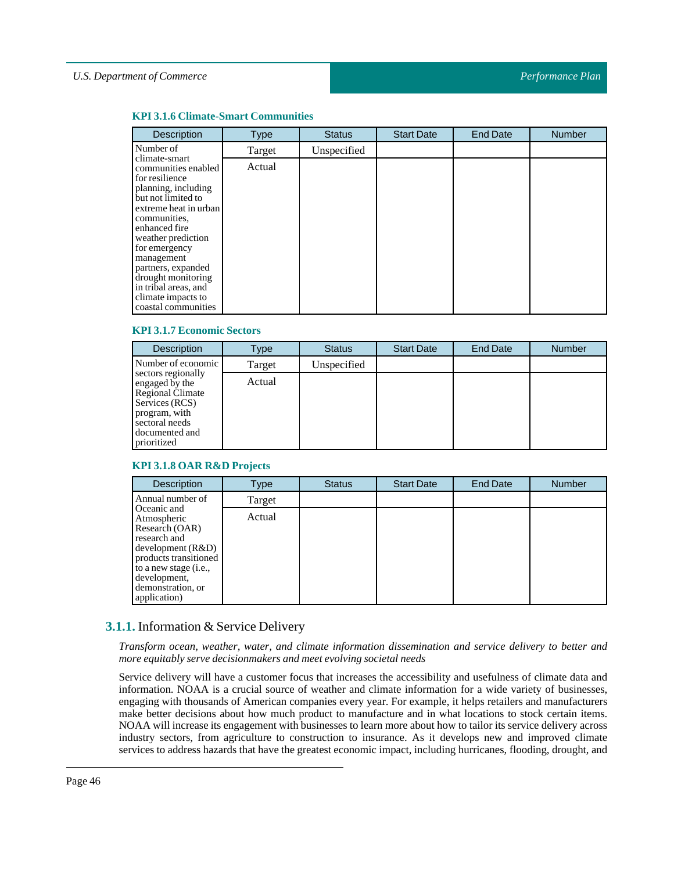### **KPI 3.1.6 Climate-Smart Communities**

| <b>Description</b>                                                                                                                                                                                   | <b>Type</b> | <b>Status</b> | <b>Start Date</b> | <b>End Date</b> | <b>Number</b> |
|------------------------------------------------------------------------------------------------------------------------------------------------------------------------------------------------------|-------------|---------------|-------------------|-----------------|---------------|
| Number of                                                                                                                                                                                            | Target      | Unspecified   |                   |                 |               |
| climate-smart<br>communities enabled<br>for resilience<br>planning, including<br>but not limited to<br>extreme heat in urban<br>communities.<br>enhanced fire<br>weather prediction<br>for emergency | Actual      |               |                   |                 |               |
| management<br>partners, expanded<br>drought monitoring<br>in tribal areas, and<br>climate impacts to<br>coastal communities                                                                          |             |               |                   |                 |               |

### **KPI 3.1.7 Economic Sectors**

| <b>Description</b>                                                                                                                                    | Type   | <b>Status</b> | <b>Start Date</b> | End Date | <b>Number</b> |
|-------------------------------------------------------------------------------------------------------------------------------------------------------|--------|---------------|-------------------|----------|---------------|
| Number of economic                                                                                                                                    | Target | Unspecified   |                   |          |               |
| sectors regionally<br>engaged by the<br><b>Regional Climate</b><br>Services (RCS)<br>program, with<br>sectoral needs<br>documented and<br>prioritized | Actual |               |                   |          |               |

## **KPI 3.1.8 OAR R&D Projects**

| <b>Description</b>                                                                                                                                                                                       | Type   | <b>Status</b> | <b>Start Date</b> | <b>End Date</b> | Number |
|----------------------------------------------------------------------------------------------------------------------------------------------------------------------------------------------------------|--------|---------------|-------------------|-----------------|--------|
| Annual number of                                                                                                                                                                                         | Target |               |                   |                 |        |
| Oceanic and<br>Atmospheric<br>Research (OAR)<br>research and<br>$d$ evelopment ( $R&D$ )<br>products transitioned<br>to a new stage ( <i>i.e.</i> ,<br>development,<br>demonstration, or<br>application) | Actual |               |                   |                 |        |

## **3.1.1.** Information & Service Delivery

*Transform ocean, weather, water, and climate information dissemination and service delivery to better and more equitably serve decisionmakers and meet evolving societal needs*

Service delivery will have a customer focus that increases the accessibility and usefulness of climate data and information. NOAA is a crucial source of weather and climate information for a wide variety of businesses, engaging with thousands of American companies every year. For example, it helps retailers and manufacturers make better decisions about how much product to manufacture and in what locations to stock certain items. NOAA will increase its engagement with businesses to learn more about how to tailor its service delivery across industry sectors, from agriculture to construction to insurance. As it develops new and improved climate services to address hazards that have the greatest economic impact, including hurricanes, flooding, drought, and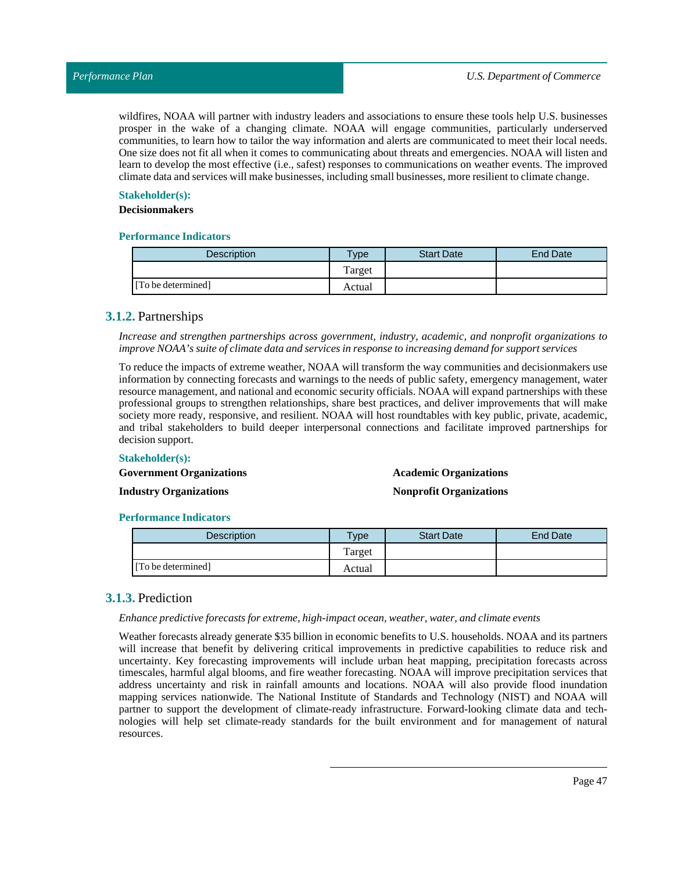wildfires, NOAA will partner with industry leaders and associations to ensure these tools help U.S. businesses prosper in the wake of a changing climate. NOAA will engage communities, particularly underserved communities, to learn how to tailor the way information and alerts are communicated to meet their local needs. One size does not fit all when it comes to communicating about threats and emergencies. NOAA will listen and learn to develop the most effective (i.e., safest) responses to communications on weather events. The improved climate data and services will make businesses, including small businesses, more resilient to climate change.

### **Stakeholder(s):**

### **Decisionmakers**

### **Performance Indicators**

| <b>Description</b> | Type   | <b>Start Date</b> | End Date |
|--------------------|--------|-------------------|----------|
|                    | Target |                   |          |
| [To be determined] | Actual |                   |          |

### **3.1.2.** Partnerships

*Increase and strengthen partnerships across government, industry, academic, and nonprofit organizations to improve NOAA's suite of climate data and services in response to increasing demand for support services*

To reduce the impacts of extreme weather, NOAA will transform the way communities and decisionmakers use information by connecting forecasts and warnings to the needs of public safety, emergency management, water resource management, and national and economic security officials. NOAA will expand partnerships with these professional groups to strengthen relationships, share best practices, and deliver improvements that will make society more ready, responsive, and resilient. NOAA will host roundtables with key public, private, academic, and tribal stakeholders to build deeper interpersonal connections and facilitate improved partnerships for decision support.

#### **Stakeholder(s):**

**Government Organizations**

**Industry Organizations**

**Academic Organizations Nonprofit Organizations**

#### **Performance Indicators**

| <b>Description</b> | $T$ ype | <b>Start Date</b> | End Date |
|--------------------|---------|-------------------|----------|
|                    | Target  |                   |          |
| [To be determined] | Actual  |                   |          |

### **3.1.3.** Prediction

#### *Enhance predictive forecasts for extreme, high-impact ocean, weather, water, and climate events*

Weather forecasts already generate \$35 billion in economic benefits to U.S. households. NOAA and its partners will increase that benefit by delivering critical improvements in predictive capabilities to reduce risk and uncertainty. Key forecasting improvements will include urban heat mapping, precipitation forecasts across timescales, harmful algal blooms, and fire weather forecasting. NOAA will improve precipitation services that address uncertainty and risk in rainfall amounts and locations. NOAA will also provide flood inundation mapping services nationwide. The National Institute of Standards and Technology (NIST) and NOAA will partner to support the development of climate-ready infrastructure. Forward-looking climate data and technologies will help set climate-ready standards for the built environment and for management of natural resources.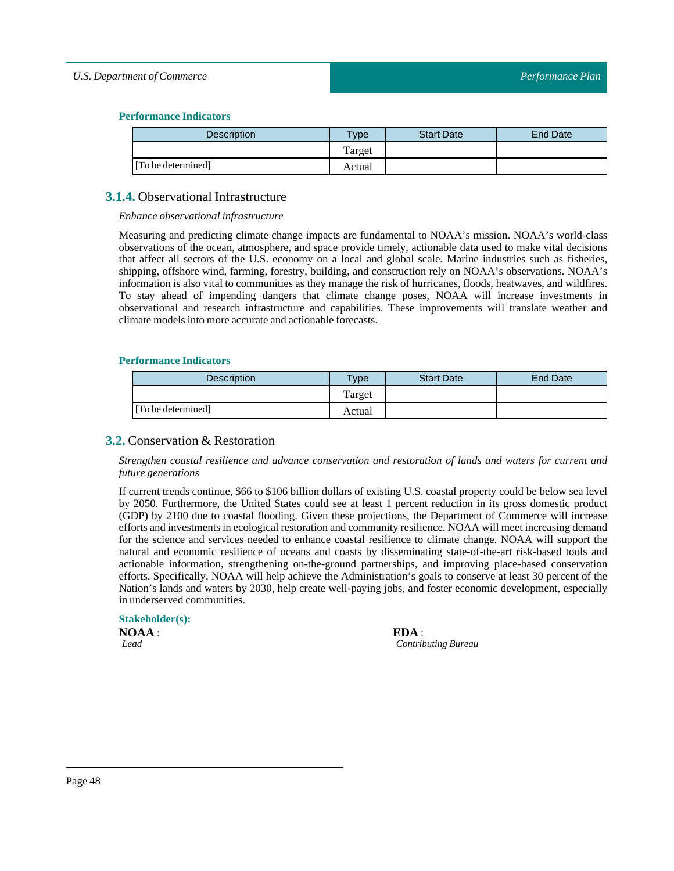### *U.S. Department of Commerce*

### **Performance Indicators**

| <b>Description</b> | Type   | <b>Start Date</b> | <b>End Date</b> |
|--------------------|--------|-------------------|-----------------|
|                    | Target |                   |                 |
| [To be determined] | Actual |                   |                 |

## **3.1.4.** Observational Infrastructure

#### *Enhance observationalinfrastructure*

Measuring and predicting climate change impacts are fundamental to NOAA's mission. NOAA's world-class observations of the ocean, atmosphere, and space provide timely, actionable data used to make vital decisions that affect all sectors of the U.S. economy on a local and global scale. Marine industries such as fisheries, shipping, offshore wind, farming, forestry, building, and construction rely on NOAA's observations. NOAA's information is also vital to communities as they manage the risk of hurricanes, floods, heatwaves, and wildfires. To stay ahead of impending dangers that climate change poses, NOAA will increase investments in observational and research infrastructure and capabilities. These improvements will translate weather and climate models into more accurate and actionable forecasts.

#### **Performance Indicators**

| Description        | $T$ <sub>ype</sub> | <b>Start Date</b> | End Date |
|--------------------|--------------------|-------------------|----------|
|                    | Target             |                   |          |
| [To be determined] | Actual             |                   |          |

## **3.2.** Conservation & Restoration

*Strengthen coastal resilience and advance conservation and restoration of lands and waters for current and future generations*

If current trends continue, \$66 to \$106 billion dollars of existing U.S. coastal property could be below sea level by 2050. Furthermore, the United States could see at least 1 percent reduction in its gross domestic product (GDP) by 2100 due to coastal flooding. Given these projections, the Department of Commerce will increase efforts and investments in ecological restoration and community resilience. NOAA will meet increasing demand for the science and services needed to enhance coastal resilience to climate change. NOAA will support the natural and economic resilience of oceans and coasts by disseminating state-of-the-art risk-based tools and actionable information, strengthening on-the-ground partnerships, and improving place-based conservation efforts. Specifically, NOAA will help achieve the Administration's goals to conserve at least 30 percent of the Nation's lands and waters by 2030, help create well-paying jobs, and foster economic development, especially in underserved communities.

# **Stakeholder(s):**

**NOAA** : *Lead*

**EDA** : *Contributing Bureau*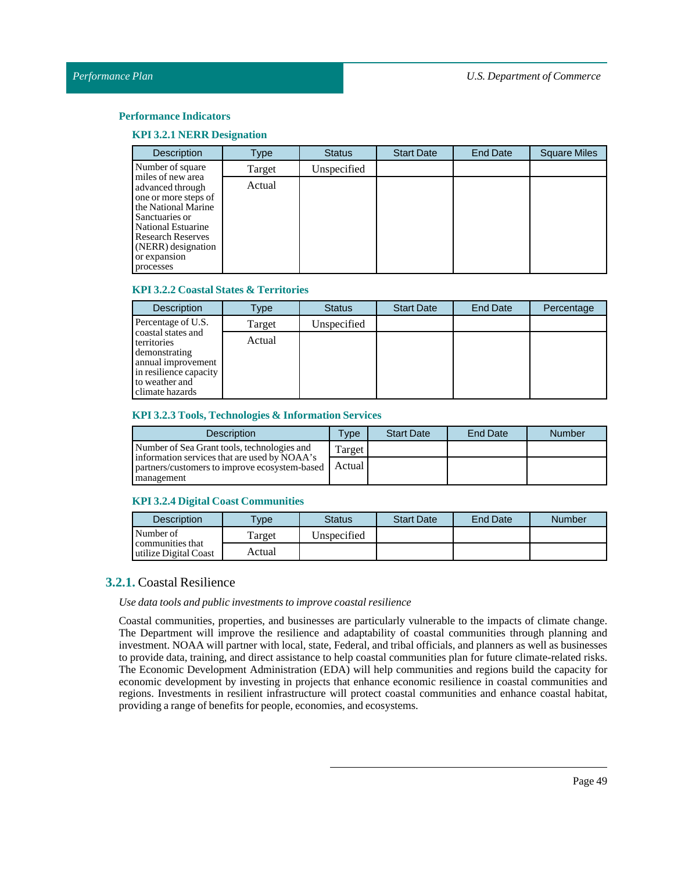### **KPI 3.2.1 NERR Designation**

| <b>Description</b>                                                                                                                                                                                          | Type   | <b>Status</b> | <b>Start Date</b> | <b>End Date</b> | <b>Square Miles</b> |
|-------------------------------------------------------------------------------------------------------------------------------------------------------------------------------------------------------------|--------|---------------|-------------------|-----------------|---------------------|
| Number of square                                                                                                                                                                                            | Target | Unspecified   |                   |                 |                     |
| miles of new area<br>advanced through<br>one or more steps of<br>the National Marine<br>Sanctuaries or<br>National Estuarine<br><b>Research Reserves</b><br>(NERR) designation<br>or expansion<br>processes | Actual |               |                   |                 |                     |

### **KPI 3.2.2 CoastalStates & Territories**

| <b>Description</b>                                                                                                                      | Type   | <b>Status</b> | <b>Start Date</b> | <b>End Date</b> | Percentage |
|-----------------------------------------------------------------------------------------------------------------------------------------|--------|---------------|-------------------|-----------------|------------|
| Percentage of U.S.                                                                                                                      | Target | Unspecified   |                   |                 |            |
| coastal states and<br>territories<br>demonstrating<br>annual improvement<br>in resilience capacity<br>to weather and<br>climate hazards | Actual |               |                   |                 |            |

#### **KPI 3.2.3 Tools, Technologies & InformationServices**

| <b>Description</b>                                                                                          | <b>Type</b> | <b>Start Date</b> | End Date | Number |
|-------------------------------------------------------------------------------------------------------------|-------------|-------------------|----------|--------|
| Number of Sea Grant tools, technologies and                                                                 | Target      |                   |          |        |
| information services that are used by NOAA's<br>partners/customers to improve ecosystem-based<br>management | Actual      |                   |          |        |

### **KPI 3.2.4 Digital Coast Communities**

| <b>Description</b>                        | $T$ <sub>V</sub> $pe$ | Status      | <b>Start Date</b> | End Date | Number |
|-------------------------------------------|-----------------------|-------------|-------------------|----------|--------|
| Number of                                 | Target                | Unspecified |                   |          |        |
| communities that<br>utilize Digital Coast | Actual                |             |                   |          |        |

## **3.2.1.** Coastal Resilience

#### *Use data tools and public investments to improve coastal resilience*

Coastal communities, properties, and businesses are particularly vulnerable to the impacts of climate change. The Department will improve the resilience and adaptability of coastal communities through planning and investment. NOAA will partner with local, state, Federal, and tribal officials, and planners as well as businesses to provide data, training, and direct assistance to help coastal communities plan for future climate-related risks. The Economic Development Administration (EDA) will help communities and regions build the capacity for economic development by investing in projects that enhance economic resilience in coastal communities and regions. Investments in resilient infrastructure will protect coastal communities and enhance coastal habitat, providing a range of benefits for people, economies, and ecosystems.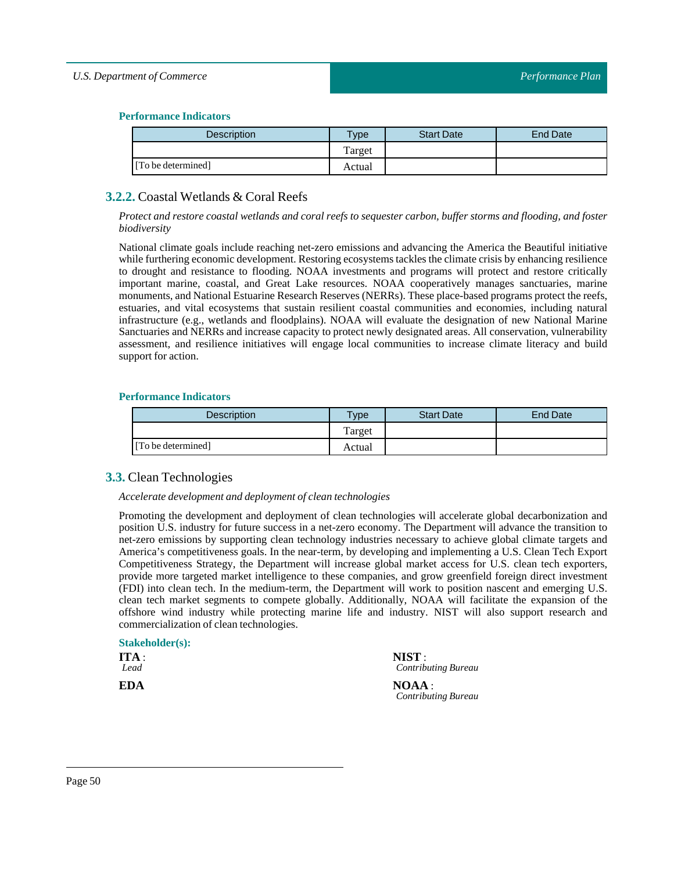## *U.S. Department of Commerce*

### **Performance Indicators**

| <b>Description</b> | vpe    | <b>Start Date</b> | End Date |
|--------------------|--------|-------------------|----------|
|                    | Target |                   |          |
| [To be determined] | Actual |                   |          |

## **3.2.2.** Coastal Wetlands & Coral Reefs

#### Protect and restore coastal wetlands and coral reefs to sequester carbon, buffer storms and flooding, and foster *biodiversity*

National climate goals include reaching net-zero emissions and advancing the America the Beautiful initiative while furthering economic development. Restoring ecosystems tackles the climate crisis by enhancing resilience to drought and resistance to flooding. NOAA investments and programs will protect and restore critically important marine, coastal, and Great Lake resources. NOAA cooperatively manages sanctuaries, marine monuments, and National Estuarine Research Reserves (NERRs). These place-based programs protect the reefs, estuaries, and vital ecosystems that sustain resilient coastal communities and economies, including natural infrastructure (e.g., wetlands and floodplains). NOAA will evaluate the designation of new National Marine Sanctuaries and NERRs and increase capacity to protect newly designated areas. All conservation, vulnerability assessment, and resilience initiatives will engage local communities to increase climate literacy and build support for action.

### **Performance Indicators**

| Description        | Type   | <b>Start Date</b> | End Date |
|--------------------|--------|-------------------|----------|
|                    | Target |                   |          |
| [To be determined] | Actual |                   |          |

## **3.3.** Clean Technologies

### *Accelerate development and deployment of clean technologies*

Promoting the development and deployment of clean technologies will accelerate global decarbonization and position U.S. industry for future success in a net-zero economy. The Department will advance the transition to net-zero emissions by supporting clean technology industries necessary to achieve global climate targets and America's competitiveness goals. In the near-term, by developing and implementing a U.S. Clean Tech Export Competitiveness Strategy, the Department will increase global market access for U.S. clean tech exporters, provide more targeted market intelligence to these companies, and grow greenfield foreign direct investment (FDI) into clean tech. In the medium-term, the Department will work to position nascent and emerging U.S. clean tech market segments to compete globally. Additionally, NOAA will facilitate the expansion of the offshore wind industry while protecting marine life and industry. NIST will also support research and commercialization of clean technologies.

| <b>Stakeholder(s):</b> |                                     |
|------------------------|-------------------------------------|
| ITA :<br>Lead          | NIST:<br><b>Contributing Bureau</b> |
| EDA                    | $NOAA$ :<br>Contributing Bureau     |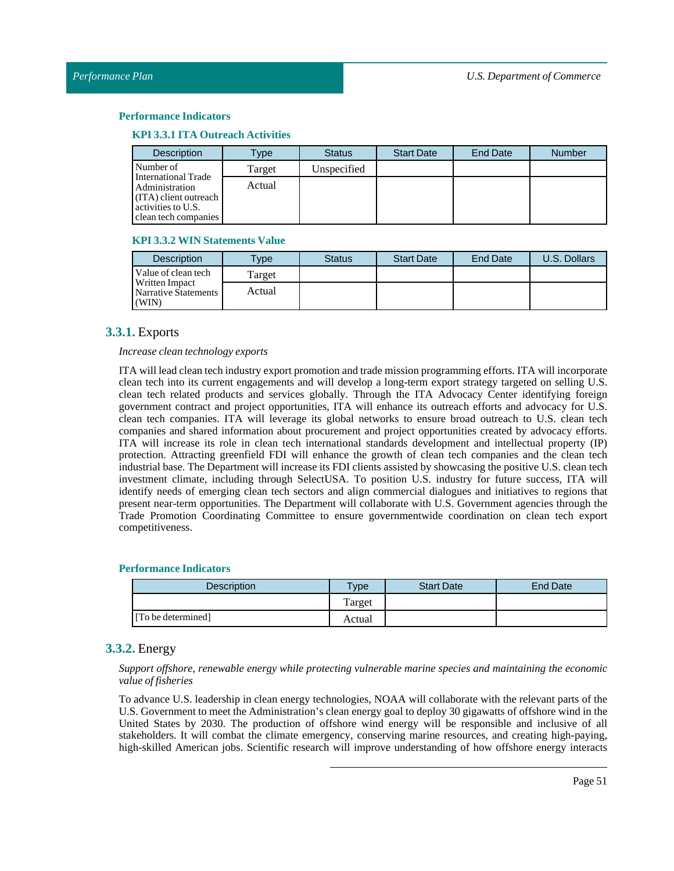#### **KPI 3.3.1 ITA Outreach Activities**

| <b>Description</b>                                                                                                    | Type   | <b>Status</b> | <b>Start Date</b> | <b>End Date</b> | <b>Number</b> |
|-----------------------------------------------------------------------------------------------------------------------|--------|---------------|-------------------|-----------------|---------------|
| Number of                                                                                                             | Target | Unspecified   |                   |                 |               |
| <b>International Trade</b><br>Administration<br>$(TTA)$ client outreach<br>activities to U.S.<br>clean tech companies | Actual |               |                   |                 |               |

#### **KPI 3.3.2 WIN Statements Value**

| <b>Description</b>                              | $T$ ype | <b>Status</b> | <b>Start Date</b> | <b>End Date</b> | U.S. Dollars |
|-------------------------------------------------|---------|---------------|-------------------|-----------------|--------------|
| Value of clean tech                             | Target  |               |                   |                 |              |
| Written Impact<br>Narrative Statements<br>(WIN) | Actual  |               |                   |                 |              |

## **3.3.1.** Exports

#### *Increase clean technology exports*

ITA willlead clean tech industry export promotion and trade mission programming efforts. ITA will incorporate clean tech into its current engagements and will develop a long-term export strategy targeted on selling U.S. clean tech related products and services globally. Through the ITA Advocacy Center identifying foreign government contract and project opportunities, ITA will enhance its outreach efforts and advocacy for U.S. clean tech companies. ITA will leverage its global networks to ensure broad outreach to U.S. clean tech companies and shared information about procurement and project opportunities created by advocacy efforts. ITA will increase its role in clean tech international standards development and intellectual property (IP) protection. Attracting greenfield FDI will enhance the growth of clean tech companies and the clean tech industrial base. The Department will increase its FDI clients assisted by showcasing the positive U.S. clean tech investment climate, including through SelectUSA. To position U.S. industry for future success, ITA will identify needs of emerging clean tech sectors and align commercial dialogues and initiatives to regions that present near-term opportunities. The Department will collaborate with U.S. Government agencies through the Trade Promotion Coordinating Committee to ensure governmentwide coordination on clean tech export competitiveness.

#### **Performance Indicators**

| <b>Description</b> | vpe    | <b>Start Date</b> | End Date |
|--------------------|--------|-------------------|----------|
|                    | Target |                   |          |
| [To be determined] | Actual |                   |          |

### **3.3.2.** Energy

#### *Support offshore, renewable energy while protecting vulnerable marine species and maintaining the economic value offisheries*

To advance U.S. leadership in clean energy technologies, NOAA will collaborate with the relevant parts of the U.S. Government to meet the Administration's clean energy goal to deploy 30 gigawatts of offshore wind in the United States by 2030. The production of offshore wind energy will be responsible and inclusive of all stakeholders. It will combat the climate emergency, conserving marine resources, and creating high-paying, high-skilled American jobs. Scientific research will improve understanding of how offshore energy interacts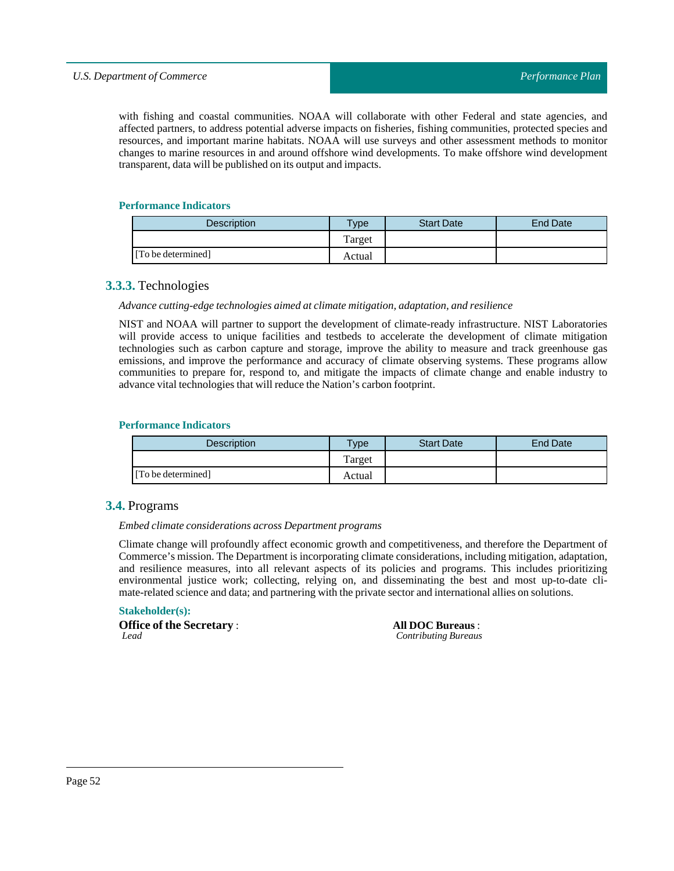with fishing and coastal communities. NOAA will collaborate with other Federal and state agencies, and affected partners, to address potential adverse impacts on fisheries, fishing communities, protected species and resources, and important marine habitats. NOAA will use surveys and other assessment methods to monitor changes to marine resources in and around offshore wind developments. To make offshore wind development transparent, data will be published on its output and impacts.

### **Performance Indicators**

| <b>Description</b> | $T$ <sub>ype</sub> | <b>Start Date</b> | <b>End Date</b> |
|--------------------|--------------------|-------------------|-----------------|
|                    | Target             |                   |                 |
| [To be determined] | Actual             |                   |                 |

### **3.3.3.** Technologies

#### *Advance cutting-edge technologies aimed at climate mitigation, adaptation, and resilience*

NIST and NOAA will partner to support the development of climate-ready infrastructure. NIST Laboratories will provide access to unique facilities and testbeds to accelerate the development of climate mitigation technologies such as carbon capture and storage, improve the ability to measure and track greenhouse gas emissions, and improve the performance and accuracy of climate observing systems. These programs allow communities to prepare for, respond to, and mitigate the impacts of climate change and enable industry to advance vital technologies that will reduce the Nation's carbon footprint.

### **Performance Indicators**

| <b>Description</b> | $T$ ype | <b>Start Date</b> | <b>End Date</b> |
|--------------------|---------|-------------------|-----------------|
|                    | Target  |                   |                 |
| [To be determined] | Actual  |                   |                 |

### **3.4.** Programs

#### *Embed climate considerations across Department programs*

Climate change will profoundly affect economic growth and competitiveness, and therefore the Department of Commerce's mission. The Department is incorporating climate considerations, including mitigation, adaptation, and resilience measures, into all relevant aspects of its policies and programs. This includes prioritizing environmental justice work; collecting, relying on, and disseminating the best and most up-to-date climate-related science and data; and partnering with the private sector and international allies on solutions.

#### **Stakeholder(s):**

**Office of the Secretary** : *Lead*

**All DOC Bureaus**: *Contributing Bureaus*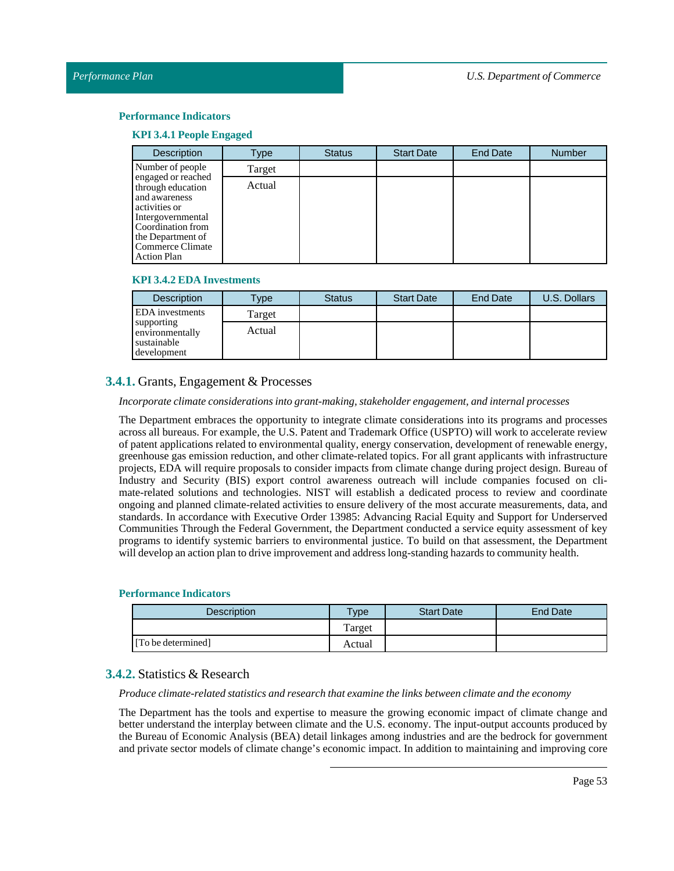#### **KPI 3.4.1 People Engaged**

| <b>Description</b>                                                                                                                                                                 | Type   | <b>Status</b> | <b>Start Date</b> | <b>End Date</b> | <b>Number</b> |
|------------------------------------------------------------------------------------------------------------------------------------------------------------------------------------|--------|---------------|-------------------|-----------------|---------------|
| Number of people                                                                                                                                                                   | Target |               |                   |                 |               |
| engaged or reached<br>through education<br>and awareness<br>activities or<br>Intergovernmental<br>Coordination from<br>the Department of<br>Commerce Climate<br><b>Action Plan</b> | Actual |               |                   |                 |               |

### **KPI 3.4.2 EDA Investments**

| <b>Description</b>                                          | Type   | <b>Status</b> | <b>Start Date</b> | <b>End Date</b> | U.S. Dollars |
|-------------------------------------------------------------|--------|---------------|-------------------|-----------------|--------------|
| <b>EDA</b> investments                                      | Target |               |                   |                 |              |
| supporting<br>environmentally<br>sustainable<br>development | Actual |               |                   |                 |              |

## **3.4.1.** Grants, Engagement & Processes

#### *Incorporate climate considerations into grant-making, stakeholder engagement, and internal processes*

The Department embraces the opportunity to integrate climate considerations into its programs and processes across all bureaus. For example, the U.S. Patent and Trademark Office (USPTO) will work to accelerate review of patent applications related to environmental quality, energy conservation, development of renewable energy, greenhouse gas emission reduction, and other climate-related topics. For all grant applicants with infrastructure projects, EDA will require proposals to consider impacts from climate change during project design. Bureau of Industry and Security (BIS) export control awareness outreach will include companies focused on climate-related solutions and technologies. NIST will establish a dedicated process to review and coordinate ongoing and planned climate-related activities to ensure delivery of the most accurate measurements, data, and standards. In accordance with Executive Order 13985: Advancing Racial Equity and Support for Underserved Communities Through the Federal Government, the Department conducted a service equity assessment of key programs to identify systemic barriers to environmental justice. To build on that assessment, the Department will develop an action plan to drive improvement and address long-standing hazards to community health.

#### **Performance Indicators**

| <b>Description</b> | vpe    | <b>Start Date</b> | <b>End Date</b> |
|--------------------|--------|-------------------|-----------------|
|                    | Target |                   |                 |
| [To be determined] | Actual |                   |                 |

## **3.4.2.** Statistics & Research

#### *Produce climate-related statistics and research that examine the links between climate and the economy*

The Department has the tools and expertise to measure the growing economic impact of climate change and better understand the interplay between climate and the U.S. economy. The input-output accounts produced by the Bureau of Economic Analysis (BEA) detail linkages among industries and are the bedrock for government and private sector models of climate change's economic impact. In addition to maintaining and improving core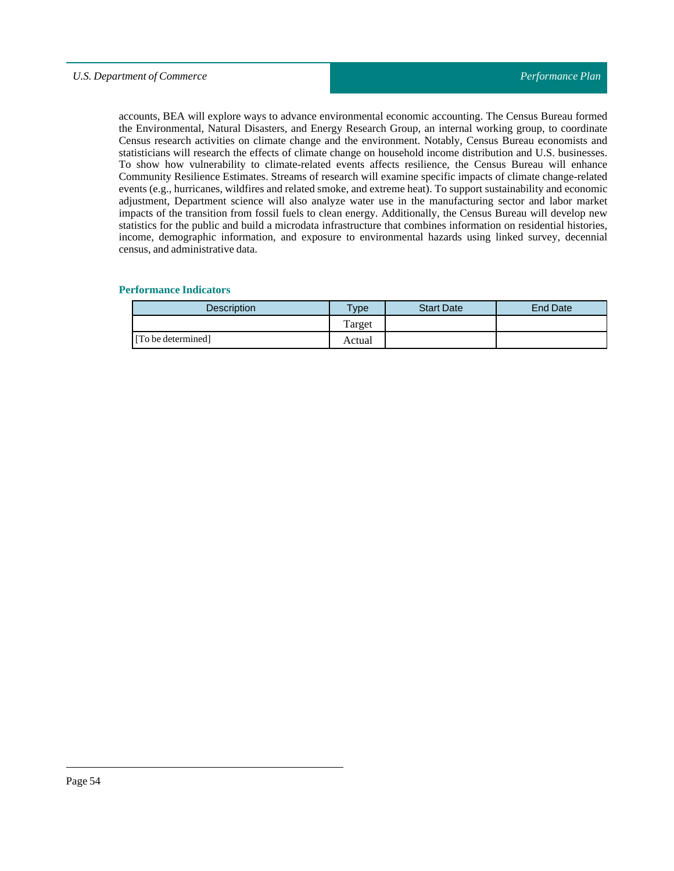### *U.S. Department of Commerce*

accounts, BEA will explore ways to advance environmental economic accounting. The Census Bureau formed the Environmental, Natural Disasters, and Energy Research Group, an internal working group, to coordinate Census research activities on climate change and the environment. Notably, Census Bureau economists and statisticians will research the effects of climate change on household income distribution and U.S. businesses. To show how vulnerability to climate-related events affects resilience, the Census Bureau will enhance Community Resilience Estimates. Streams of research will examine specific impacts of climate change-related events (e.g., hurricanes, wildfires and related smoke, and extreme heat). To support sustainability and economic adjustment, Department science will also analyze water use in the manufacturing sector and labor market impacts of the transition from fossil fuels to clean energy. Additionally, the Census Bureau will develop new statistics for the public and build a microdata infrastructure that combines information on residential histories, income, demographic information, and exposure to environmental hazards using linked survey, decennial census, and administrative data.

| <b>Description</b> | <b>Type</b> | <b>Start Date</b> | <b>End Date</b> |
|--------------------|-------------|-------------------|-----------------|
|                    | Target      |                   |                 |
| [To be determined] | Actual      |                   |                 |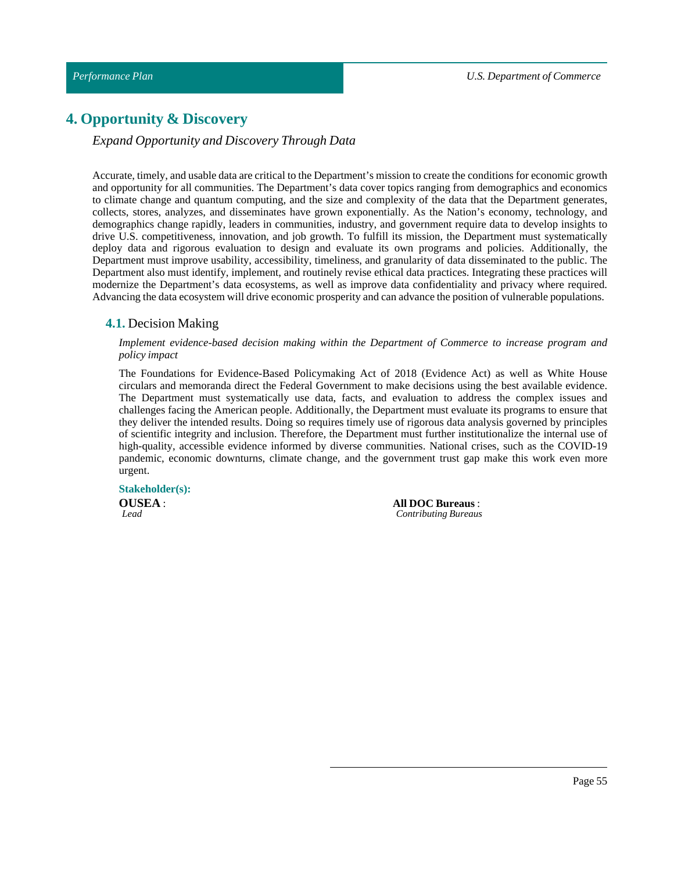# **4. Opportunity & Discovery**

*Expand Opportunity and Discovery Through Data*

Accurate, timely, and usable data are critical to the Department's mission to create the conditions for economic growth and opportunity for all communities. The Department's data cover topics ranging from demographics and economics to climate change and quantum computing, and the size and complexity of the data that the Department generates, collects, stores, analyzes, and disseminates have grown exponentially. As the Nation's economy, technology, and demographics change rapidly, leaders in communities, industry, and government require data to develop insights to drive U.S. competitiveness, innovation, and job growth. To fulfill its mission, the Department must systematically deploy data and rigorous evaluation to design and evaluate its own programs and policies. Additionally, the Department must improve usability, accessibility, timeliness, and granularity of data disseminated to the public. The Department also must identify, implement, and routinely revise ethical data practices. Integrating these practices will modernize the Department's data ecosystems, as well as improve data confidentiality and privacy where required. Advancing the data ecosystem will drive economic prosperity and can advance the position of vulnerable populations.

## **4.1.** Decision Making

*Implement evidence-based decision making within the Department of Commerce to increase program and policy impact*

The Foundations for Evidence-Based Policymaking Act of 2018 (Evidence Act) as well as White House circulars and memoranda direct the Federal Government to make decisions using the best available evidence. The Department must systematically use data, facts, and evaluation to address the complex issues and challenges facing the American people. Additionally, the Department must evaluate its programs to ensure that they deliver the intended results. Doing so requires timely use of rigorous data analysis governed by principles of scientific integrity and inclusion. Therefore, the Department must further institutionalize the internal use of high-quality, accessible evidence informed by diverse communities. National crises, such as the COVID-19 pandemic, economic downturns, climate change, and the government trust gap make this work even more urgent.

**Stakeholder(s): OUSEA** : *Lead*

**All DOC Bureaus**: *Contributing Bureaus*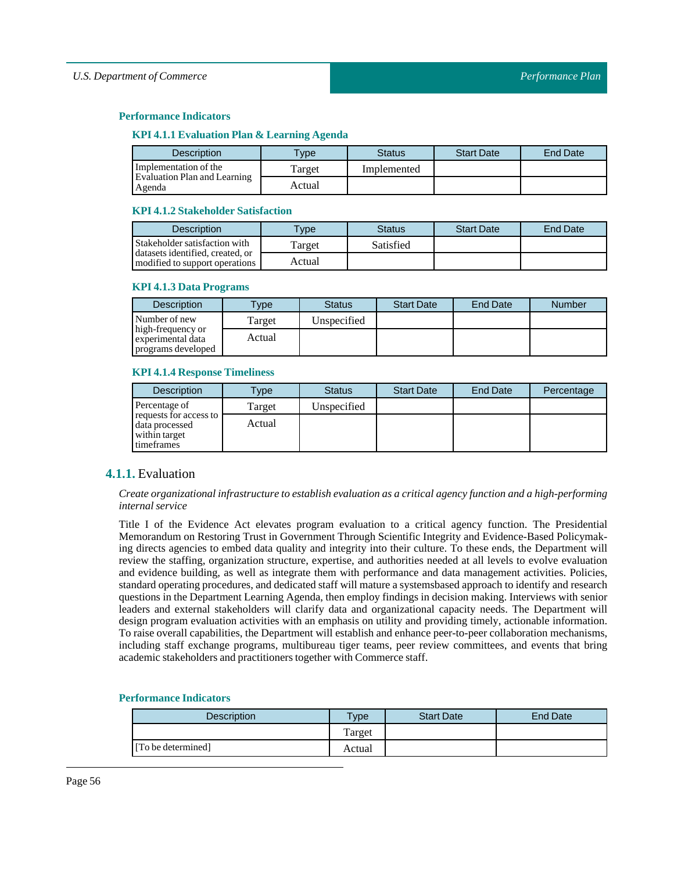### *U.S. Department of Commerce*

#### **Performance Indicators**

#### **KPI 4.1.1 Evaluation Plan & Learning Agenda**

| <b>Description</b>                     | $T$ vpe | Status      | <b>Start Date</b> | End Date |
|----------------------------------------|---------|-------------|-------------------|----------|
| Implementation of the                  | Target  | Implemented |                   |          |
| Evaluation Plan and Learning<br>Agenda | Actual  |             |                   |          |

### **KPI 4.1.2 Stakeholder Satisfaction**

| <b>Description</b>                                                   | <b>Type</b> | Status    | <b>Start Date</b> | <b>End Date</b> |
|----------------------------------------------------------------------|-------------|-----------|-------------------|-----------------|
| Stakeholder satisfaction with                                        | Target      | Satisfied |                   |                 |
| datasets identified, created, or<br>I modified to support operations | Actual      |           |                   |                 |

#### **KPI 4.1.3 Data Programs**

| <b>Description</b>                                           | <b>Type</b> | Status      | <b>Start Date</b> | <b>End Date</b> | <b>Number</b> |
|--------------------------------------------------------------|-------------|-------------|-------------------|-----------------|---------------|
| Number of new                                                | Target      | Unspecified |                   |                 |               |
| high-frequency or<br>experimental data<br>programs developed | Actual      |             |                   |                 |               |

#### **KPI 4.1.4 Response Timeliness**

| <b>Description</b>                                                      | <b>Type</b> | <b>Status</b> | <b>Start Date</b> | <b>End Date</b> | Percentage |
|-------------------------------------------------------------------------|-------------|---------------|-------------------|-----------------|------------|
| Percentage of                                                           | Target      | Unspecified   |                   |                 |            |
| requests for access to<br>data processed<br>within target<br>timeframes | Actual      |               |                   |                 |            |

## **4.1.1.** Evaluation

*Create organizationalinfrastructure to establish evaluation as a critical agency function and a high-performing internal service*

Title I of the Evidence Act elevates program evaluation to a critical agency function. The Presidential Memorandum on Restoring Trust in Government Through Scientific Integrity and Evidence-Based Policymaking directs agencies to embed data quality and integrity into their culture. To these ends, the Department will review the staffing, organization structure, expertise, and authorities needed at all levels to evolve evaluation and evidence building, as well as integrate them with performance and data management activities. Policies, standard operating procedures, and dedicated staff will mature a systemsbased approach to identify and research questions in the Department Learning Agenda, then employ findings in decision making. Interviews with senior leaders and external stakeholders will clarify data and organizational capacity needs. The Department will design program evaluation activities with an emphasis on utility and providing timely, actionable information. To raise overall capabilities, the Department will establish and enhance peer-to-peer collaboration mechanisms, including staff exchange programs, multibureau tiger teams, peer review committees, and events that bring academic stakeholders and practitioners together with Commerce staff.

| <b>Description</b> | <b>Type</b> | <b>Start Date</b> | <b>End Date</b> |
|--------------------|-------------|-------------------|-----------------|
|                    | Target      |                   |                 |
| [To be determined] | Actual      |                   |                 |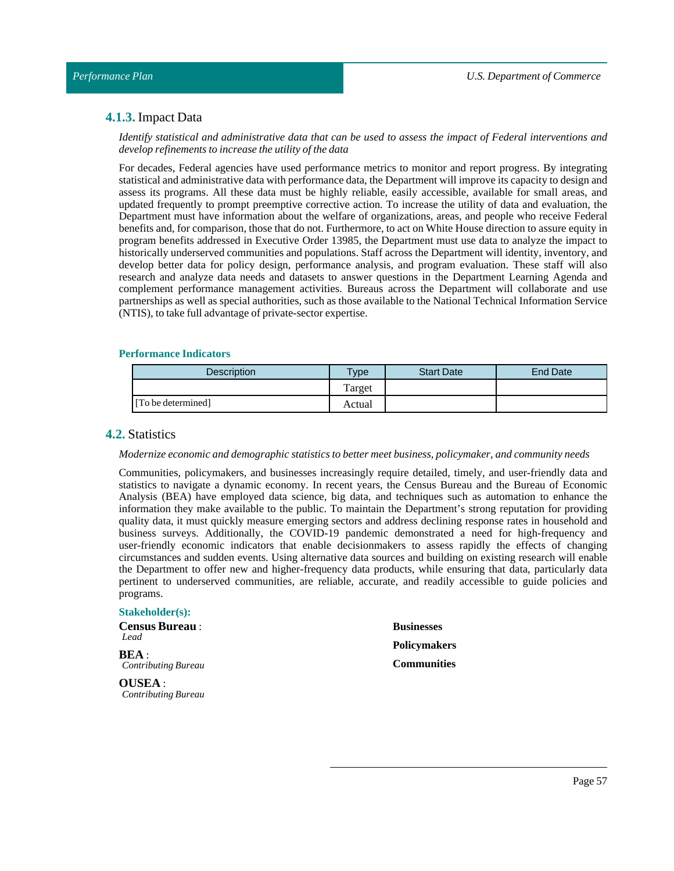## **4.1.3.** Impact Data

Identify statistical and administrative data that can be used to assess the impact of Federal interventions and *develop refinements to increase the utility ofthe data*

For decades, Federal agencies have used performance metrics to monitor and report progress. By integrating statistical and administrative data with performance data, the Department will improve its capacity to design and assess its programs. All these data must be highly reliable, easily accessible, available for small areas, and updated frequently to prompt preemptive corrective action. To increase the utility of data and evaluation, the Department must have information about the welfare of organizations, areas, and people who receive Federal benefits and, for comparison, those that do not. Furthermore, to act on White House direction to assure equity in program benefits addressed in Executive Order 13985, the Department must use data to analyze the impact to historically underserved communities and populations. Staff across the Department will identity, inventory, and develop better data for policy design, performance analysis, and program evaluation. These staff will also research and analyze data needs and datasets to answer questions in the Department Learning Agenda and complement performance management activities. Bureaus across the Department will collaborate and use partnerships as well as special authorities, such as those available to the National Technical Information Service (NTIS), to take full advantage of private-sector expertise.

#### **Performance Indicators**

| <b>Description</b> | $T$ <sub>ype</sub> | <b>Start Date</b> | End Date |
|--------------------|--------------------|-------------------|----------|
|                    | Target             |                   |          |
| [To be determined] | Actual             |                   |          |

### **4.2.** Statistics

#### *Modernize economic and demographic statistics to better meet business, policymaker, and community needs*

Communities, policymakers, and businesses increasingly require detailed, timely, and user-friendly data and statistics to navigate a dynamic economy. In recent years, the Census Bureau and the Bureau of Economic Analysis (BEA) have employed data science, big data, and techniques such as automation to enhance the information they make available to the public. To maintain the Department's strong reputation for providing quality data, it must quickly measure emerging sectors and address declining response rates in household and business surveys. Additionally, the COVID-19 pandemic demonstrated a need for high-frequency and user-friendly economic indicators that enable decisionmakers to assess rapidly the effects of changing circumstances and sudden events. Using alternative data sources and building on existing research will enable the Department to offer new and higher-frequency data products, while ensuring that data, particularly data pertinent to underserved communities, are reliable, accurate, and readily accessible to guide policies and programs.

| <b>Stakeholder(s):</b>             |                     |
|------------------------------------|---------------------|
| <b>Census Bureau</b> :             | <b>Businesses</b>   |
| Lead                               | <b>Policymakers</b> |
| BEA:<br><b>Contributing Bureau</b> | <b>Communities</b>  |

**OUSEA** : *Contributing Bureau*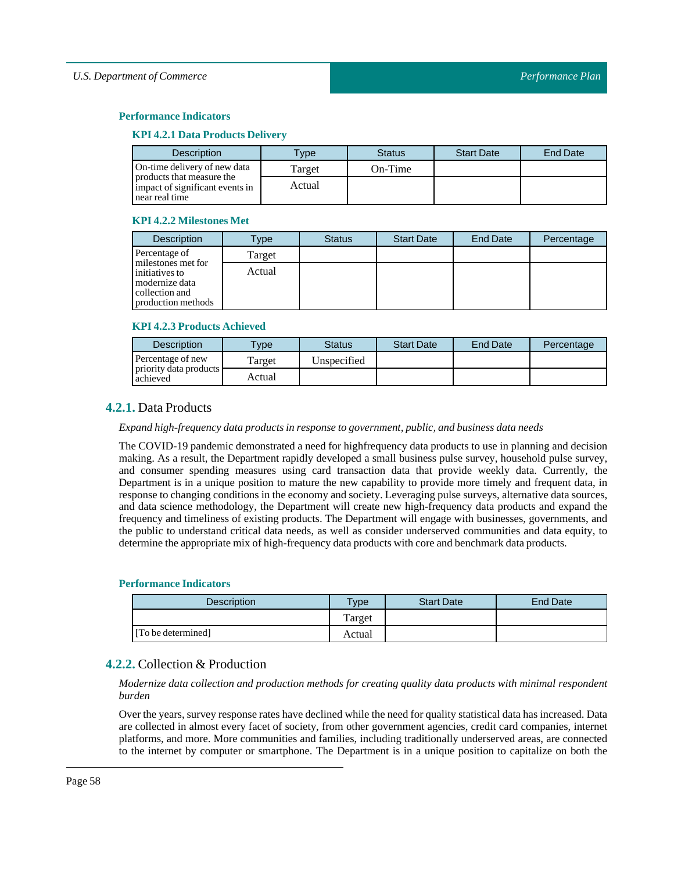### *U.S. Department of Commerce*

#### **Performance Indicators**

#### **KPI 4.2.1 Data Products Delivery**

| <b>Description</b>                                                             | Type   | <b>Status</b> | <b>Start Date</b> | End Date |
|--------------------------------------------------------------------------------|--------|---------------|-------------------|----------|
| On-time delivery of new data                                                   | Target | On-Time       |                   |          |
| products that measure the<br>impact of significant events in<br>near real time | Actual |               |                   |          |

#### **KPI 4.2.2 Milestones Met**

| <b>Description</b>                                                                             | Type   | <b>Status</b> | <b>Start Date</b> | End Date | Percentage |
|------------------------------------------------------------------------------------------------|--------|---------------|-------------------|----------|------------|
| Percentage of                                                                                  | Target |               |                   |          |            |
| milestones met for<br>initiatives to<br>modernize data<br>collection and<br>production methods | Actual |               |                   |          |            |

#### **KPI 4.2.3 Products Achieved**

| <b>Description</b>                 | <b>Type</b> | <b>Status</b> | <b>Start Date</b> | End Date | Percentage |
|------------------------------------|-------------|---------------|-------------------|----------|------------|
| Percentage of new                  | Target      | Unspecified   |                   |          |            |
| priority data products<br>achieved | Actual      |               |                   |          |            |

### **4.2.1.** Data Products

#### *Expand high-frequency data products in response to government, public, and business data needs*

The COVID-19 pandemic demonstrated a need for highfrequency data products to use in planning and decision making. As a result, the Department rapidly developed a small business pulse survey, household pulse survey, and consumer spending measures using card transaction data that provide weekly data. Currently, the Department is in a unique position to mature the new capability to provide more timely and frequent data, in response to changing conditions in the economy and society. Leveraging pulse surveys, alternative data sources, and data science methodology, the Department will create new high-frequency data products and expand the frequency and timeliness of existing products. The Department will engage with businesses, governments, and the public to understand critical data needs, as well as consider underserved communities and data equity, to determine the appropriate mix of high-frequency data products with core and benchmark data products.

#### **Performance Indicators**

| <b>Description</b> | $T$ <sub>ype</sub> | <b>Start Date</b> | End Date |
|--------------------|--------------------|-------------------|----------|
|                    | Target             |                   |          |
| [To be determined] | Actual             |                   |          |

### **4.2.2.** Collection & Production

*Modernize data collection and production methods for creating quality data products with minimal respondent burden*

Over the years, survey response rates have declined while the need for quality statistical data has increased. Data are collected in almost every facet of society, from other government agencies, credit card companies, internet platforms, and more. More communities and families, including traditionally underserved areas, are connected to the internet by computer or smartphone. The Department is in a unique position to capitalize on both the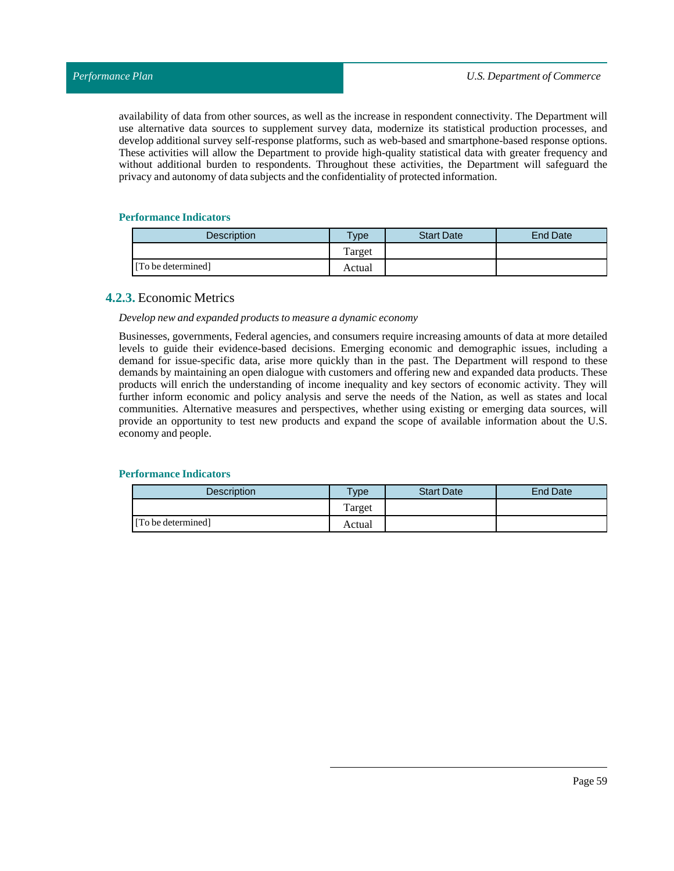availability of data from other sources, as well as the increase in respondent connectivity. The Department will use alternative data sources to supplement survey data, modernize its statistical production processes, and develop additional survey self-response platforms, such as web-based and smartphone-based response options. These activities will allow the Department to provide high-quality statistical data with greater frequency and without additional burden to respondents. Throughout these activities, the Department will safeguard the privacy and autonomy of data subjects and the confidentiality of protected information.

### **Performance Indicators**

| <b>Description</b> | <b>Vpe</b> | <b>Start Date</b> | <b>End Date</b> |
|--------------------|------------|-------------------|-----------------|
|                    | Target     |                   |                 |
| [To be determined] | Actual     |                   |                 |

### **4.2.3.** Economic Metrics

#### *Develop new and expanded products to measure a dynamic economy*

Businesses, governments, Federal agencies, and consumers require increasing amounts of data at more detailed levels to guide their evidence-based decisions. Emerging economic and demographic issues, including a demand for issue-specific data, arise more quickly than in the past. The Department will respond to these demands by maintaining an open dialogue with customers and offering new and expanded data products. These products will enrich the understanding of income inequality and key sectors of economic activity. They will further inform economic and policy analysis and serve the needs of the Nation, as well as states and local communities. Alternative measures and perspectives, whether using existing or emerging data sources, will provide an opportunity to test new products and expand the scope of available information about the U.S. economy and people.

| <b>Description</b> | $v$ pe | <b>Start Date</b> | <b>End Date</b> |
|--------------------|--------|-------------------|-----------------|
|                    | Target |                   |                 |
| [To be determined] | Actual |                   |                 |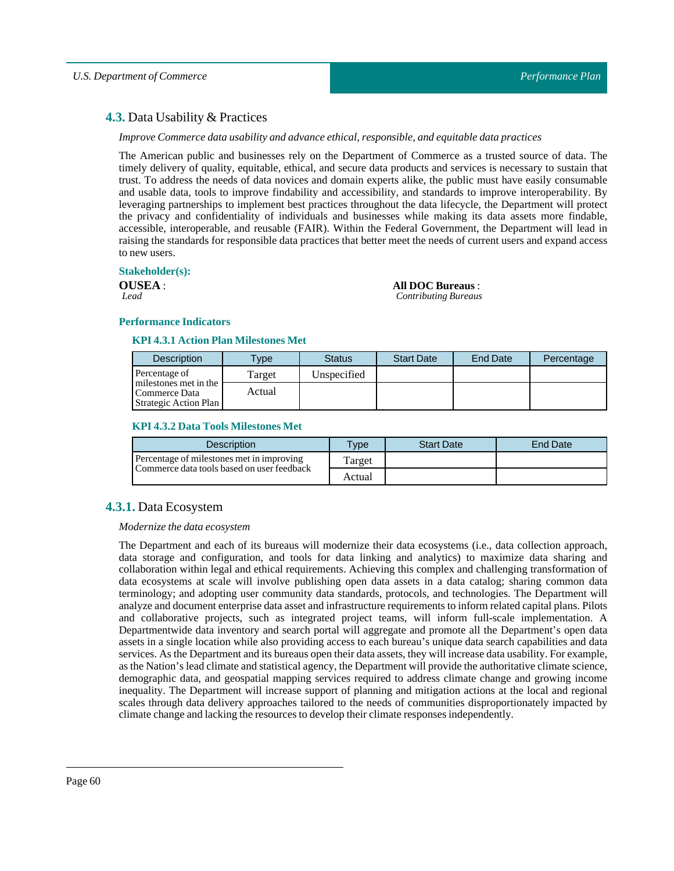## **4.3.** Data Usability & Practices

### *Improve Commerce data usability and advance ethical, responsible, and equitable data practices*

The American public and businesses rely on the Department of Commerce as a trusted source of data. The timely delivery of quality, equitable, ethical, and secure data products and services is necessary to sustain that trust. To address the needs of data novices and domain experts alike, the public must have easily consumable and usable data, tools to improve findability and accessibility, and standards to improve interoperability. By leveraging partnerships to implement best practices throughout the data lifecycle, the Department will protect the privacy and confidentiality of individuals and businesses while making its data assets more findable, accessible, interoperable, and reusable (FAIR). Within the Federal Government, the Department will lead in raising the standards for responsible data practices that better meet the needs of current users and expand access to new users.

### **Stakeholder(s):**

**OUSEA** : *Lead*

#### **All DOC Bureaus**: *Contributing Bureaus*

#### **Performance Indicators**

#### **KPI 4.3.1 Action Plan Milestones Met**

| <b>Description</b>                                              | $T$ <sub>V</sub> $pe$ | <b>Status</b> | <b>Start Date</b> | <b>End Date</b> | Percentage |
|-----------------------------------------------------------------|-----------------------|---------------|-------------------|-----------------|------------|
| Percentage of                                                   | Target                | Unspecified   |                   |                 |            |
| milestones met in the<br>Commerce Data<br>Strategic Action Plan | Actual                |               |                   |                 |            |

### **KPI 4.3.2 Data Tools Milestones Met**

| <b>Description</b>                         | <b>Type</b> | <b>Start Date</b> | End Date |
|--------------------------------------------|-------------|-------------------|----------|
| Percentage of milestones met in improving  | Target      |                   |          |
| Commerce data tools based on user feedback | Actual      |                   |          |

## **4.3.1.** Data Ecosystem

#### *Modernize the data ecosystem*

The Department and each of its bureaus will modernize their data ecosystems (i.e., data collection approach, data storage and configuration, and tools for data linking and analytics) to maximize data sharing and collaboration within legal and ethical requirements. Achieving this complex and challenging transformation of data ecosystems at scale will involve publishing open data assets in a data catalog; sharing common data terminology; and adopting user community data standards, protocols, and technologies. The Department will analyze and document enterprise data asset and infrastructure requirements to inform related capital plans. Pilots and collaborative projects, such as integrated project teams, will inform full-scale implementation. A Departmentwide data inventory and search portal will aggregate and promote all the Department's open data assets in a single location while also providing access to each bureau's unique data search capabilities and data services. As the Department and its bureaus open their data assets, they will increase data usability. For example, as the Nation's lead climate and statistical agency, the Department will provide the authoritative climate science, demographic data, and geospatial mapping services required to address climate change and growing income inequality. The Department will increase support of planning and mitigation actions at the local and regional scales through data delivery approaches tailored to the needs of communities disproportionately impacted by climate change and lacking the resources to develop their climate responses independently.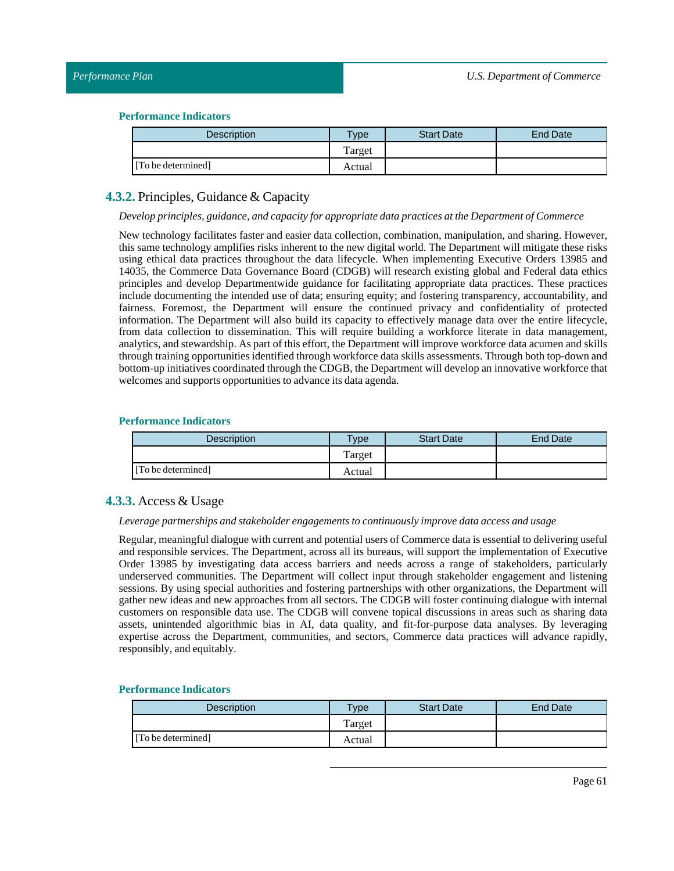| Description        | <b>Type</b> | <b>Start Date</b> | <b>End Date</b> |
|--------------------|-------------|-------------------|-----------------|
|                    | Target      |                   |                 |
| [To be determined] | Actual      |                   |                 |

## **4.3.2.** Principles, Guidance & Capacity

#### *Develop principles, guidance, and capacity for appropriate data practices atthe Department of Commerce*

New technology facilitates faster and easier data collection, combination, manipulation, and sharing. However, this same technology amplifies risks inherent to the new digital world. The Department will mitigate these risks using ethical data practices throughout the data lifecycle. When implementing Executive Orders 13985 and 14035, the Commerce Data Governance Board (CDGB) will research existing global and Federal data ethics principles and develop Departmentwide guidance for facilitating appropriate data practices. These practices include documenting the intended use of data; ensuring equity; and fostering transparency, accountability, and fairness. Foremost, the Department will ensure the continued privacy and confidentiality of protected information. The Department will also build its capacity to effectively manage data over the entire lifecycle, from data collection to dissemination. This will require building a workforce literate in data management, analytics, and stewardship. As part of this effort, the Department will improve workforce data acumen and skills through training opportunities identified through workforce data skills assessments. Through both top-down and bottom-up initiatives coordinated through the CDGB, the Department will develop an innovative workforce that welcomes and supports opportunities to advance its data agenda.

#### **Performance Indicators**

| Description        | $T$ vpe | <b>Start Date</b> | <b>End Date</b> |
|--------------------|---------|-------------------|-----------------|
|                    | Target  |                   |                 |
| [To be determined] | Actual  |                   |                 |

### **4.3.3.** Access & Usage

#### *Leverage partnerships and stakeholder engagements to continuously improve data access and usage*

Regular, meaningful dialogue with current and potential users of Commerce data is essential to delivering useful and responsible services. The Department, across all its bureaus, will support the implementation of Executive Order 13985 by investigating data access barriers and needs across a range of stakeholders, particularly underserved communities. The Department will collect input through stakeholder engagement and listening sessions. By using special authorities and fostering partnerships with other organizations, the Department will gather new ideas and new approaches from all sectors. The CDGB will foster continuing dialogue with internal customers on responsible data use. The CDGB will convene topical discussions in areas such as sharing data assets, unintended algorithmic bias in AI, data quality, and fit-for-purpose data analyses. By leveraging expertise across the Department, communities, and sectors, Commerce data practices will advance rapidly, responsibly, and equitably.

| Description        | Type   | <b>Start Date</b> | End Date |
|--------------------|--------|-------------------|----------|
|                    | Target |                   |          |
| [To be determined] | Actual |                   |          |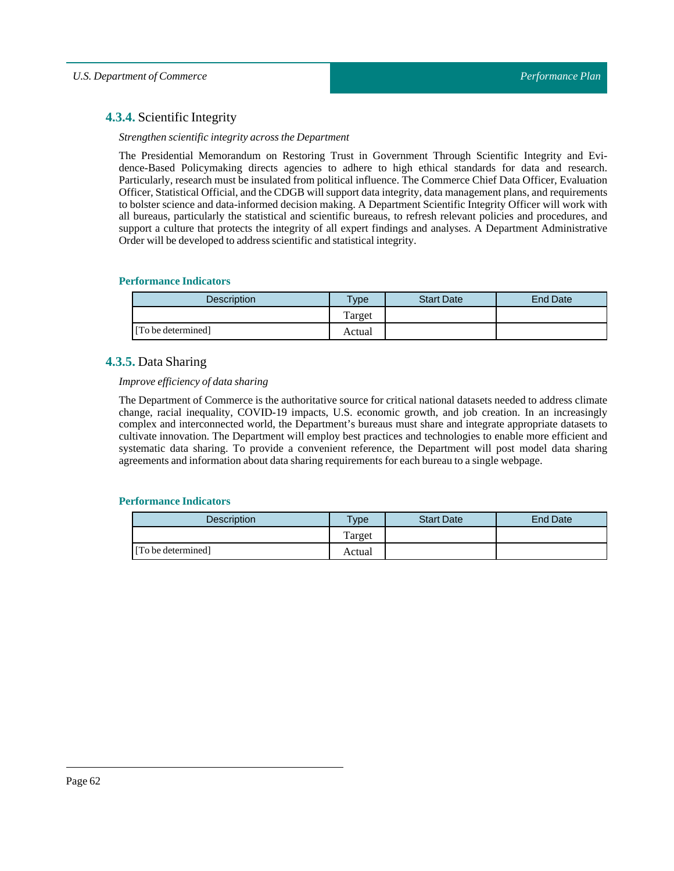## **4.3.4.** Scientific Integrity

### *Strengthen scientific integrity across the Department*

The Presidential Memorandum on Restoring Trust in Government Through Scientific Integrity and Evidence-Based Policymaking directs agencies to adhere to high ethical standards for data and research. Particularly, research must be insulated from political influence. The Commerce Chief Data Officer, Evaluation Officer, Statistical Official, and the CDGB will support data integrity, data management plans, and requirements to bolster science and data-informed decision making. A Department Scientific Integrity Officer will work with all bureaus, particularly the statistical and scientific bureaus, to refresh relevant policies and procedures, and support a culture that protects the integrity of all expert findings and analyses. A Department Administrative Order will be developed to address scientific and statistical integrity.

### **Performance Indicators**

| Description        | $T$ ype | <b>Start Date</b> | <b>End Date</b> |
|--------------------|---------|-------------------|-----------------|
|                    | Target  |                   |                 |
| [To be determined] | Actual  |                   |                 |

## **4.3.5.** Data Sharing

### *Improve efficiency of data sharing*

The Department of Commerce is the authoritative source for critical national datasets needed to address climate change, racial inequality, COVID-19 impacts, U.S. economic growth, and job creation. In an increasingly complex and interconnected world, the Department's bureaus must share and integrate appropriate datasets to cultivate innovation. The Department will employ best practices and technologies to enable more efficient and systematic data sharing. To provide a convenient reference, the Department will post model data sharing agreements and information about data sharing requirements for each bureau to a single webpage.

| <b>Description</b> | $T$ <sub>V</sub> pe | <b>Start Date</b> | <b>End Date</b> |
|--------------------|---------------------|-------------------|-----------------|
|                    | Target              |                   |                 |
| [To be determined] | Actual              |                   |                 |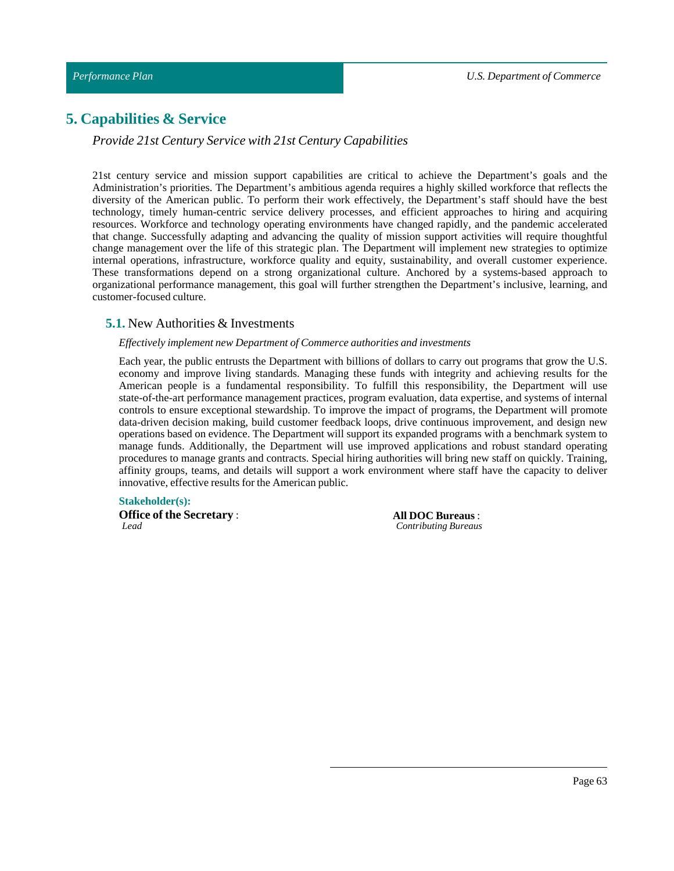# **5. Capabilities & Service**

*Provide 21st Century Service with 21st Century Capabilities*

21st century service and mission support capabilities are critical to achieve the Department's goals and the Administration's priorities. The Department's ambitious agenda requires a highly skilled workforce that reflects the diversity of the American public. To perform their work effectively, the Department's staff should have the best technology, timely human-centric service delivery processes, and efficient approaches to hiring and acquiring resources. Workforce and technology operating environments have changed rapidly, and the pandemic accelerated that change. Successfully adapting and advancing the quality of mission support activities will require thoughtful change management over the life of this strategic plan. The Department will implement new strategies to optimize internal operations, infrastructure, workforce quality and equity, sustainability, and overall customer experience. These transformations depend on a strong organizational culture. Anchored by a systems-based approach to organizational performance management, this goal will further strengthen the Department's inclusive, learning, and customer-focused culture.

## **5.1.** New Authorities & Investments

#### *Effectively implement new Department of Commerce authorities and investments*

Each year, the public entrusts the Department with billions of dollars to carry out programs that grow the U.S. economy and improve living standards. Managing these funds with integrity and achieving results for the American people is a fundamental responsibility. To fulfill this responsibility, the Department will use state-of-the-art performance management practices, program evaluation, data expertise, and systems of internal controls to ensure exceptional stewardship. To improve the impact of programs, the Department will promote data-driven decision making, build customer feedback loops, drive continuous improvement, and design new operations based on evidence. The Department will support its expanded programs with a benchmark system to manage funds. Additionally, the Department will use improved applications and robust standard operating procedures to manage grants and contracts. Special hiring authorities will bring new staff on quickly. Training, affinity groups, teams, and details will support a work environment where staff have the capacity to deliver innovative, effective results for the American public.

### **Stakeholder(s):**

**Office of the Secretary** : *Lead*

**All DOC Bureaus**: *Contributing Bureaus*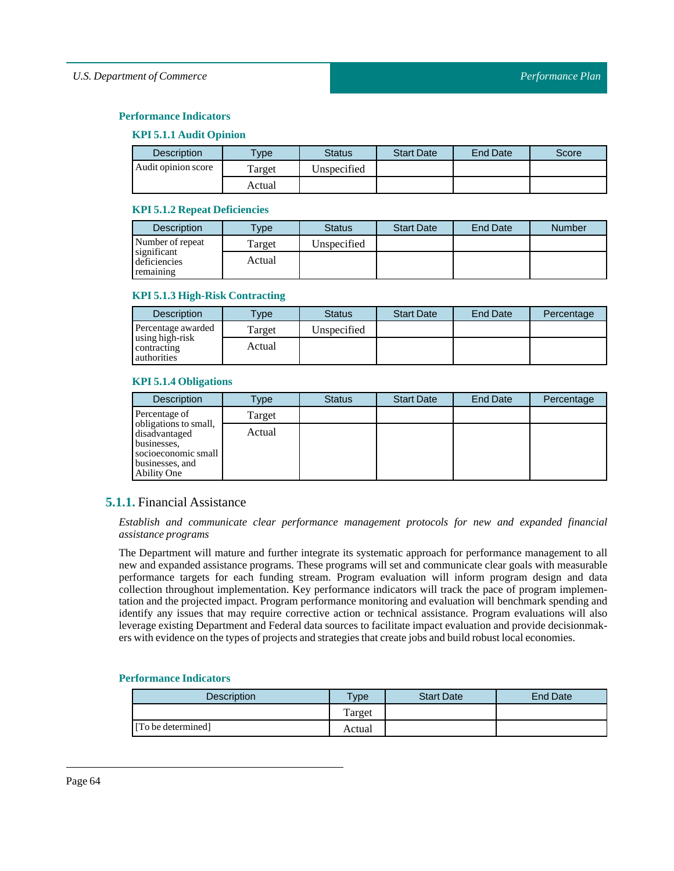#### **KPI 5.1.1 Audit Opinion**

| <b>Description</b>  | $T$ vpe | Status      | <b>Start Date</b> | <b>End Date</b> | Score |
|---------------------|---------|-------------|-------------------|-----------------|-------|
| Audit opinion score | Target  | Unspecified |                   |                 |       |
|                     | Actual  |             |                   |                 |       |

### **KPI 5.1.2 Repeat Deficiencies**

| <b>Description</b>                       | Type   | <b>Status</b> | <b>Start Date</b> | <b>End Date</b> | <b>Number</b> |
|------------------------------------------|--------|---------------|-------------------|-----------------|---------------|
| Number of repeat                         | Target | Unspecified   |                   |                 |               |
| significant<br>deficiencies<br>remaining | Actual |               |                   |                 |               |

### **KPI 5.1.3 High-Risk Contracting**

| <b>Description</b>                            | <b>Type</b> | <b>Status</b> | <b>Start Date</b> | <b>End Date</b> | Percentage |
|-----------------------------------------------|-------------|---------------|-------------------|-----------------|------------|
| Percentage awarded                            | Target      | Unspecified   |                   |                 |            |
| using high-risk<br>contracting<br>authorities | Actual      |               |                   |                 |            |

## **KPI 5.1.4 Obligations**

| <b>Description</b>                                                                                             | Type   | <b>Status</b> | <b>Start Date</b> | <b>End Date</b> | Percentage |
|----------------------------------------------------------------------------------------------------------------|--------|---------------|-------------------|-----------------|------------|
| Percentage of                                                                                                  | Target |               |                   |                 |            |
| obligations to small,<br>disadvantaged<br>businesses.<br>socioeconomic small<br>businesses, and<br>Ability One | Actual |               |                   |                 |            |

## **5.1.1.** Financial Assistance

*Establish and communicate clear performance management protocols for new and expanded financial assistance programs*

The Department will mature and further integrate its systematic approach for performance management to all new and expanded assistance programs. These programs will set and communicate clear goals with measurable performance targets for each funding stream. Program evaluation will inform program design and data collection throughout implementation. Key performance indicators will track the pace of program implementation and the projected impact. Program performance monitoring and evaluation will benchmark spending and identify any issues that may require corrective action or technical assistance. Program evaluations will also leverage existing Department and Federal data sources to facilitate impact evaluation and provide decisionmakers with evidence on the types of projects and strategies that create jobs and build robustlocal economies.

| <b>Description</b> | $T$ <sub>ype</sub> | <b>Start Date</b> | <b>End Date</b> |
|--------------------|--------------------|-------------------|-----------------|
|                    | Target             |                   |                 |
| [To be determined] | Actual             |                   |                 |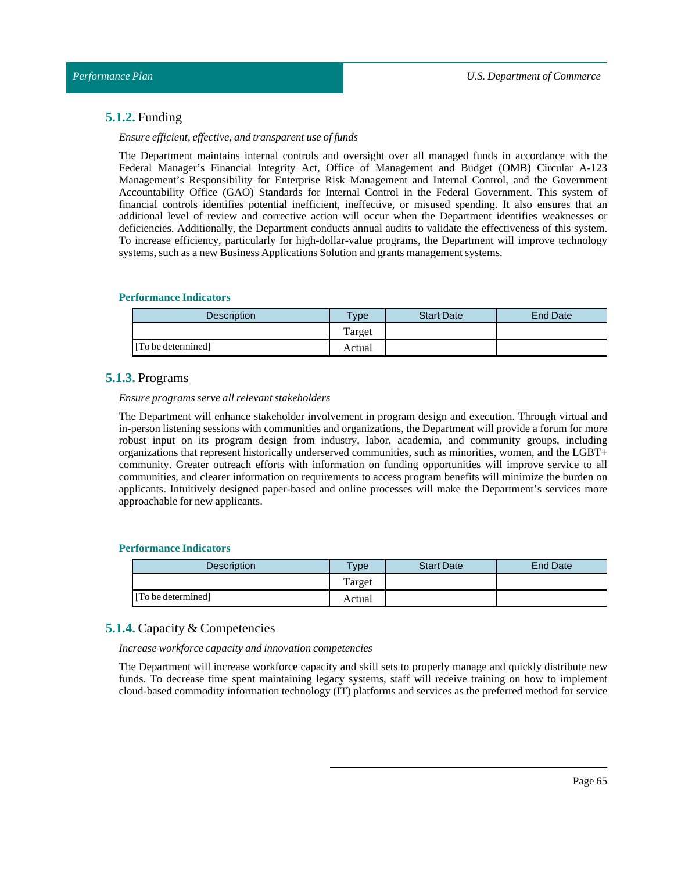## **5.1.2.** Funding

#### *Ensure efficient, effective, and transparent use offunds*

The Department maintains internal controls and oversight over all managed funds in accordance with the Federal Manager's Financial Integrity Act, Office of Management and Budget (OMB) Circular A-123 Management's Responsibility for Enterprise Risk Management and Internal Control, and the Government Accountability Office (GAO) Standards for Internal Control in the Federal Government. This system of financial controls identifies potential inefficient, ineffective, or misused spending. It also ensures that an additional level of review and corrective action will occur when the Department identifies weaknesses or deficiencies. Additionally, the Department conducts annual audits to validate the effectiveness of this system. To increase efficiency, particularly for high-dollar-value programs, the Department will improve technology systems, such as a new Business Applications Solution and grants management systems.

#### **Performance Indicators**

| <b>Description</b> | <b>Type</b> | <b>Start Date</b> | End Date |
|--------------------|-------------|-------------------|----------|
|                    | Target      |                   |          |
| [To be determined] | Actual      |                   |          |

## **5.1.3.** Programs

#### *Ensure programs serve all relevant stakeholders*

The Department will enhance stakeholder involvement in program design and execution. Through virtual and in-person listening sessions with communities and organizations, the Department will provide a forum for more robust input on its program design from industry, labor, academia, and community groups, including organizations that represent historically underserved communities, such as minorities, women, and the LGBT+ community. Greater outreach efforts with information on funding opportunities will improve service to all communities, and clearer information on requirements to access program benefits will minimize the burden on applicants. Intuitively designed paper-based and online processes will make the Department's services more approachable for new applicants.

#### **Performance Indicators**

| Description        | vpe    | <b>Start Date</b> | <b>End Date</b> |
|--------------------|--------|-------------------|-----------------|
|                    | Target |                   |                 |
| [To be determined] | Actual |                   |                 |

## **5.1.4.** Capacity & Competencies

*Increase workforce capacity and innovation competencies*

The Department will increase workforce capacity and skill sets to properly manage and quickly distribute new funds. To decrease time spent maintaining legacy systems, staff will receive training on how to implement cloud-based commodity information technology (IT) platforms and services as the preferred method for service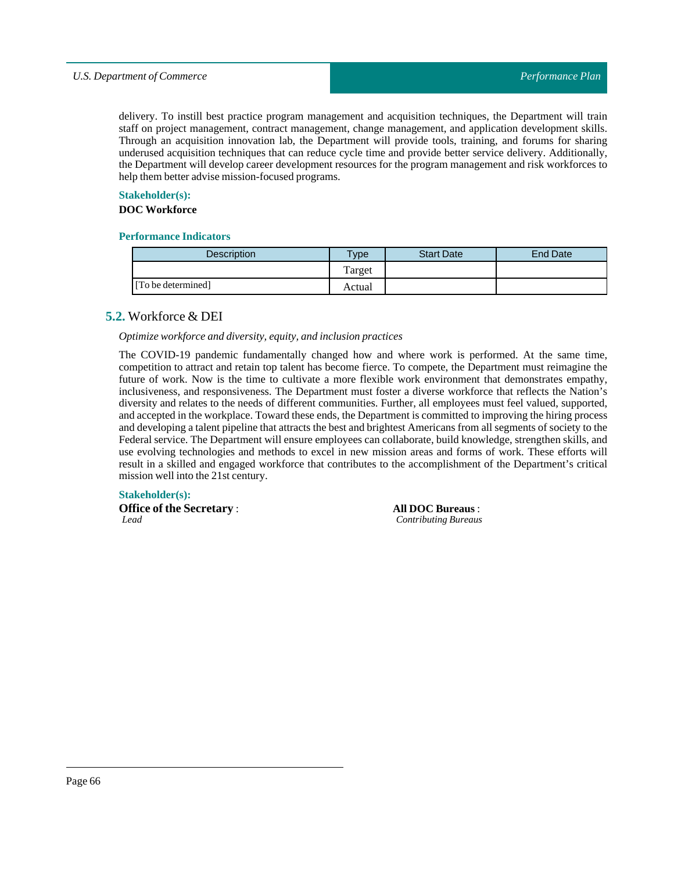delivery. To instill best practice program management and acquisition techniques, the Department will train staff on project management, contract management, change management, and application development skills. Through an acquisition innovation lab, the Department will provide tools, training, and forums for sharing underused acquisition techniques that can reduce cycle time and provide better service delivery. Additionally, the Department will develop career development resources for the program management and risk workforces to help them better advise mission-focused programs.

### **Stakeholder(s):**

## **DOC Workforce**

### **Performance Indicators**

| <b>Description</b> | <b>Vpe</b> | <b>Start Date</b> | End Date |
|--------------------|------------|-------------------|----------|
|                    | Target     |                   |          |
| [To be determined] | Actual     |                   |          |

## **5.2.** Workforce & DEI

### *Optimize workforce and diversity, equity, and inclusion practices*

The COVID-19 pandemic fundamentally changed how and where work is performed. At the same time, competition to attract and retain top talent has become fierce. To compete, the Department must reimagine the future of work. Now is the time to cultivate a more flexible work environment that demonstrates empathy, inclusiveness, and responsiveness. The Department must foster a diverse workforce that reflects the Nation's diversity and relates to the needs of different communities. Further, all employees must feel valued, supported, and accepted in the workplace. Toward these ends, the Department is committed to improving the hiring process and developing a talent pipeline that attracts the best and brightest Americans from all segments of society to the Federal service. The Department will ensure employees can collaborate, build knowledge, strengthen skills, and use evolving technologies and methods to excel in new mission areas and forms of work. These efforts will result in a skilled and engaged workforce that contributes to the accomplishment of the Department's critical mission well into the 21st century.

#### **Stakeholder(s):**

**Office of the Secretary** : *Lead*

**All DOC Bureaus**: *Contributing Bureaus*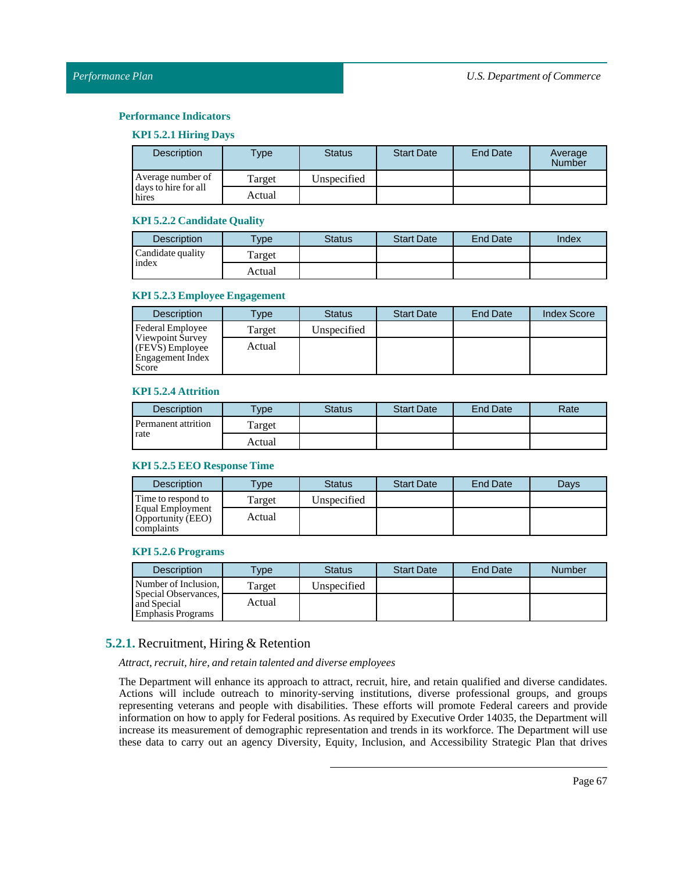## **KPI 5.2.1 Hiring Days**

| <b>Description</b>            | <b>Type</b> | <b>Status</b> | <b>Start Date</b> | <b>End Date</b> | Average<br>Number |
|-------------------------------|-------------|---------------|-------------------|-----------------|-------------------|
| Average number of             | Target      | Unspecified   |                   |                 |                   |
| days to hire for all<br>hires | Actual      |               |                   |                 |                   |

#### **KPI 5.2.2 Candidate Quality**

| <b>Description</b> | <b>Type</b> | Status | <b>Start Date</b> | <b>End Date</b> | Index |
|--------------------|-------------|--------|-------------------|-----------------|-------|
| Candidate quality  | Target      |        |                   |                 |       |
| index              | Actual      |        |                   |                 |       |

#### **KPI 5.2.3 Employee Engagement**

| <b>Description</b>                                               | <b>Type</b> | <b>Status</b> | <b>Start Date</b> | <b>End Date</b> | <b>Index Score</b> |
|------------------------------------------------------------------|-------------|---------------|-------------------|-----------------|--------------------|
| <b>Federal Employee</b>                                          | Target      | Unspecified   |                   |                 |                    |
| Viewpoint Survey<br>(FEVS) Employee<br>Engagement Index<br>Score | Actual      |               |                   |                 |                    |

#### **KPI 5.2.4 Attrition**

| <b>Description</b>  | <b>Type</b> | <b>Status</b> | <b>Start Date</b> | <b>End Date</b> | Rate |
|---------------------|-------------|---------------|-------------------|-----------------|------|
| Permanent attrition | arget       |               |                   |                 |      |
| rate                | Actual      |               |                   |                 |      |

## **KPI 5.2.5 EEO Response Time**

| <b>Description</b>                                  | <b>Type</b> | <b>Status</b> | <b>Start Date</b> | <b>End Date</b> | Davs |
|-----------------------------------------------------|-------------|---------------|-------------------|-----------------|------|
| Time to respond to                                  | Target      | Unspecified   |                   |                 |      |
| Equal Employment<br>Opportunity (EEO)<br>complaints | Actual      |               |                   |                 |      |

#### **KPI 5.2.6 Programs**

| <b>Description</b>                                       | <b>Type</b> | <b>Status</b> | <b>Start Date</b> | <b>End Date</b> | <b>Number</b> |
|----------------------------------------------------------|-------------|---------------|-------------------|-----------------|---------------|
| Number of Inclusion.                                     | Target      | Unspecified   |                   |                 |               |
| Special Observances,<br>and Special<br>Emphasis Programs | Actual      |               |                   |                 |               |

## **5.2.1.** Recruitment, Hiring & Retention

*Attract, recruit, hire, and retain talented and diverse employees*

The Department will enhance its approach to attract, recruit, hire, and retain qualified and diverse candidates. Actions will include outreach to minority-serving institutions, diverse professional groups, and groups representing veterans and people with disabilities. These efforts will promote Federal careers and provide information on how to apply for Federal positions. As required by Executive Order 14035, the Department will increase its measurement of demographic representation and trends in its workforce. The Department will use these data to carry out an agency Diversity, Equity, Inclusion, and Accessibility Strategic Plan that drives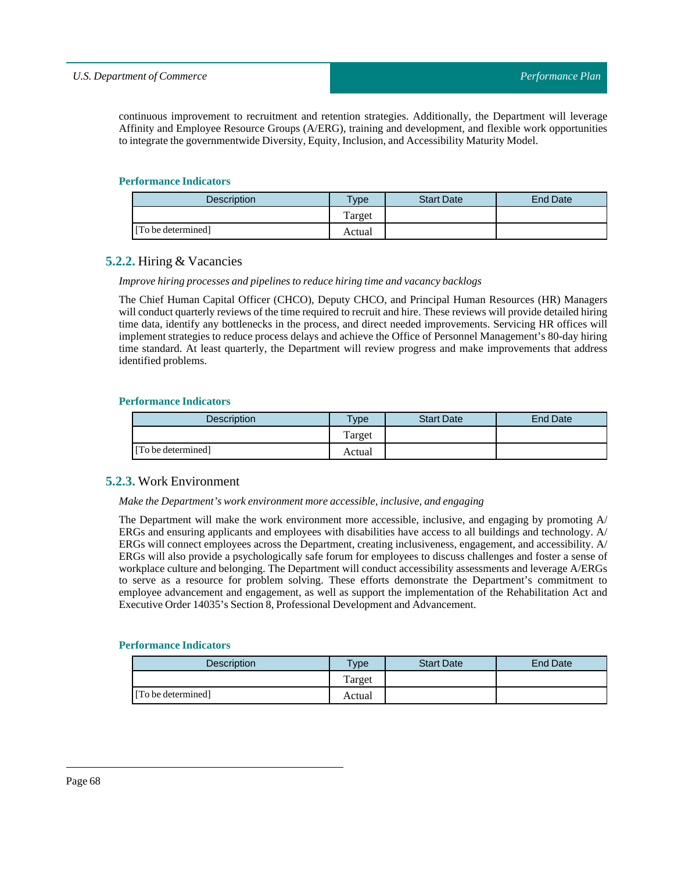continuous improvement to recruitment and retention strategies. Additionally, the Department will leverage Affinity and Employee Resource Groups (A/ERG), training and development, and flexible work opportunities to integrate the governmentwide Diversity, Equity, Inclusion, and Accessibility Maturity Model.

### **Performance Indicators**

| Description        | $T$ vpe | <b>Start Date</b> | <b>End Date</b> |
|--------------------|---------|-------------------|-----------------|
|                    | Target  |                   |                 |
| [To be determined] | Actual  |                   |                 |

## **5.2.2.** Hiring & Vacancies

#### *Improve hiring processes and pipelines to reduce hiring time and vacancy backlogs*

The Chief Human Capital Officer (CHCO), Deputy CHCO, and Principal Human Resources (HR) Managers will conduct quarterly reviews of the time required to recruit and hire. These reviews will provide detailed hiring time data, identify any bottlenecks in the process, and direct needed improvements. Servicing HR offices will implement strategies to reduce process delays and achieve the Office of Personnel Management's 80-day hiring time standard. At least quarterly, the Department will review progress and make improvements that address identified problems.

#### **Performance Indicators**

| <b>Description</b> | <b>Type</b> | <b>Start Date</b> | <b>End Date</b> |
|--------------------|-------------|-------------------|-----------------|
|                    | Target      |                   |                 |
| [To be determined] | Actual      |                   |                 |

### **5.2.3.** Work Environment

#### *Make the Department's work environment more accessible,inclusive, and engaging*

The Department will make the work environment more accessible, inclusive, and engaging by promoting A/ ERGs and ensuring applicants and employees with disabilities have access to all buildings and technology. A/ ERGs will connect employees across the Department, creating inclusiveness, engagement, and accessibility. A/ ERGs will also provide a psychologically safe forum for employees to discuss challenges and foster a sense of workplace culture and belonging. The Department will conduct accessibility assessments and leverage A/ERGs to serve as a resource for problem solving. These efforts demonstrate the Department's commitment to employee advancement and engagement, as well as support the implementation of the Rehabilitation Act and Executive Order 14035's Section 8, Professional Development and Advancement.

| <b>Description</b> | <b>Vpe</b> | <b>Start Date</b> | <b>End Date</b> |
|--------------------|------------|-------------------|-----------------|
|                    | Target     |                   |                 |
| [To be determined] | Actual     |                   |                 |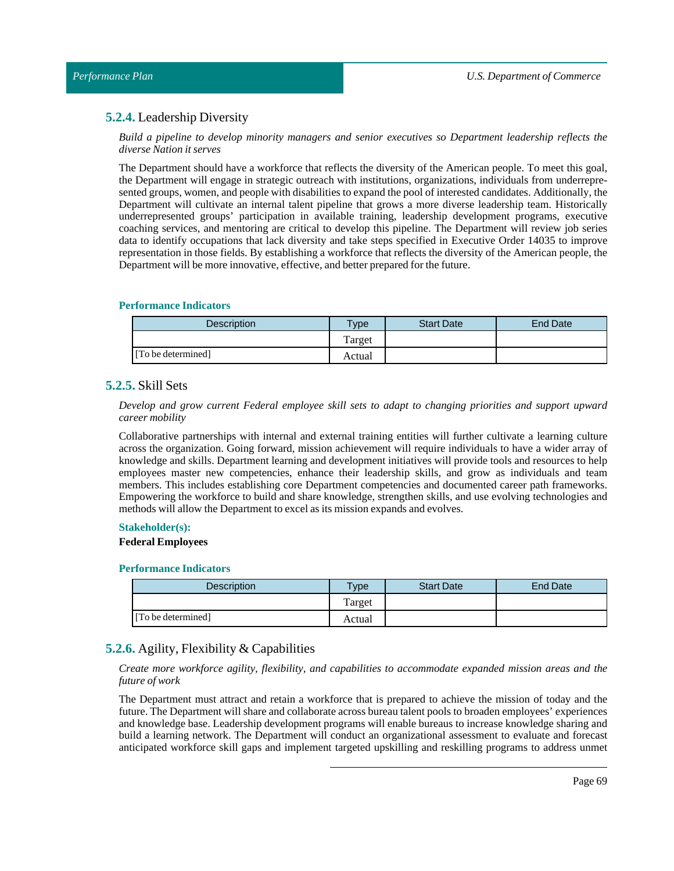## **5.2.4.** Leadership Diversity

*Build a pipeline to develop minority managers and senior executives so Department leadership reflects the diverse Nation it serves*

The Department should have a workforce that reflects the diversity of the American people. To meet this goal, the Department will engage in strategic outreach with institutions, organizations, individuals from underrepresented groups, women, and people with disabilities to expand the pool of interested candidates. Additionally, the Department will cultivate an internal talent pipeline that grows a more diverse leadership team. Historically underrepresented groups' participation in available training, leadership development programs, executive coaching services, and mentoring are critical to develop this pipeline. The Department will review job series data to identify occupations that lack diversity and take steps specified in Executive Order 14035 to improve representation in those fields. By establishing a workforce that reflects the diversity of the American people, the Department will be more innovative, effective, and better prepared for the future.

#### **Performance Indicators**

| <b>Description</b> | $T$ <sub>V</sub> pe | <b>Start Date</b> | End Date |
|--------------------|---------------------|-------------------|----------|
|                    | Target              |                   |          |
| [To be determined] | Actual              |                   |          |

## **5.2.5.** Skill Sets

*Develop and grow current Federal employee skill sets to adapt to changing priorities and support upward career mobility*

Collaborative partnerships with internal and external training entities will further cultivate a learning culture across the organization. Going forward, mission achievement will require individuals to have a wider array of knowledge and skills. Department learning and development initiatives will provide tools and resources to help employees master new competencies, enhance their leadership skills, and grow as individuals and team members. This includes establishing core Department competencies and documented career path frameworks. Empowering the workforce to build and share knowledge, strengthen skills, and use evolving technologies and methods will allow the Department to excel as its mission expands and evolves.

#### **Stakeholder(s):**

#### **Federal Employees**

#### **Performance Indicators**

| <b>Description</b> | $v_{\rm p}$ | <b>Start Date</b> | <b>End Date</b> |
|--------------------|-------------|-------------------|-----------------|
|                    | Target      |                   |                 |
| [To be determined] | Actual      |                   |                 |

## **5.2.6.** Agility, Flexibility & Capabilities

### *Create more workforce agility, flexibility, and capabilities to accommodate expanded mission areas and the future of work*

The Department must attract and retain a workforce that is prepared to achieve the mission of today and the future. The Department will share and collaborate across bureau talent pools to broaden employees' experiences and knowledge base. Leadership development programs will enable bureaus to increase knowledge sharing and build a learning network. The Department will conduct an organizational assessment to evaluate and forecast anticipated workforce skill gaps and implement targeted upskilling and reskilling programs to address unmet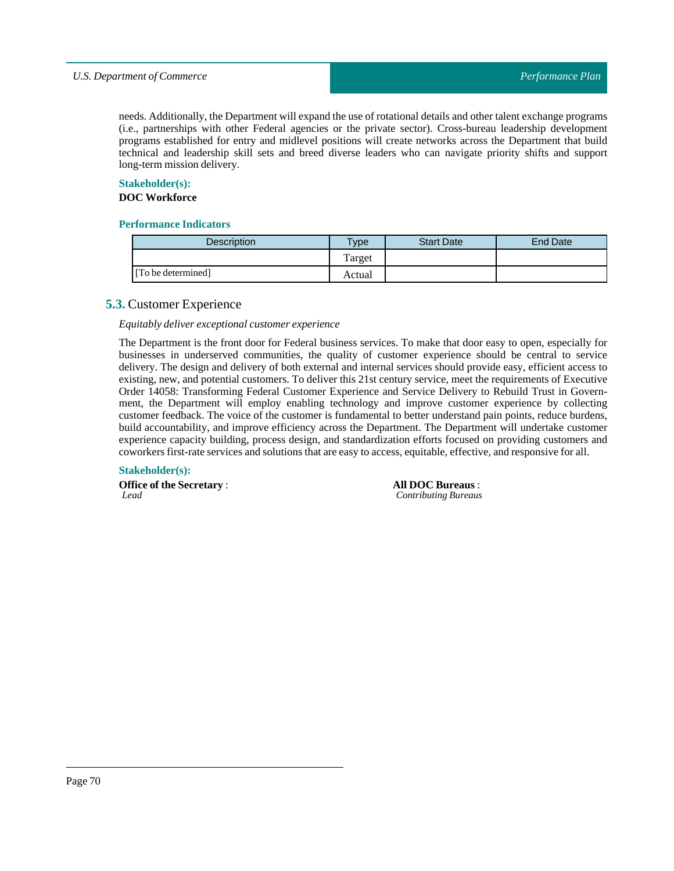needs. Additionally, the Department will expand the use of rotational details and other talent exchange programs (i.e., partnerships with other Federal agencies or the private sector). Cross-bureau leadership development programs established for entry and midlevel positions will create networks across the Department that build technical and leadership skill sets and breed diverse leaders who can navigate priority shifts and support long-term mission delivery.

## **Stakeholder(s): DOC Workforce**

### **Performance Indicators**

| Description        | Type   | <b>Start Date</b> | <b>End Date</b> |
|--------------------|--------|-------------------|-----------------|
|                    | Target |                   |                 |
| [To be determined] | Actual |                   |                 |

### **5.3.** Customer Experience

#### *Equitably deliver exceptional customer experience*

The Department is the front door for Federal business services. To make that door easy to open, especially for businesses in underserved communities, the quality of customer experience should be central to service delivery. The design and delivery of both external and internal services should provide easy, efficient access to existing, new, and potential customers. To deliver this 21st century service, meet the requirements of Executive Order 14058: Transforming Federal Customer Experience and Service Delivery to Rebuild Trust in Government, the Department will employ enabling technology and improve customer experience by collecting customer feedback. The voice of the customer is fundamental to better understand pain points, reduce burdens, build accountability, and improve efficiency across the Department. The Department will undertake customer experience capacity building, process design, and standardization efforts focused on providing customers and coworkers first-rate services and solutions that are easy to access, equitable, effective, and responsive for all.

#### **Stakeholder(s):**

**Office** of the Secretary : *Lead*

**All DOC Bureaus**: *Contributing Bureaus*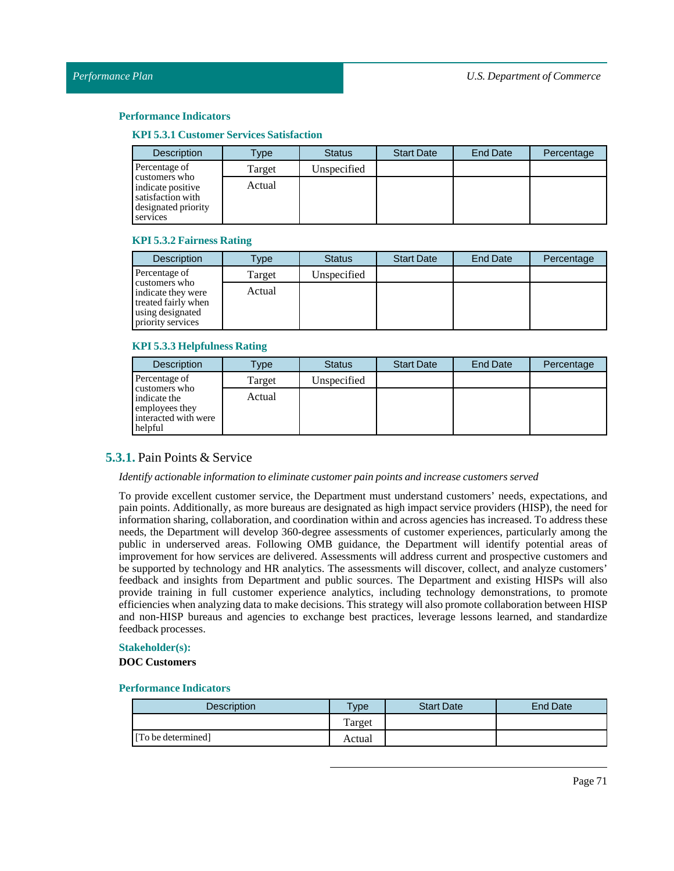### **KPI 5.3.1** Customer Services Satisfaction

| <b>Description</b>                                                                         | <b>Type</b> | <b>Status</b> | <b>Start Date</b> | End Date | Percentage |
|--------------------------------------------------------------------------------------------|-------------|---------------|-------------------|----------|------------|
| Percentage of                                                                              | Target      | Unspecified   |                   |          |            |
| customers who<br>indicate positive<br>satisfaction with<br>designated priority<br>services | Actual      |               |                   |          |            |

### **KPI 5.3.2 Fairness Rating**

| <b>Description</b>                                                                                  | Type   | <b>Status</b> | <b>Start Date</b> | <b>End Date</b> | Percentage |
|-----------------------------------------------------------------------------------------------------|--------|---------------|-------------------|-----------------|------------|
| Percentage of                                                                                       | Target | Unspecified   |                   |                 |            |
| customers who<br>indicate they were<br>treated fairly when<br>using designated<br>priority services | Actual |               |                   |                 |            |

#### **KPI 5.3.3 Helpfulness Rating**

| <b>Description</b>                                                                 | Type   | <b>Status</b> | <b>Start Date</b> | <b>End Date</b> | Percentage |
|------------------------------------------------------------------------------------|--------|---------------|-------------------|-----------------|------------|
| Percentage of                                                                      | Target | Unspecified   |                   |                 |            |
| customers who<br>indicate the<br>employees they<br>interacted with were<br>helpful | Actual |               |                   |                 |            |

### **5.3.1.** Pain Points & Service

#### *Identify actionable information to eliminate customer pain points and increase customers served*

To provide excellent customer service, the Department must understand customers' needs, expectations, and pain points. Additionally, as more bureaus are designated as high impact service providers (HISP), the need for information sharing, collaboration, and coordination within and across agencies has increased. To address these needs, the Department will develop 360-degree assessments of customer experiences, particularly among the public in underserved areas. Following OMB guidance, the Department will identify potential areas of improvement for how services are delivered. Assessments will address current and prospective customers and be supported by technology and HR analytics. The assessments will discover, collect, and analyze customers' feedback and insights from Department and public sources. The Department and existing HISPs will also provide training in full customer experience analytics, including technology demonstrations, to promote efficiencies when analyzing data to make decisions. This strategy will also promote collaboration between HISP and non-HISP bureaus and agencies to exchange best practices, leverage lessons learned, and standardize feedback processes.

### **Stakeholder(s):**

### **DOC Customers**

| <b>Description</b> | vpe    | <b>Start Date</b> | <b>End Date</b> |
|--------------------|--------|-------------------|-----------------|
|                    | Target |                   |                 |
| [To be determined] | Actual |                   |                 |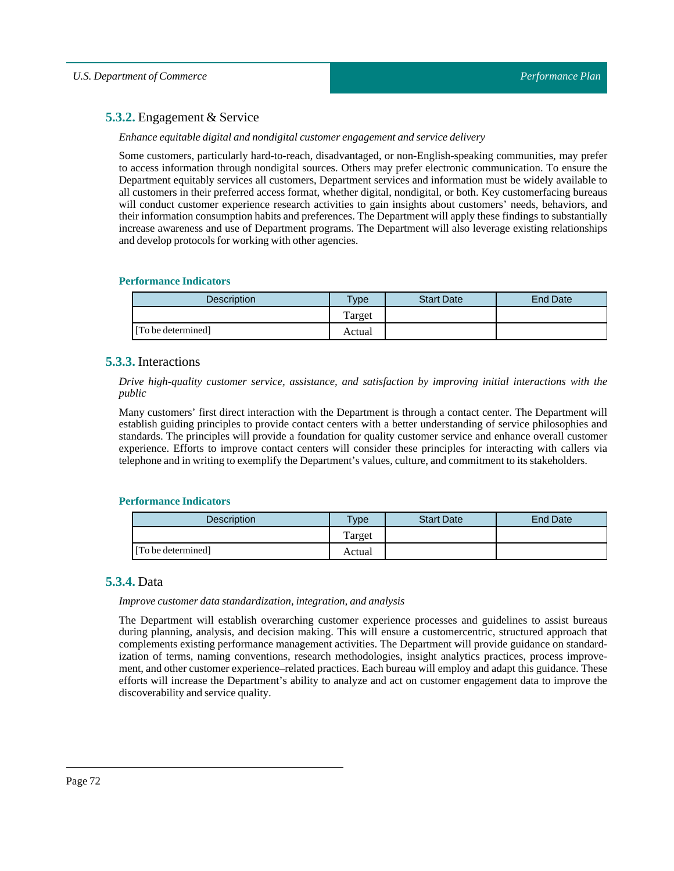## **5.3.2.** Engagement & Service

### *Enhance equitable digital and nondigital customer engagement and service delivery*

Some customers, particularly hard-to-reach, disadvantaged, or non-English-speaking communities, may prefer to access information through nondigital sources. Others may prefer electronic communication. To ensure the Department equitably services all customers, Department services and information must be widely available to all customers in their preferred access format, whether digital, nondigital, or both. Key customerfacing bureaus will conduct customer experience research activities to gain insights about customers' needs, behaviors, and their information consumption habits and preferences. The Department will apply these findings to substantially increase awareness and use of Department programs. The Department will also leverage existing relationships and develop protocols for working with other agencies.

### **Performance Indicators**

| Description        | Type   | <b>Start Date</b> | <b>End Date</b> |
|--------------------|--------|-------------------|-----------------|
|                    | Target |                   |                 |
| [To be determined] | Actual |                   |                 |

## **5.3.3.** Interactions

*Drive high-quality customer service, assistance, and satisfaction by improving initial interactions with the public*

Many customers' first direct interaction with the Department is through a contact center. The Department will establish guiding principles to provide contact centers with a better understanding of service philosophies and standards. The principles will provide a foundation for quality customer service and enhance overall customer experience. Efforts to improve contact centers will consider these principles for interacting with callers via telephone and in writing to exemplify the Department's values, culture, and commitmentto its stakeholders.

### **Performance Indicators**

| <b>Description</b> | <b>Type</b> | <b>Start Date</b> | <b>End Date</b> |
|--------------------|-------------|-------------------|-----------------|
|                    | Target      |                   |                 |
| [To be determined] | Actual      |                   |                 |

## **5.3.4.** Data

#### *Improve customer data standardization,integration, and analysis*

The Department will establish overarching customer experience processes and guidelines to assist bureaus during planning, analysis, and decision making. This will ensure a customercentric, structured approach that complements existing performance management activities. The Department will provide guidance on standardization of terms, naming conventions, research methodologies, insight analytics practices, process improvement, and other customer experience–related practices. Each bureau will employ and adapt this guidance. These efforts will increase the Department's ability to analyze and act on customer engagement data to improve the discoverability and service quality.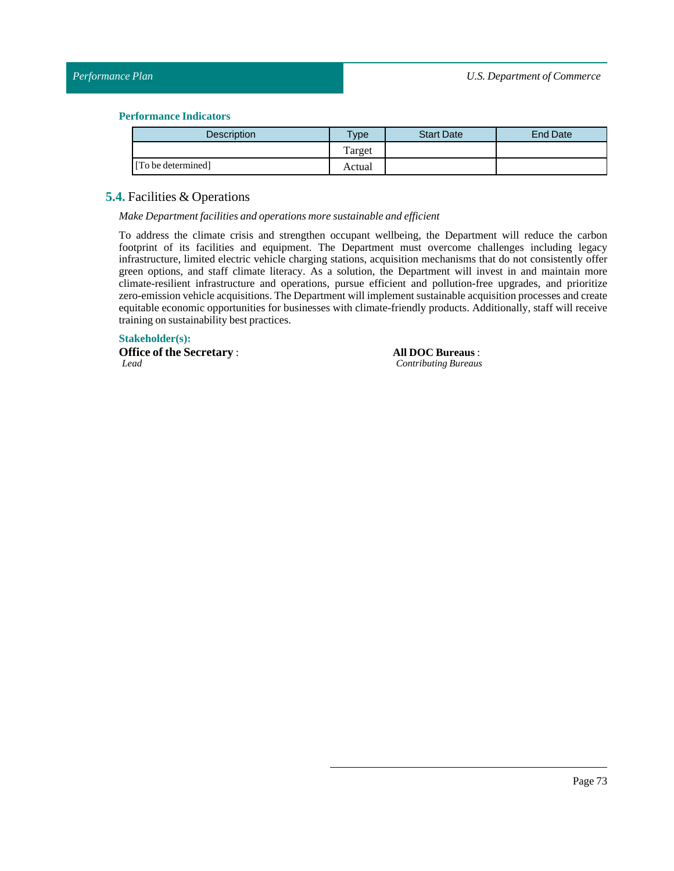#### **Performance Indicators**

| Description        | Type   | <b>Start Date</b> | End Date |
|--------------------|--------|-------------------|----------|
|                    | Target |                   |          |
| [To be determined] | Actual |                   |          |

# **5.4.** Facilities & Operations

*Make Departmentfacilities and operations more sustainable and efficient*

To address the climate crisis and strengthen occupant wellbeing, the Department will reduce the carbon footprint of its facilities and equipment. The Department must overcome challenges including legacy infrastructure, limited electric vehicle charging stations, acquisition mechanisms that do not consistently offer green options, and staff climate literacy. As a solution, the Department will invest in and maintain more climate-resilient infrastructure and operations, pursue efficient and pollution-free upgrades, and prioritize zero-emission vehicle acquisitions. The Department will implement sustainable acquisition processes and create equitable economic opportunities for businesses with climate-friendly products. Additionally, staff will receive training on sustainability best practices.

#### **Stakeholder(s):**

**Office of the Secretary** : *Lead*

**All DOC Bureaus**: *Contributing Bureaus*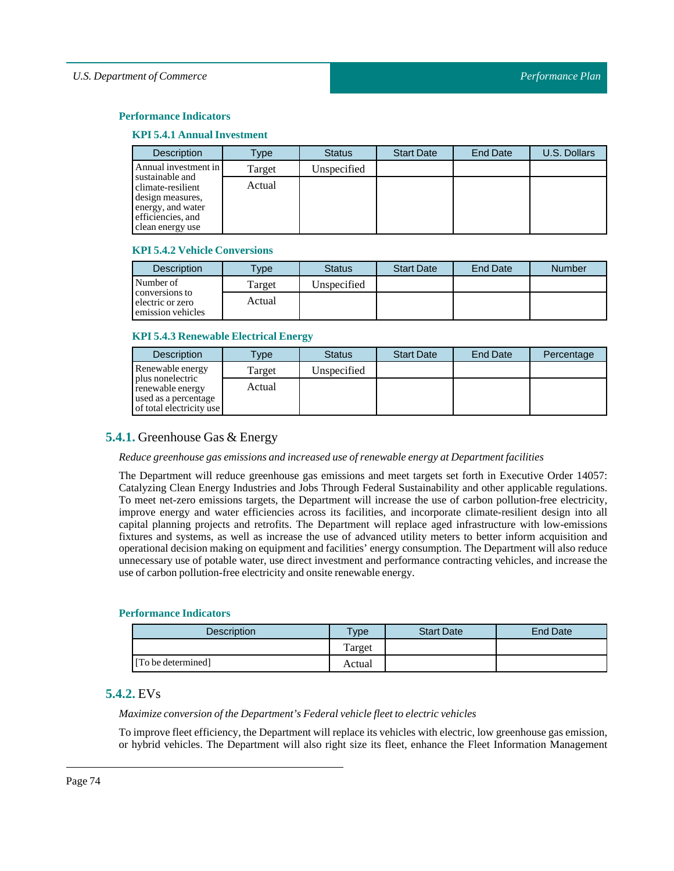#### **Performance Indicators**

### **KPI 5.4.1 Annual Investment**

| <b>Description</b>                                                                                                     | Type   | <b>Status</b> | <b>Start Date</b> | <b>End Date</b> | U.S. Dollars |
|------------------------------------------------------------------------------------------------------------------------|--------|---------------|-------------------|-----------------|--------------|
| Annual investment in                                                                                                   | Target | Unspecified   |                   |                 |              |
| sustainable and<br>climate-resilient<br>design measures,<br>energy, and water<br>efficiencies, and<br>clean energy use | Actual |               |                   |                 |              |

### **KPI 5.4.2 Vehicle Conversions**

| <b>Description</b>                                      | Type   | <b>Status</b> | <b>Start Date</b> | <b>End Date</b> | <b>Number</b> |
|---------------------------------------------------------|--------|---------------|-------------------|-----------------|---------------|
| Number of                                               | Target | Unspecified   |                   |                 |               |
| conversions to<br>electric or zero<br>emission vehicles | Actual |               |                   |                 |               |

### **KPI 5.4.3 Renewable Electrical Energy**

| <b>Description</b>                                                                       | Type   | <b>Status</b> | <b>Start Date</b> | <b>End Date</b> | Percentage |
|------------------------------------------------------------------------------------------|--------|---------------|-------------------|-----------------|------------|
| Renewable energy                                                                         | Target | Unspecified   |                   |                 |            |
| plus nonelectric<br>renewable energy<br>used as a percentage<br>of total electricity use | Actual |               |                   |                 |            |

# **5.4.1.** Greenhouse Gas & Energy

#### *Reduce greenhouse gas emissions and increased use of renewable energy at Departmentfacilities*

The Department will reduce greenhouse gas emissions and meet targets set forth in Executive Order 14057: Catalyzing Clean Energy Industries and Jobs Through Federal Sustainability and other applicable regulations. To meet net-zero emissions targets, the Department will increase the use of carbon pollution-free electricity, improve energy and water efficiencies across its facilities, and incorporate climate-resilient design into all capital planning projects and retrofits. The Department will replace aged infrastructure with low-emissions fixtures and systems, as well as increase the use of advanced utility meters to better inform acquisition and operational decision making on equipment and facilities' energy consumption. The Department will also reduce unnecessary use of potable water, use direct investment and performance contracting vehicles, and increase the use of carbon pollution-free electricity and onsite renewable energy.

#### **Performance Indicators**

| <b>Description</b> | $T$ vpe | <b>Start Date</b> | End Date |
|--------------------|---------|-------------------|----------|
|                    | Target  |                   |          |
| [To be determined] | Actual  |                   |          |

### **5.4.2.** EVs

#### *Maximize conversion ofthe Department's Federal vehicle fleetto electric vehicles*

To improve fleet efficiency, the Department will replace its vehicles with electric, low greenhouse gas emission, or hybrid vehicles. The Department will also right size its fleet, enhance the Fleet Information Management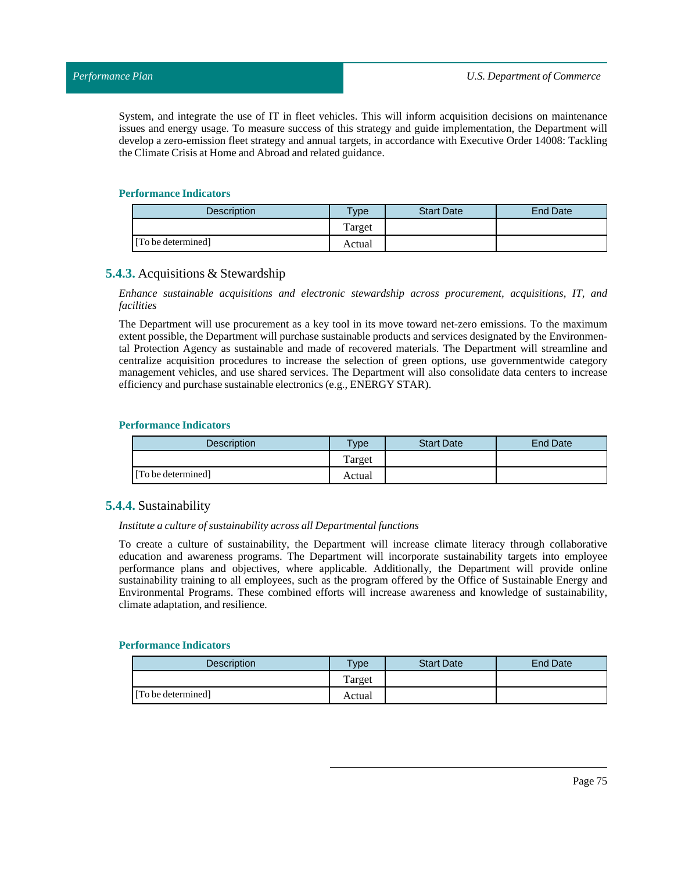System, and integrate the use of IT in fleet vehicles. This will inform acquisition decisions on maintenance issues and energy usage. To measure success of this strategy and guide implementation, the Department will develop a zero-emission fleet strategy and annual targets, in accordance with Executive Order 14008: Tackling the Climate Crisis at Home and Abroad and related guidance.

#### **Performance Indicators**

| <b>Description</b> | Type   | <b>Start Date</b> | End Date |
|--------------------|--------|-------------------|----------|
|                    | Target |                   |          |
| [To be determined] | Actual |                   |          |

## **5.4.3.** Acquisitions & Stewardship

*Enhance sustainable acquisitions and electronic stewardship across procurement, acquisitions, IT, and facilities*

The Department will use procurement as a key tool in its move toward net-zero emissions. To the maximum extent possible, the Department will purchase sustainable products and services designated by the Environmental Protection Agency as sustainable and made of recovered materials. The Department will streamline and centralize acquisition procedures to increase the selection of green options, use governmentwide category management vehicles, and use shared services. The Department will also consolidate data centers to increase efficiency and purchase sustainable electronics (e.g., ENERGY STAR).

#### **Performance Indicators**

| Description        | $T$ <sub>ype</sub> | <b>Start Date</b> | End Date |
|--------------------|--------------------|-------------------|----------|
|                    | Target             |                   |          |
| [To be determined] | Actual             |                   |          |

### **5.4.4.** Sustainability

#### *Institute a culture of sustainability across all Departmentalfunctions*

To create a culture of sustainability, the Department will increase climate literacy through collaborative education and awareness programs. The Department will incorporate sustainability targets into employee performance plans and objectives, where applicable. Additionally, the Department will provide online sustainability training to all employees, such as the program offered by the Office of Sustainable Energy and Environmental Programs. These combined efforts will increase awareness and knowledge of sustainability, climate adaptation, and resilience.

#### **Performance Indicators**

| <b>Description</b> | $T$ <sub>V</sub> $pe$ | <b>Start Date</b> | End Date |
|--------------------|-----------------------|-------------------|----------|
|                    | Target                |                   |          |
| [To be determined] | Actual                |                   |          |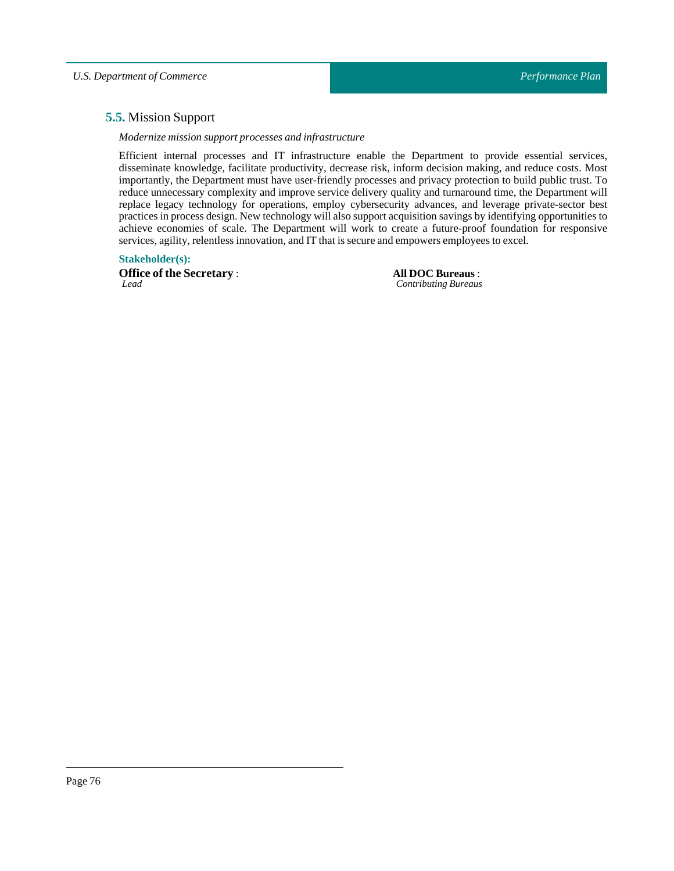# **5.5.** Mission Support

*Modernize mission support processes and infrastructure*

Efficient internal processes and IT infrastructure enable the Department to provide essential services, disseminate knowledge, facilitate productivity, decrease risk, inform decision making, and reduce costs. Most importantly, the Department must have user-friendly processes and privacy protection to build public trust. To reduce unnecessary complexity and improve service delivery quality and turnaround time, the Department will replace legacy technology for operations, employ cybersecurity advances, and leverage private-sector best practices in process design. New technology will also support acquisition savings by identifying opportunities to achieve economies of scale. The Department will work to create a future-proof foundation for responsive services, agility, relentless innovation, and IT that is secure and empowers employees to excel.

**Stakeholder(s): Office of the Secretary** :

*Lead*

**All DOC Bureaus**: *Contributing Bureaus*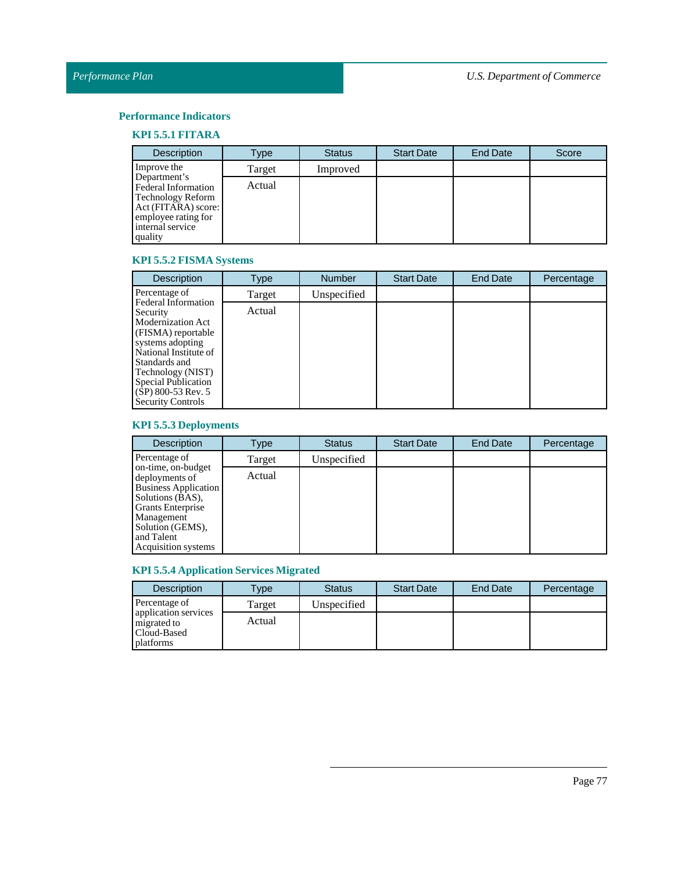# **Performance Indicators**

# **KPI 5.5.1 FITARA**

| <b>Description</b>                                                                                                                                  | Type   | <b>Status</b> | <b>Start Date</b> | End Date | Score |
|-----------------------------------------------------------------------------------------------------------------------------------------------------|--------|---------------|-------------------|----------|-------|
| Improve the                                                                                                                                         | Target | Improved      |                   |          |       |
| Department's<br><b>Federal Information</b><br><b>Technology Reform</b><br>Act (FITARA) score:<br>employee rating for<br>internal service<br>quality | Actual |               |                   |          |       |

# **KPI 5.5.2 FISMA Systems**

| <b>Description</b>                                                                                                                                                                                                                                     | Type   | <b>Number</b> | <b>Start Date</b> | <b>End Date</b> | Percentage |
|--------------------------------------------------------------------------------------------------------------------------------------------------------------------------------------------------------------------------------------------------------|--------|---------------|-------------------|-----------------|------------|
| Percentage of                                                                                                                                                                                                                                          | Target | Unspecified   |                   |                 |            |
| <b>Federal Information</b><br>Security<br><b>Modernization Act</b><br>(FISMA) reportable<br>systems adopting<br>National Institute of<br>Standards and<br>Technology (NIST)<br>Special Publication<br>$(SP)$ 800-53 Rev. 5<br><b>Security Controls</b> | Actual |               |                   |                 |            |

### **KPI 5.5.3 Deployments**

| <b>Description</b>                                                                                                                                                                         | Type   | <b>Status</b> | <b>Start Date</b> | <b>End Date</b> | Percentage |
|--------------------------------------------------------------------------------------------------------------------------------------------------------------------------------------------|--------|---------------|-------------------|-----------------|------------|
| Percentage of                                                                                                                                                                              | Target | Unspecified   |                   |                 |            |
| on-time, on-budget<br>deployments of<br><b>Business Application</b><br>Solutions (BAS),<br><b>Grants Enterprise</b><br>Management<br>Solution (GEMS),<br>and Talent<br>Acquisition systems | Actual |               |                   |                 |            |

# **KPI 5.5.4 Application Services Migrated**

| <b>Description</b>                                                     | <b>Type</b> | <b>Status</b> | <b>Start Date</b> | <b>End Date</b> | Percentage |
|------------------------------------------------------------------------|-------------|---------------|-------------------|-----------------|------------|
| Percentage of                                                          | Target      | Unspecified   |                   |                 |            |
| application services<br>migrated to<br>Cloud-Based<br><b>platforms</b> | Actual      |               |                   |                 |            |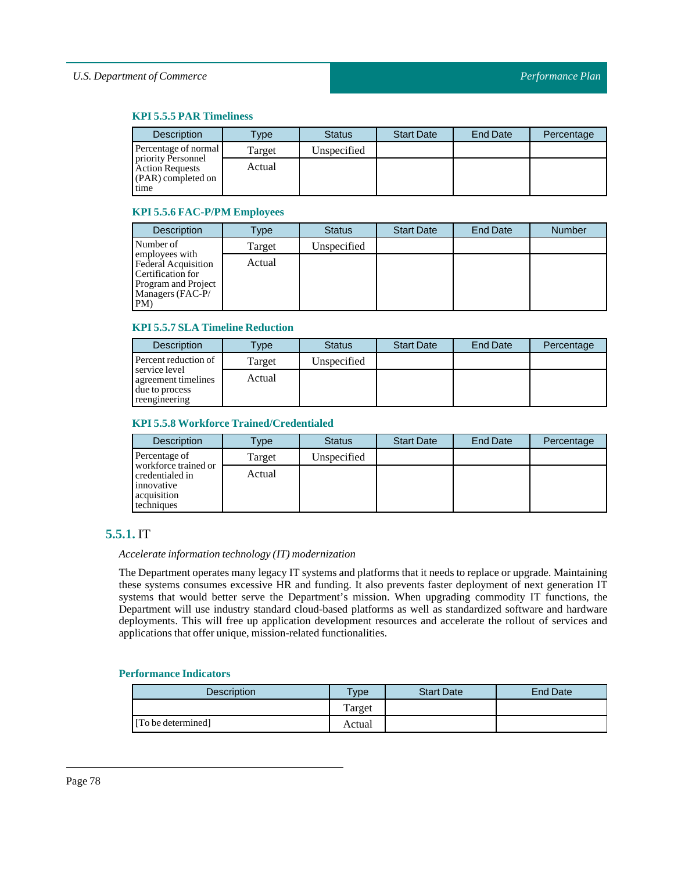### **KPI 5.5.5 PAR Timeliness**

| <b>Description</b>                                                         | $T$ <sub>V</sub> $pe$ | <b>Status</b> | <b>Start Date</b> | End Date | Percentage |
|----------------------------------------------------------------------------|-----------------------|---------------|-------------------|----------|------------|
| Percentage of normal                                                       | Target                | Unspecified   |                   |          |            |
| priority Personnel<br><b>Action Requests</b><br>(PAR) completed on<br>time | Actual                |               |                   |          |            |

### **KPI 5.5.6 FAC-P/PM Employees**

| <b>Description</b>                                                                                                  | Type   | <b>Status</b> | <b>Start Date</b> | <b>End Date</b> | <b>Number</b> |
|---------------------------------------------------------------------------------------------------------------------|--------|---------------|-------------------|-----------------|---------------|
| Number of                                                                                                           | Target | Unspecified   |                   |                 |               |
| employees with<br><b>Federal Acquisition</b><br>Certification for<br>Program and Project<br>Managers (FAC-P/<br>PM) | Actual |               |                   |                 |               |

#### **KPI 5.5.7SLA Timeline Reduction**

| <b>Description</b>                                                      | Type   | <b>Status</b> | <b>Start Date</b> | <b>End Date</b> | Percentage |
|-------------------------------------------------------------------------|--------|---------------|-------------------|-----------------|------------|
| Percent reduction of                                                    | Target | Unspecified   |                   |                 |            |
| service level<br>agreement timelines<br>due to process<br>reengineering | Actual |               |                   |                 |            |

### **KPI 5.5.8 Workforce Trained/Credentialed**

| <b>Description</b>                                                                 | Type   | <b>Status</b> | <b>Start Date</b> | <b>End Date</b> | Percentage |
|------------------------------------------------------------------------------------|--------|---------------|-------------------|-----------------|------------|
| Percentage of                                                                      | Target | Unspecified   |                   |                 |            |
| workforce trained or<br>credentialed in<br>innovative<br>acquisition<br>techniques | Actual |               |                   |                 |            |

# **5.5.1.** IT

#### *Accelerate information technology (IT) modernization*

The Department operates many legacy IT systems and platforms that it needs to replace or upgrade. Maintaining these systems consumes excessive HR and funding. It also prevents faster deployment of next generation IT systems that would better serve the Department's mission. When upgrading commodity IT functions, the Department will use industry standard cloud-based platforms as well as standardized software and hardware deployments. This will free up application development resources and accelerate the rollout of services and applications that offer unique, mission-related functionalities.

### **Performance Indicators**

| <b>Description</b> | <b>Type</b> | <b>Start Date</b> | End Date |
|--------------------|-------------|-------------------|----------|
|                    | Target      |                   |          |
| [To be determined] | Actual      |                   |          |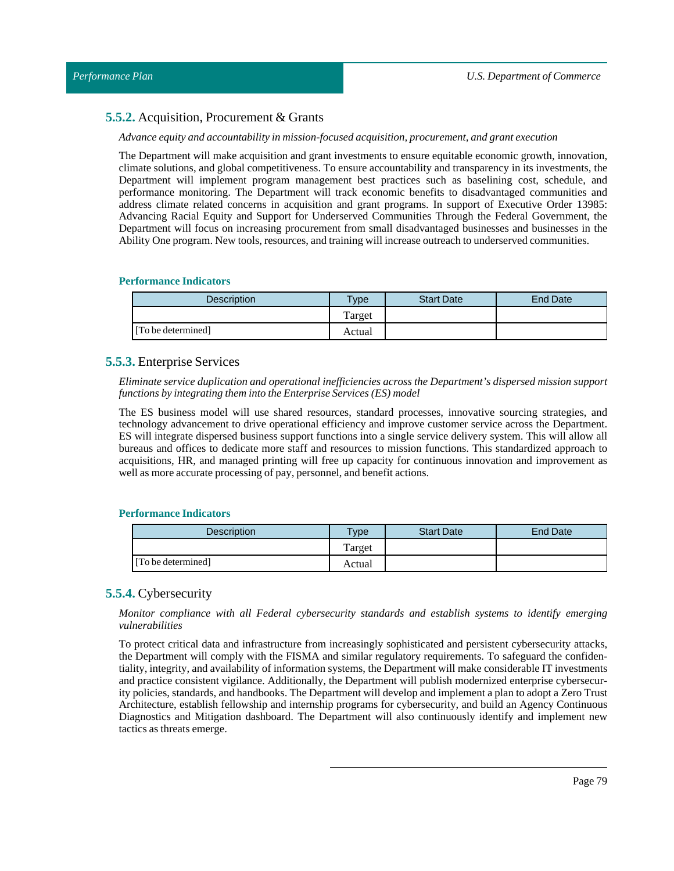# **5.5.2.** Acquisition, Procurement & Grants

#### *Advance equity and accountability in mission-focused acquisition, procurement, and grant execution*

The Department will make acquisition and grant investments to ensure equitable economic growth, innovation, climate solutions, and global competitiveness. To ensure accountability and transparency in its investments, the Department will implement program management best practices such as baselining cost, schedule, and performance monitoring. The Department will track economic benefits to disadvantaged communities and address climate related concerns in acquisition and grant programs. In support of Executive Order 13985: Advancing Racial Equity and Support for Underserved Communities Through the Federal Government, the Department will focus on increasing procurement from small disadvantaged businesses and businesses in the Ability One program. New tools, resources, and training willincrease outreach to underserved communities.

#### **Performance Indicators**

| <b>Description</b> | <b>Vpe</b> | <b>Start Date</b> | End Date |
|--------------------|------------|-------------------|----------|
|                    | Target     |                   |          |
| [To be determined] | Actual     |                   |          |

# **5.5.3.** Enterprise Services

*Eliminate service duplication and operational inefficiencies across the Department's dispersed mission support functions by integrating them into the Enterprise Services (ES) model*

The ES business model will use shared resources, standard processes, innovative sourcing strategies, and technology advancement to drive operational efficiency and improve customer service across the Department. ES will integrate dispersed business support functions into a single service delivery system. This will allow all bureaus and offices to dedicate more staff and resources to mission functions. This standardized approach to acquisitions, HR, and managed printing will free up capacity for continuous innovation and improvement as well as more accurate processing of pay, personnel, and benefit actions.

### **Performance Indicators**

| <b>Description</b> | $T$ <sub>ype</sub> | <b>Start Date</b> | End Date |
|--------------------|--------------------|-------------------|----------|
|                    | Target             |                   |          |
| [To be determined] | Actual             |                   |          |

# **5.5.4.** Cybersecurity

*Monitor compliance with all Federal cybersecurity standards and establish systems to identify emerging vulnerabilities*

To protect critical data and infrastructure from increasingly sophisticated and persistent cybersecurity attacks, the Department will comply with the FISMA and similar regulatory requirements. To safeguard the confidentiality, integrity, and availability of information systems, the Department will make considerable IT investments and practice consistent vigilance. Additionally, the Department will publish modernized enterprise cybersecurity policies, standards, and handbooks. The Department will develop and implement a plan to adopt a Zero Trust Architecture, establish fellowship and internship programs for cybersecurity, and build an Agency Continuous Diagnostics and Mitigation dashboard. The Department will also continuously identify and implement new tactics as threats emerge.